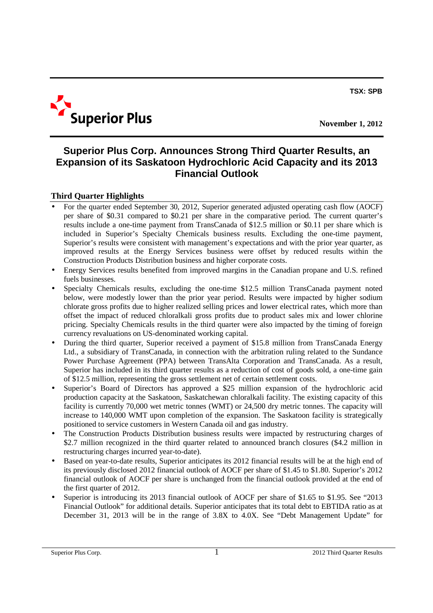**TSX: SPB** 



# **Superior Plus Corp. Announces Strong Third Quarter Results, an Expansion of its Saskatoon Hydrochloric Acid Capacity and its 2013 Financial Outlook**

# **Third Quarter Highlights**

- For the quarter ended September 30, 2012, Superior generated adjusted operating cash flow (AOCF) per share of \$0.31 compared to \$0.21 per share in the comparative period. The current quarter's results include a one-time payment from TransCanada of \$12.5 million or \$0.11 per share which is included in Superior's Specialty Chemicals business results. Excluding the one-time payment, Superior's results were consistent with management's expectations and with the prior year quarter, as improved results at the Energy Services business were offset by reduced results within the Construction Products Distribution business and higher corporate costs.
- Energy Services results benefited from improved margins in the Canadian propane and U.S. refined fuels businesses.
- Specialty Chemicals results, excluding the one-time \$12.5 million TransCanada payment noted below, were modestly lower than the prior year period. Results were impacted by higher sodium chlorate gross profits due to higher realized selling prices and lower electrical rates, which more than offset the impact of reduced chloralkali gross profits due to product sales mix and lower chlorine pricing. Specialty Chemicals results in the third quarter were also impacted by the timing of foreign currency revaluations on US-denominated working capital.
- During the third quarter, Superior received a payment of \$15.8 million from TransCanada Energy Ltd., a subsidiary of TransCanada, in connection with the arbitration ruling related to the Sundance Power Purchase Agreement (PPA) between TransAlta Corporation and TransCanada. As a result, Superior has included in its third quarter results as a reduction of cost of goods sold, a one-time gain of \$12.5 million, representing the gross settlement net of certain settlement costs.
- Superior's Board of Directors has approved a \$25 million expansion of the hydrochloric acid production capacity at the Saskatoon, Saskatchewan chloralkali facility. The existing capacity of this facility is currently 70,000 wet metric tonnes (WMT) or 24,500 dry metric tonnes. The capacity will increase to 140,000 WMT upon completion of the expansion. The Saskatoon facility is strategically positioned to service customers in Western Canada oil and gas industry.
- The Construction Products Distribution business results were impacted by restructuring charges of \$2.7 million recognized in the third quarter related to announced branch closures (\$4.2 million in restructuring charges incurred year-to-date).
- Based on year-to-date results, Superior anticipates its 2012 financial results will be at the high end of its previously disclosed 2012 financial outlook of AOCF per share of \$1.45 to \$1.80. Superior's 2012 financial outlook of AOCF per share is unchanged from the financial outlook provided at the end of the first quarter of 2012.
- Superior is introducing its 2013 financial outlook of AOCF per share of \$1.65 to \$1.95. See "2013 Financial Outlook" for additional details. Superior anticipates that its total debt to EBTIDA ratio as at December 31, 2013 will be in the range of 3.8X to 4.0X. See "Debt Management Update" for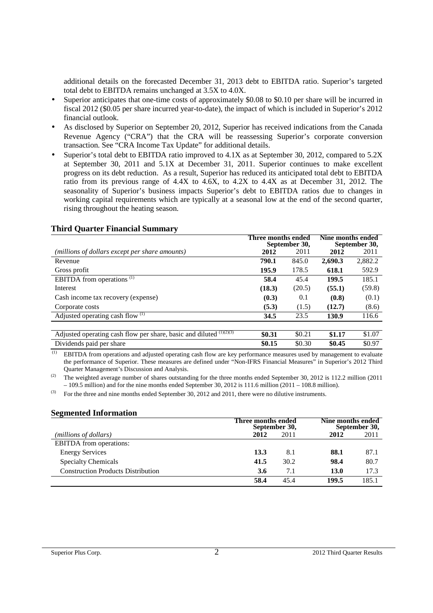additional details on the forecasted December 31, 2013 debt to EBITDA ratio. Superior's targeted total debt to EBITDA remains unchanged at 3.5X to 4.0X.

- Superior anticipates that one-time costs of approximately \$0.08 to \$0.10 per share will be incurred in fiscal 2012 (\$0.05 per share incurred year-to-date), the impact of which is included in Superior's 2012 financial outlook.
- As disclosed by Superior on September 20, 2012, Superior has received indications from the Canada Revenue Agency ("CRA") that the CRA will be reassessing Superior's corporate conversion transaction. See "CRA Income Tax Update" for additional details.
- Superior's total debt to EBITDA ratio improved to 4.1X as at September 30, 2012, compared to 5.2X at September 30, 2011 and 5.1X at December 31, 2011. Superior continues to make excellent progress on its debt reduction. As a result, Superior has reduced its anticipated total debt to EBITDA ratio from its previous range of 4.4X to 4.6X, to 4.2X to 4.4X as at December 31, 2012. The seasonality of Superior's business impacts Superior's debt to EBITDA ratios due to changes in working capital requirements which are typically at a seasonal low at the end of the second quarter, rising throughout the heating season.

# **Third Quarter Financial Summary**

| Three months ended<br>September 30,                                                         |        |        | Nine months ended<br>September 30, |         |  |
|---------------------------------------------------------------------------------------------|--------|--------|------------------------------------|---------|--|
| (millions of dollars except per share amounts)                                              | 2012   | 2011   | 2012                               | 2011    |  |
| Revenue                                                                                     | 790.1  | 845.0  | 2,690.3                            | 2,882.2 |  |
| Gross profit                                                                                | 195.9  | 178.5  | 618.1                              | 592.9   |  |
| EBITDA from operations <sup>(1)</sup>                                                       | 58.4   | 45.4   | 199.5                              | 185.1   |  |
| Interest                                                                                    | (18.3) | (20.5) | (55.1)                             | (59.8)  |  |
| Cash income tax recovery (expense)                                                          | (0.3)  | 0.1    | (0.8)                              | (0.1)   |  |
| Corporate costs                                                                             | (5.3)  | (1.5)  | (12.7)                             | (8.6)   |  |
| Adjusted operating cash flow (1)                                                            | 34.5   | 23.5   | 130.9                              | 116.6   |  |
|                                                                                             |        |        |                                    |         |  |
| Adjusted operating cash flow per share, basic and $\overline{\text{diluted}}^{\,(1)(2)(3)}$ | \$0.31 | \$0.21 | \$1.17                             | \$1.07  |  |
| Dividends paid per share                                                                    | \$0.15 | \$0.30 | \$0.45                             | \$0.97  |  |

 (1) EBITDA from operations and adjusted operating cash flow are key performance measures used by management to evaluate the performance of Superior. These measures are defined under "Non-IFRS Financial Measures" in Superior's 2012 Third Quarter Management's Discussion and Analysis.

(2) The weighted average number of shares outstanding for the three months ended September 30, 2012 is 112.2 million (2011)  $-109.5$  million) and for the nine months ended September 30, 2012 is 111.6 million (2011 – 108.8 million).

(3) For the three and nine months ended September 30, 2012 and 2011, there were no dilutive instruments.

#### **Segmented Information**

|                                           | Three months ended<br>September 30, |      | Nine months ended<br>September 30, |       |
|-------------------------------------------|-------------------------------------|------|------------------------------------|-------|
| (millions of dollars)                     | 2012                                | 2011 | 2012                               | 2011  |
| <b>EBITDA</b> from operations:            |                                     |      |                                    |       |
| <b>Energy Services</b>                    | 13.3                                | 8.1  | 88.1                               | 87.1  |
| <b>Specialty Chemicals</b>                | 41.5                                | 30.2 | 98.4                               | 80.7  |
| <b>Construction Products Distribution</b> | 3.6                                 | 7.1  | 13.0                               | 17.3  |
|                                           | 58.4                                | 45.4 | 199.5                              | 185.1 |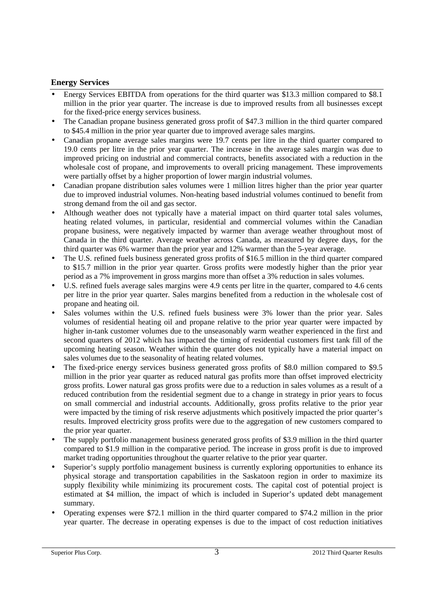# **Energy Services**

- Energy Services EBITDA from operations for the third quarter was \$13.3 million compared to \$8.1 million in the prior year quarter. The increase is due to improved results from all businesses except for the fixed-price energy services business.
- The Canadian propane business generated gross profit of \$47.3 million in the third quarter compared to \$45.4 million in the prior year quarter due to improved average sales margins.
- Canadian propane average sales margins were 19.7 cents per litre in the third quarter compared to 19.0 cents per litre in the prior year quarter. The increase in the average sales margin was due to improved pricing on industrial and commercial contracts, benefits associated with a reduction in the wholesale cost of propane, and improvements to overall pricing management. These improvements were partially offset by a higher proportion of lower margin industrial volumes.
- Canadian propane distribution sales volumes were 1 million litres higher than the prior year quarter due to improved industrial volumes. Non-heating based industrial volumes continued to benefit from strong demand from the oil and gas sector.
- Although weather does not typically have a material impact on third quarter total sales volumes, heating related volumes, in particular, residential and commercial volumes within the Canadian propane business, were negatively impacted by warmer than average weather throughout most of Canada in the third quarter. Average weather across Canada, as measured by degree days, for the third quarter was 6% warmer than the prior year and 12% warmer than the 5-year average.
- The U.S. refined fuels business generated gross profits of \$16.5 million in the third quarter compared to \$15.7 million in the prior year quarter. Gross profits were modestly higher than the prior year period as a 7% improvement in gross margins more than offset a 3% reduction in sales volumes.
- U.S. refined fuels average sales margins were 4.9 cents per litre in the quarter, compared to 4.6 cents per litre in the prior year quarter. Sales margins benefited from a reduction in the wholesale cost of propane and heating oil.
- Sales volumes within the U.S. refined fuels business were 3% lower than the prior year. Sales volumes of residential heating oil and propane relative to the prior year quarter were impacted by higher in-tank customer volumes due to the unseasonably warm weather experienced in the first and second quarters of 2012 which has impacted the timing of residential customers first tank fill of the upcoming heating season. Weather within the quarter does not typically have a material impact on sales volumes due to the seasonality of heating related volumes.
- The fixed-price energy services business generated gross profits of \$8.0 million compared to \$9.5 million in the prior year quarter as reduced natural gas profits more than offset improved electricity gross profits. Lower natural gas gross profits were due to a reduction in sales volumes as a result of a reduced contribution from the residential segment due to a change in strategy in prior years to focus on small commercial and industrial accounts. Additionally, gross profits relative to the prior year were impacted by the timing of risk reserve adjustments which positively impacted the prior quarter's results. Improved electricity gross profits were due to the aggregation of new customers compared to the prior year quarter.
- The supply portfolio management business generated gross profits of \$3.9 million in the third quarter compared to \$1.9 million in the comparative period. The increase in gross profit is due to improved market trading opportunities throughout the quarter relative to the prior year quarter.
- Superior's supply portfolio management business is currently exploring opportunities to enhance its physical storage and transportation capabilities in the Saskatoon region in order to maximize its supply flexibility while minimizing its procurement costs. The capital cost of potential project is estimated at \$4 million, the impact of which is included in Superior's updated debt management summary.
- Operating expenses were \$72.1 million in the third quarter compared to \$74.2 million in the prior year quarter. The decrease in operating expenses is due to the impact of cost reduction initiatives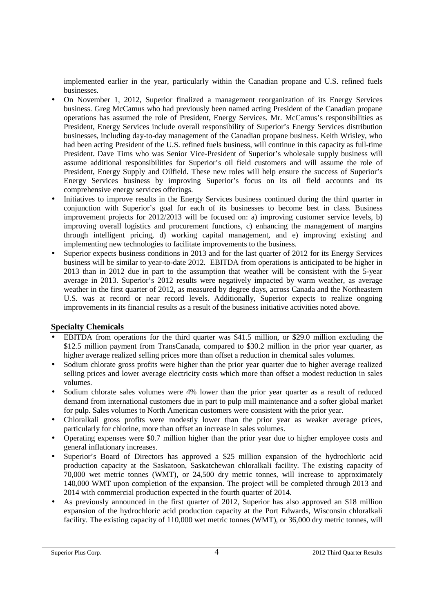implemented earlier in the year, particularly within the Canadian propane and U.S. refined fuels businesses.

- On November 1, 2012, Superior finalized a management reorganization of its Energy Services business. Greg McCamus who had previously been named acting President of the Canadian propane operations has assumed the role of President, Energy Services. Mr. McCamus's responsibilities as President, Energy Services include overall responsibility of Superior's Energy Services distribution businesses, including day-to-day management of the Canadian propane business. Keith Wrisley, who had been acting President of the U.S. refined fuels business, will continue in this capacity as full-time President. Dave Tims who was Senior Vice-President of Superior's wholesale supply business will assume additional responsibilities for Superior's oil field customers and will assume the role of President, Energy Supply and Oilfield. These new roles will help ensure the success of Superior's Energy Services business by improving Superior's focus on its oil field accounts and its comprehensive energy services offerings.
- Initiatives to improve results in the Energy Services business continued during the third quarter in conjunction with Superior's goal for each of its businesses to become best in class. Business improvement projects for 2012/2013 will be focused on: a) improving customer service levels, b) improving overall logistics and procurement functions, c) enhancing the management of margins through intelligent pricing, d) working capital management, and e) improving existing and implementing new technologies to facilitate improvements to the business.
- Superior expects business conditions in 2013 and for the last quarter of 2012 for its Energy Services business will be similar to year-to-date 2012. EBITDA from operations is anticipated to be higher in 2013 than in 2012 due in part to the assumption that weather will be consistent with the 5-year average in 2013. Superior's 2012 results were negatively impacted by warm weather, as average weather in the first quarter of 2012, as measured by degree days, across Canada and the Northeastern U.S. was at record or near record levels. Additionally, Superior expects to realize ongoing improvements in its financial results as a result of the business initiative activities noted above.

# **Specialty Chemicals**

- EBITDA from operations for the third quarter was \$41.5 million, or \$29.0 million excluding the \$12.5 million payment from TransCanada, compared to \$30.2 million in the prior year quarter, as higher average realized selling prices more than offset a reduction in chemical sales volumes.
- Sodium chlorate gross profits were higher than the prior year quarter due to higher average realized selling prices and lower average electricity costs which more than offset a modest reduction in sales volumes.
- Sodium chlorate sales volumes were 4% lower than the prior year quarter as a result of reduced demand from international customers due in part to pulp mill maintenance and a softer global market for pulp. Sales volumes to North American customers were consistent with the prior year.
- Chloralkali gross profits were modestly lower than the prior year as weaker average prices, particularly for chlorine, more than offset an increase in sales volumes.
- Operating expenses were \$0.7 million higher than the prior year due to higher employee costs and general inflationary increases.
- Superior's Board of Directors has approved a \$25 million expansion of the hydrochloric acid production capacity at the Saskatoon, Saskatchewan chloralkali facility. The existing capacity of 70,000 wet metric tonnes (WMT), or 24,500 dry metric tonnes, will increase to approximately 140,000 WMT upon completion of the expansion. The project will be completed through 2013 and 2014 with commercial production expected in the fourth quarter of 2014.
- As previously announced in the first quarter of 2012, Superior has also approved an \$18 million expansion of the hydrochloric acid production capacity at the Port Edwards, Wisconsin chloralkali facility. The existing capacity of 110,000 wet metric tonnes (WMT), or 36,000 dry metric tonnes, will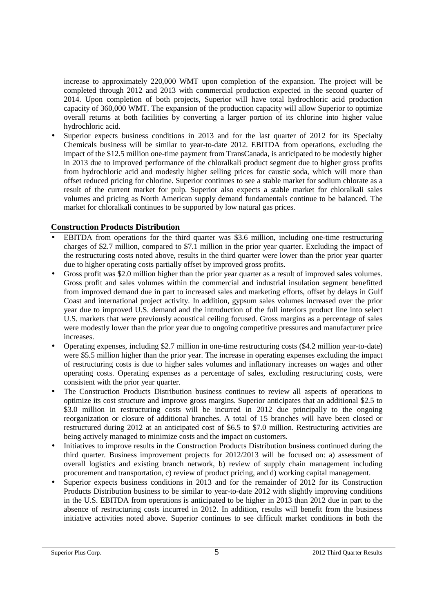increase to approximately 220,000 WMT upon completion of the expansion. The project will be completed through 2012 and 2013 with commercial production expected in the second quarter of 2014. Upon completion of both projects, Superior will have total hydrochloric acid production capacity of 360,000 WMT. The expansion of the production capacity will allow Superior to optimize overall returns at both facilities by converting a larger portion of its chlorine into higher value hydrochloric acid.

Superior expects business conditions in 2013 and for the last quarter of 2012 for its Specialty Chemicals business will be similar to year-to-date 2012. EBITDA from operations, excluding the impact of the \$12.5 million one-time payment from TransCanada, is anticipated to be modestly higher in 2013 due to improved performance of the chloralkali product segment due to higher gross profits from hydrochloric acid and modestly higher selling prices for caustic soda, which will more than offset reduced pricing for chlorine. Superior continues to see a stable market for sodium chlorate as a result of the current market for pulp. Superior also expects a stable market for chloralkali sales volumes and pricing as North American supply demand fundamentals continue to be balanced. The market for chloralkali continues to be supported by low natural gas prices.

# **Construction Products Distribution**

- EBITDA from operations for the third quarter was \$3.6 million, including one-time restructuring charges of \$2.7 million, compared to \$7.1 million in the prior year quarter. Excluding the impact of the restructuring costs noted above, results in the third quarter were lower than the prior year quarter due to higher operating costs partially offset by improved gross profits.
- Gross profit was \$2.0 million higher than the prior year quarter as a result of improved sales volumes. Gross profit and sales volumes within the commercial and industrial insulation segment benefitted from improved demand due in part to increased sales and marketing efforts, offset by delays in Gulf Coast and international project activity. In addition, gypsum sales volumes increased over the prior year due to improved U.S. demand and the introduction of the full interiors product line into select U.S. markets that were previously acoustical ceiling focused. Gross margins as a percentage of sales were modestly lower than the prior year due to ongoing competitive pressures and manufacturer price increases.
- Operating expenses, including \$2.7 million in one-time restructuring costs (\$4.2 million year-to-date) were \$5.5 million higher than the prior year. The increase in operating expenses excluding the impact of restructuring costs is due to higher sales volumes and inflationary increases on wages and other operating costs. Operating expenses as a percentage of sales, excluding restructuring costs, were consistent with the prior year quarter.
- The Construction Products Distribution business continues to review all aspects of operations to optimize its cost structure and improve gross margins. Superior anticipates that an additional \$2.5 to \$3.0 million in restructuring costs will be incurred in 2012 due principally to the ongoing reorganization or closure of additional branches. A total of 15 branches will have been closed or restructured during 2012 at an anticipated cost of \$6.5 to \$7.0 million. Restructuring activities are being actively managed to minimize costs and the impact on customers.
- Initiatives to improve results in the Construction Products Distribution business continued during the third quarter. Business improvement projects for 2012/2013 will be focused on: a) assessment of overall logistics and existing branch network, b) review of supply chain management including procurement and transportation, c) review of product pricing, and d) working capital management.
- Superior expects business conditions in 2013 and for the remainder of 2012 for its Construction Products Distribution business to be similar to year-to-date 2012 with slightly improving conditions in the U.S. EBITDA from operations is anticipated to be higher in 2013 than 2012 due in part to the absence of restructuring costs incurred in 2012. In addition, results will benefit from the business initiative activities noted above. Superior continues to see difficult market conditions in both the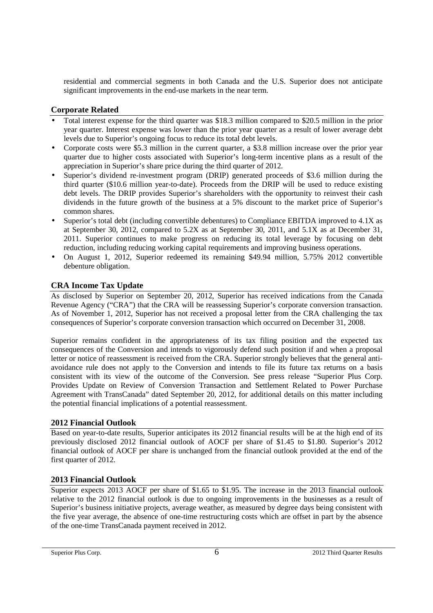residential and commercial segments in both Canada and the U.S. Superior does not anticipate significant improvements in the end-use markets in the near term.

# **Corporate Related**

- Total interest expense for the third quarter was \$18.3 million compared to \$20.5 million in the prior year quarter. Interest expense was lower than the prior year quarter as a result of lower average debt levels due to Superior's ongoing focus to reduce its total debt levels.
- Corporate costs were \$5.3 million in the current quarter, a \$3.8 million increase over the prior year quarter due to higher costs associated with Superior's long-term incentive plans as a result of the appreciation in Superior's share price during the third quarter of 2012.
- Superior's dividend re-investment program (DRIP) generated proceeds of \$3.6 million during the third quarter (\$10.6 million year-to-date). Proceeds from the DRIP will be used to reduce existing debt levels. The DRIP provides Superior's shareholders with the opportunity to reinvest their cash dividends in the future growth of the business at a 5% discount to the market price of Superior's common shares.
- Superior's total debt (including convertible debentures) to Compliance EBITDA improved to 4.1X as at September 30, 2012, compared to 5.2X as at September 30, 2011, and 5.1X as at December 31, 2011. Superior continues to make progress on reducing its total leverage by focusing on debt reduction, including reducing working capital requirements and improving business operations.
- On August 1, 2012, Superior redeemed its remaining \$49.94 million, 5.75% 2012 convertible debenture obligation.

# **CRA Income Tax Update**

As disclosed by Superior on September 20, 2012, Superior has received indications from the Canada Revenue Agency ("CRA") that the CRA will be reassessing Superior's corporate conversion transaction. As of November 1, 2012, Superior has not received a proposal letter from the CRA challenging the tax consequences of Superior's corporate conversion transaction which occurred on December 31, 2008.

Superior remains confident in the appropriateness of its tax filing position and the expected tax consequences of the Conversion and intends to vigorously defend such position if and when a proposal letter or notice of reassessment is received from the CRA. Superior strongly believes that the general antiavoidance rule does not apply to the Conversion and intends to file its future tax returns on a basis consistent with its view of the outcome of the Conversion. See press release "Superior Plus Corp. Provides Update on Review of Conversion Transaction and Settlement Related to Power Purchase Agreement with TransCanada" dated September 20, 2012, for additional details on this matter including the potential financial implications of a potential reassessment.

# **2012 Financial Outlook**

Based on year-to-date results, Superior anticipates its 2012 financial results will be at the high end of its previously disclosed 2012 financial outlook of AOCF per share of \$1.45 to \$1.80. Superior's 2012 financial outlook of AOCF per share is unchanged from the financial outlook provided at the end of the first quarter of 2012.

# **2013 Financial Outlook**

Superior expects 2013 AOCF per share of \$1.65 to \$1.95. The increase in the 2013 financial outlook relative to the 2012 financial outlook is due to ongoing improvements in the businesses as a result of Superior's business initiative projects, average weather, as measured by degree days being consistent with the five year average, the absence of one-time restructuring costs which are offset in part by the absence of the one-time TransCanada payment received in 2012.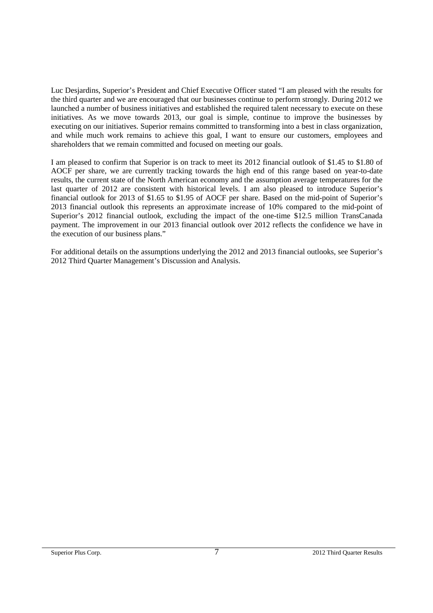Luc Desjardins, Superior's President and Chief Executive Officer stated "I am pleased with the results for the third quarter and we are encouraged that our businesses continue to perform strongly. During 2012 we launched a number of business initiatives and established the required talent necessary to execute on these initiatives. As we move towards 2013, our goal is simple, continue to improve the businesses by executing on our initiatives. Superior remains committed to transforming into a best in class organization, and while much work remains to achieve this goal, I want to ensure our customers, employees and shareholders that we remain committed and focused on meeting our goals.

I am pleased to confirm that Superior is on track to meet its 2012 financial outlook of \$1.45 to \$1.80 of AOCF per share, we are currently tracking towards the high end of this range based on year-to-date results, the current state of the North American economy and the assumption average temperatures for the last quarter of 2012 are consistent with historical levels. I am also pleased to introduce Superior's financial outlook for 2013 of \$1.65 to \$1.95 of AOCF per share. Based on the mid-point of Superior's 2013 financial outlook this represents an approximate increase of 10% compared to the mid-point of Superior's 2012 financial outlook, excluding the impact of the one-time \$12.5 million TransCanada payment. The improvement in our 2013 financial outlook over 2012 reflects the confidence we have in the execution of our business plans."

For additional details on the assumptions underlying the 2012 and 2013 financial outlooks, see Superior's 2012 Third Quarter Management's Discussion and Analysis.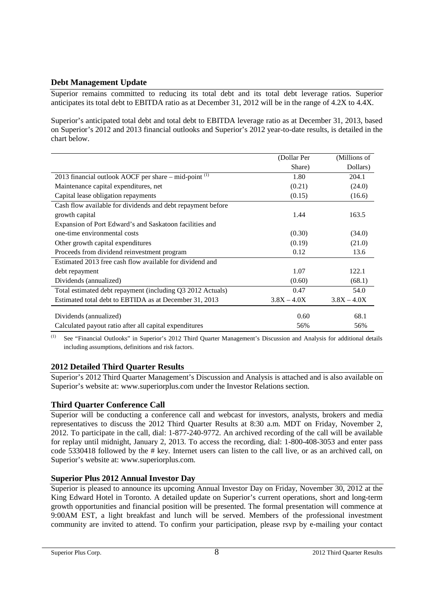# **Debt Management Update**

Superior remains committed to reducing its total debt and its total debt leverage ratios. Superior anticipates its total debt to EBITDA ratio as at December 31, 2012 will be in the range of 4.2X to 4.4X.

Superior's anticipated total debt and total debt to EBITDA leverage ratio as at December 31, 2013, based on Superior's 2012 and 2013 financial outlooks and Superior's 2012 year-to-date results, is detailed in the chart below.

|                                                             | (Dollar Per   | (Millions of  |
|-------------------------------------------------------------|---------------|---------------|
|                                                             | Share)        | Dollars)      |
| 2013 financial outlook AOCF per share – mid-point $(1)$     | 1.80          | 204.1         |
| Maintenance capital expenditures, net                       | (0.21)        | (24.0)        |
| Capital lease obligation repayments                         | (0.15)        | (16.6)        |
| Cash flow available for dividends and debt repayment before |               |               |
| growth capital                                              | 1.44          | 163.5         |
| Expansion of Port Edward's and Saskatoon facilities and     |               |               |
| one-time environmental costs                                | (0.30)        | (34.0)        |
| Other growth capital expenditures                           | (0.19)        | (21.0)        |
| Proceeds from dividend reinvestment program                 | 0.12          | 13.6          |
| Estimated 2013 free cash flow available for dividend and    |               |               |
| debt repayment                                              | 1.07          | 122.1         |
| Dividends (annualized)                                      | (0.60)        | (68.1)        |
| Total estimated debt repayment (including Q3 2012 Actuals)  | 0.47          | 54.0          |
| Estimated total debt to EBTIDA as at December 31, 2013      | $3.8X - 4.0X$ | $3.8X - 4.0X$ |
| Dividends (annualized)                                      | 0.60          | 68.1          |
| Calculated payout ratio after all capital expenditures      | 56%           | 56%           |

(1) See "Financial Outlooks" in Superior's 2012 Third Quarter Management's Discussion and Analysis for additional details including assumptions, definitions and risk factors.

# **2012 Detailed Third Quarter Results**

Superior's 2012 Third Quarter Management's Discussion and Analysis is attached and is also available on Superior's website at: www.superiorplus.com under the Investor Relations section.

# **Third Quarter Conference Call**

Superior will be conducting a conference call and webcast for investors, analysts, brokers and media representatives to discuss the 2012 Third Quarter Results at 8:30 a.m. MDT on Friday, November 2, 2012. To participate in the call, dial: 1-877-240-9772. An archived recording of the call will be available for replay until midnight, January 2, 2013. To access the recording, dial: 1-800-408-3053 and enter pass code 5330418 followed by the # key. Internet users can listen to the call live, or as an archived call, on Superior's website at: www.superiorplus.com.

# **Superior Plus 2012 Annual Investor Day**

Superior is pleased to announce its upcoming Annual Investor Day on Friday, November 30, 2012 at the King Edward Hotel in Toronto. A detailed update on Superior's current operations, short and long-term growth opportunities and financial position will be presented. The formal presentation will commence at 9:00AM EST, a light breakfast and lunch will be served. Members of the professional investment community are invited to attend. To confirm your participation, please rsvp by e-mailing your contact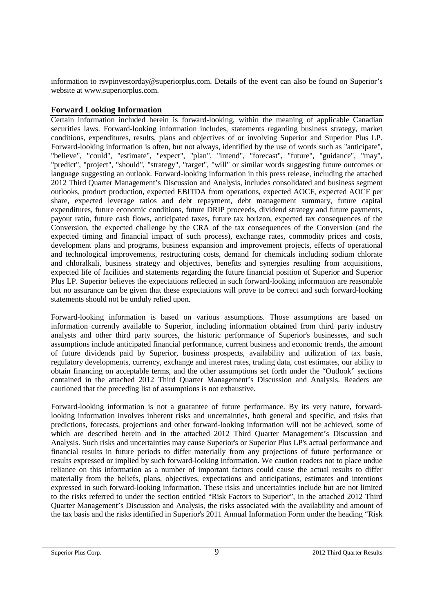information to rsvpinvestorday@superiorplus.com. Details of the event can also be found on Superior's website at www.superiorplus.com.

# **Forward Looking Information**

Certain information included herein is forward-looking, within the meaning of applicable Canadian securities laws. Forward-looking information includes, statements regarding business strategy, market conditions, expenditures, results, plans and objectives of or involving Superior and Superior Plus LP. Forward-looking information is often, but not always, identified by the use of words such as "anticipate", "believe", "could", "estimate", "expect", "plan", "intend", "forecast", "future", "guidance", "may", "predict", "project", "should", "strategy", "target", "will" or similar words suggesting future outcomes or language suggesting an outlook. Forward-looking information in this press release, including the attached 2012 Third Quarter Management's Discussion and Analysis, includes consolidated and business segment outlooks, product production, expected EBITDA from operations, expected AOCF, expected AOCF per share, expected leverage ratios and debt repayment, debt management summary, future capital expenditures, future economic conditions, future DRIP proceeds, dividend strategy and future payments, payout ratio, future cash flows, anticipated taxes, future tax horizon, expected tax consequences of the Conversion, the expected challenge by the CRA of the tax consequences of the Conversion (and the expected timing and financial impact of such process), exchange rates, commodity prices and costs, development plans and programs, business expansion and improvement projects, effects of operational and technological improvements, restructuring costs, demand for chemicals including sodium chlorate and chloralkali, business strategy and objectives, benefits and synergies resulting from acquisitions, expected life of facilities and statements regarding the future financial position of Superior and Superior Plus LP. Superior believes the expectations reflected in such forward-looking information are reasonable but no assurance can be given that these expectations will prove to be correct and such forward-looking statements should not be unduly relied upon.

Forward-looking information is based on various assumptions. Those assumptions are based on information currently available to Superior, including information obtained from third party industry analysts and other third party sources, the historic performance of Superior's businesses, and such assumptions include anticipated financial performance, current business and economic trends, the amount of future dividends paid by Superior, business prospects, availability and utilization of tax basis, regulatory developments, currency, exchange and interest rates, trading data, cost estimates, our ability to obtain financing on acceptable terms, and the other assumptions set forth under the "Outlook" sections contained in the attached 2012 Third Quarter Management's Discussion and Analysis. Readers are cautioned that the preceding list of assumptions is not exhaustive.

Forward-looking information is not a guarantee of future performance. By its very nature, forwardlooking information involves inherent risks and uncertainties, both general and specific, and risks that predictions, forecasts, projections and other forward-looking information will not be achieved, some of which are described herein and in the attached 2012 Third Quarter Management's Discussion and Analysis. Such risks and uncertainties may cause Superior's or Superior Plus LP's actual performance and financial results in future periods to differ materially from any projections of future performance or results expressed or implied by such forward-looking information. We caution readers not to place undue reliance on this information as a number of important factors could cause the actual results to differ materially from the beliefs, plans, objectives, expectations and anticipations, estimates and intentions expressed in such forward-looking information. These risks and uncertainties include but are not limited to the risks referred to under the section entitled "Risk Factors to Superior", in the attached 2012 Third Quarter Management's Discussion and Analysis, the risks associated with the availability and amount of the tax basis and the risks identified in Superior's 2011 Annual Information Form under the heading "Risk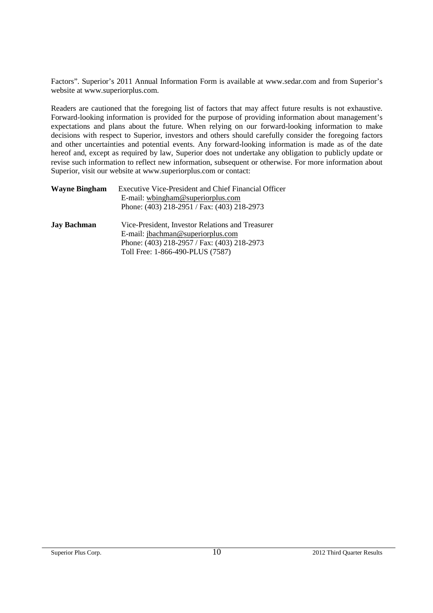Factors". Superior's 2011 Annual Information Form is available at www.sedar.com and from Superior's website at www.superiorplus.com.

Readers are cautioned that the foregoing list of factors that may affect future results is not exhaustive. Forward-looking information is provided for the purpose of providing information about management's expectations and plans about the future. When relying on our forward-looking information to make decisions with respect to Superior, investors and others should carefully consider the foregoing factors and other uncertainties and potential events. Any forward-looking information is made as of the date hereof and, except as required by law, Superior does not undertake any obligation to publicly update or revise such information to reflect new information, subsequent or otherwise. For more information about Superior, visit our website at www.superiorplus.com or contact:

| <b>Wayne Bingham</b> | Executive Vice-President and Chief Financial Officer |
|----------------------|------------------------------------------------------|
|                      | E-mail: wbingham@superiorplus.com                    |
|                      | Phone: (403) 218-2951 / Fax: (403) 218-2973          |
| <b>Jay Bachman</b>   | Vice-President, Investor Relations and Treasurer     |
|                      | E-mail: jbachman@superiorplus.com                    |
|                      | Phone: (403) 218-2957 / Fax: (403) 218-2973          |
|                      | Toll Free: 1-866-490-PLUS (7587)                     |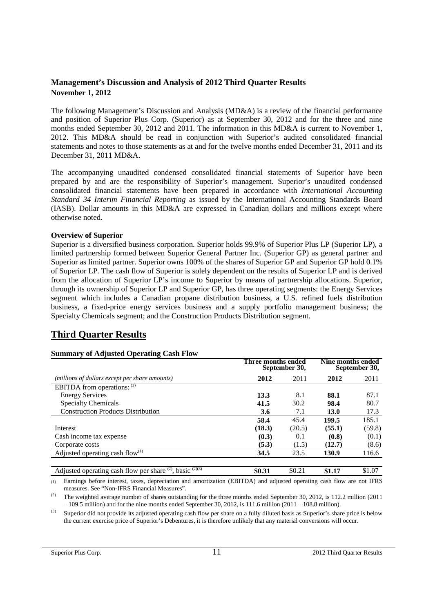# **Management's Discussion and Analysis of 2012 Third Quarter Results November 1, 2012**

The following Management's Discussion and Analysis (MD&A) is a review of the financial performance and position of Superior Plus Corp. (Superior) as at September 30, 2012 and for the three and nine months ended September 30, 2012 and 2011. The information in this MD&A is current to November 1, 2012. This MD&A should be read in conjunction with Superior's audited consolidated financial statements and notes to those statements as at and for the twelve months ended December 31, 2011 and its December 31, 2011 MD&A.

The accompanying unaudited condensed consolidated financial statements of Superior have been prepared by and are the responsibility of Superior's management. Superior's unaudited condensed consolidated financial statements have been prepared in accordance with *International Accounting Standard 34 Interim Financial Reporting* as issued by the International Accounting Standards Board (IASB). Dollar amounts in this MD&A are expressed in Canadian dollars and millions except where otherwise noted.

## **Overview of Superior**

Superior is a diversified business corporation. Superior holds 99.9% of Superior Plus LP (Superior LP), a limited partnership formed between Superior General Partner Inc. (Superior GP) as general partner and Superior as limited partner. Superior owns 100% of the shares of Superior GP and Superior GP hold 0.1% of Superior LP. The cash flow of Superior is solely dependent on the results of Superior LP and is derived from the allocation of Superior LP's income to Superior by means of partnership allocations. Superior, through its ownership of Superior LP and Superior GP, has three operating segments: the Energy Services segment which includes a Canadian propane distribution business, a U.S. refined fuels distribution business, a fixed-price energy services business and a supply portfolio management business; the Specialty Chemicals segment; and the Construction Products Distribution segment.

# **Third Quarter Results**

# **Summary of Adjusted Operating Cash Flow**

|                                                               | Three months ended<br>September 30, |        | Nine months ended<br>September 30, |        |
|---------------------------------------------------------------|-------------------------------------|--------|------------------------------------|--------|
| (millions of dollars except per share amounts)                | 2012                                | 2011   | 2012                               | 2011   |
| EBITDA from operations: $(1)$                                 |                                     |        |                                    |        |
| <b>Energy Services</b>                                        | 13.3                                | 8.1    | 88.1                               | 87.1   |
| <b>Specialty Chemicals</b>                                    | 41.5                                | 30.2   | 98.4                               | 80.7   |
| <b>Construction Products Distribution</b>                     | 3.6                                 | 7.1    | 13.0                               | 17.3   |
|                                                               | 58.4                                | 45.4   | 199.5                              | 185.1  |
| Interest                                                      | (18.3)                              | (20.5) | (55.1)                             | (59.8) |
| Cash income tax expense                                       | (0.3)                               | 0.1    | (0.8)                              | (0.1)  |
| Corporate costs                                               | (5.3)                               | (1.5)  | (12.7)                             | (8.6)  |
| Adjusted operating cash flow $^{(1)}$                         | 34.5                                | 23.5   | 130.9                              | 116.6  |
| Adjusted operating cash flow per share $(2)$ , basic $(2)(3)$ | \$0.31                              | \$0.21 | \$1.17                             | \$1.07 |

(1) Earnings before interest, taxes, depreciation and amortization (EBITDA) and adjusted operating cash flow are not IFRS measures. See "Non-IFRS Financial Measures".

<sup>(2)</sup> The weighted average number of shares outstanding for the three months ended September 30, 2012, is 112.2 million (2011) – 109.5 million) and for the nine months ended September 30, 2012, is 111.6 million (2011 – 108.8 million).

 $^{(3)}$  Superior did not provide its adjusted operating cash flow per share on a fully diluted basis as Superior's share price is below the current exercise price of Superior's Debentures, it is therefore unlikely that any material conversions will occur.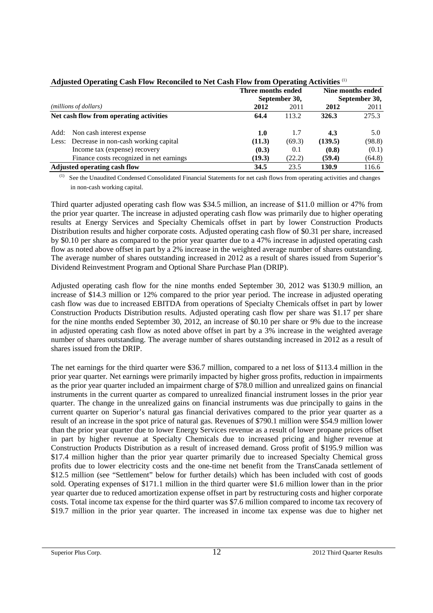|                       |                                            | Three months ended | September 30, | Nine months ended<br>September 30, |        |
|-----------------------|--------------------------------------------|--------------------|---------------|------------------------------------|--------|
| (millions of dollars) |                                            | 2012               | 2011          | 2012                               | 2011   |
|                       | Net cash flow from operating activities    | 64.4               | 113.2         | 326.3                              | 275.3  |
| Add:                  | Non cash interest expense                  | 1.0                | 1.7           | 4.3                                | 5.0    |
|                       | Less: Decrease in non-cash working capital | (11.3)             | (69.3)        | (139.5)                            | (98.8) |
|                       | Income tax (expense) recovery              | (0.3)              | 0.1           | (0.8)                              | (0.1)  |
|                       | Finance costs recognized in net earnings   | (19.3)             | (22.2)        | (59.4)                             | (64.8) |
|                       | <b>Adjusted operating cash flow</b>        | 34.5               | 23.5          | 130.9                              | 116.6  |

# **Adjusted Operating Cash Flow Reconciled to Net Cash Flow from Operating Activities** (1)

(1) See the Unaudited Condensed Consolidated Financial Statements for net cash flows from operating activities and changes in non-cash working capital.

Third quarter adjusted operating cash flow was \$34.5 million, an increase of \$11.0 million or 47% from the prior year quarter. The increase in adjusted operating cash flow was primarily due to higher operating results at Energy Services and Specialty Chemicals offset in part by lower Construction Products Distribution results and higher corporate costs. Adjusted operating cash flow of \$0.31 per share, increased by \$0.10 per share as compared to the prior year quarter due to a 47% increase in adjusted operating cash flow as noted above offset in part by a 2% increase in the weighted average number of shares outstanding. The average number of shares outstanding increased in 2012 as a result of shares issued from Superior's Dividend Reinvestment Program and Optional Share Purchase Plan (DRIP).

Adjusted operating cash flow for the nine months ended September 30, 2012 was \$130.9 million, an increase of \$14.3 million or 12% compared to the prior year period. The increase in adjusted operating cash flow was due to increased EBITDA from operations of Specialty Chemicals offset in part by lower Construction Products Distribution results. Adjusted operating cash flow per share was \$1.17 per share for the nine months ended September 30, 2012, an increase of \$0.10 per share or 9% due to the increase in adjusted operating cash flow as noted above offset in part by a 3% increase in the weighted average number of shares outstanding. The average number of shares outstanding increased in 2012 as a result of shares issued from the DRIP.

The net earnings for the third quarter were \$36.7 million, compared to a net loss of \$113.4 million in the prior year quarter. Net earnings were primarily impacted by higher gross profits, reduction in impairments as the prior year quarter included an impairment charge of \$78.0 million and unrealized gains on financial instruments in the current quarter as compared to unrealized financial instrument losses in the prior year quarter. The change in the unrealized gains on financial instruments was due principally to gains in the current quarter on Superior's natural gas financial derivatives compared to the prior year quarter as a result of an increase in the spot price of natural gas. Revenues of \$790.1 million were \$54.9 million lower than the prior year quarter due to lower Energy Services revenue as a result of lower propane prices offset in part by higher revenue at Specialty Chemicals due to increased pricing and higher revenue at Construction Products Distribution as a result of increased demand. Gross profit of \$195.9 million was \$17.4 million higher than the prior year quarter primarily due to increased Specialty Chemical gross profits due to lower electricity costs and the one-time net benefit from the TransCanada settlement of \$12.5 million (see "Settlement" below for further details) which has been included with cost of goods sold. Operating expenses of \$171.1 million in the third quarter were \$1.6 million lower than in the prior year quarter due to reduced amortization expense offset in part by restructuring costs and higher corporate costs. Total income tax expense for the third quarter was \$7.6 million compared to income tax recovery of \$19.7 million in the prior year quarter. The increased in income tax expense was due to higher net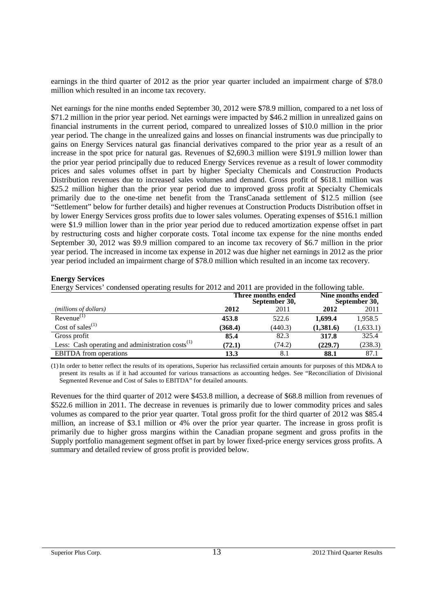earnings in the third quarter of 2012 as the prior year quarter included an impairment charge of \$78.0 million which resulted in an income tax recovery.

Net earnings for the nine months ended September 30, 2012 were \$78.9 million, compared to a net loss of \$71.2 million in the prior year period. Net earnings were impacted by \$46.2 million in unrealized gains on financial instruments in the current period, compared to unrealized losses of \$10.0 million in the prior year period. The change in the unrealized gains and losses on financial instruments was due principally to gains on Energy Services natural gas financial derivatives compared to the prior year as a result of an increase in the spot price for natural gas. Revenues of \$2,690.3 million were \$191.9 million lower than the prior year period principally due to reduced Energy Services revenue as a result of lower commodity prices and sales volumes offset in part by higher Specialty Chemicals and Construction Products Distribution revenues due to increased sales volumes and demand. Gross profit of \$618.1 million was \$25.2 million higher than the prior year period due to improved gross profit at Specialty Chemicals primarily due to the one-time net benefit from the TransCanada settlement of \$12.5 million (see "Settlement" below for further details) and higher revenues at Construction Products Distribution offset in by lower Energy Services gross profits due to lower sales volumes. Operating expenses of \$516.1 million were \$1.9 million lower than in the prior year period due to reduced amortization expense offset in part by restructuring costs and higher corporate costs. Total income tax expense for the nine months ended September 30, 2012 was \$9.9 million compared to an income tax recovery of \$6.7 million in the prior year period. The increased in income tax expense in 2012 was due higher net earnings in 2012 as the prior year period included an impairment charge of \$78.0 million which resulted in an income tax recovery.

# **Energy Services**

|  |  | Energy Services' condensed operating results for 2012 and 2011 are provided in the following table. |  |
|--|--|-----------------------------------------------------------------------------------------------------|--|
|--|--|-----------------------------------------------------------------------------------------------------|--|

|                                                              |         | Three months ended<br>September 30, | Nine months ended<br>September 30, |            |  |
|--------------------------------------------------------------|---------|-------------------------------------|------------------------------------|------------|--|
| (millions of dollars)                                        | 2012    | 2011                                | 2012                               | 2011       |  |
| $Revenue^{(1)}$                                              | 453.8   | 522.6                               | 1,699.4                            | 1,958.5    |  |
| Cost of sales <sup><math>(1)</math></sup>                    | (368.4) | (440.3)                             | (1,381.6)                          | (1, 633.1) |  |
| Gross profit                                                 | 85.4    | 82.3                                | 317.8                              | 325.4      |  |
| Less: Cash operating and administration costs <sup>(1)</sup> | (72.1)  | (74.2)                              | (229.7)                            | (238.3)    |  |
| <b>EBITDA</b> from operations                                | 13.3    | 8.1                                 | 88.1                               | 87.1       |  |

(1)In order to better reflect the results of its operations, Superior has reclassified certain amounts for purposes of this MD&A to present its results as if it had accounted for various transactions as accounting hedges. See "Reconciliation of Divisional Segmented Revenue and Cost of Sales to EBITDA" for detailed amounts.

Revenues for the third quarter of 2012 were \$453.8 million, a decrease of \$68.8 million from revenues of \$522.6 million in 2011. The decrease in revenues is primarily due to lower commodity prices and sales volumes as compared to the prior year quarter. Total gross profit for the third quarter of 2012 was \$85.4 million, an increase of \$3.1 million or 4% over the prior year quarter. The increase in gross profit is primarily due to higher gross margins within the Canadian propane segment and gross profits in the Supply portfolio management segment offset in part by lower fixed-price energy services gross profits. A summary and detailed review of gross profit is provided below.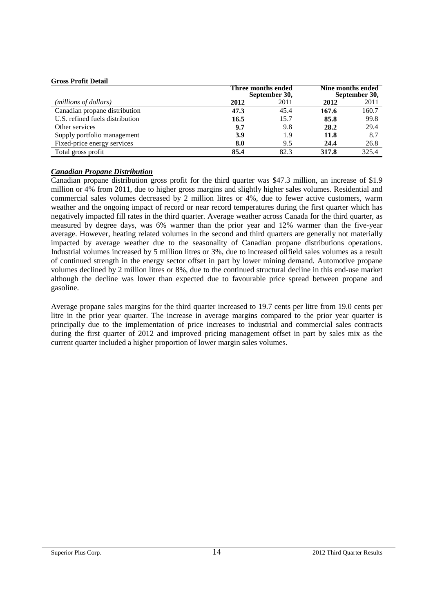#### **Gross Profit Detail**

|                                 | <b>Three months ended</b><br>September 30, | Nine months ended<br>September 30, |       |       |
|---------------------------------|--------------------------------------------|------------------------------------|-------|-------|
| (millions of dollars)           | 2012                                       | 2011                               | 2012  | 2011  |
| Canadian propane distribution   | 47.3                                       | 45.4                               | 167.6 | 160.7 |
| U.S. refined fuels distribution | 16.5                                       | 15.7                               | 85.8  | 99.8  |
| Other services                  | 9.7                                        | 9.8                                | 28.2  | 29.4  |
| Supply portfolio management     | 3.9                                        | 1.9                                | 11.8  | 8.7   |
| Fixed-price energy services     | 8.0                                        | 9.5                                | 24.4  | 26.8  |
| Total gross profit              | 85.4                                       | 82.3                               | 317.8 | 325.4 |

# *Canadian Propane Distribution*

Canadian propane distribution gross profit for the third quarter was \$47.3 million, an increase of \$1.9 million or 4% from 2011, due to higher gross margins and slightly higher sales volumes. Residential and commercial sales volumes decreased by 2 million litres or 4%, due to fewer active customers, warm weather and the ongoing impact of record or near record temperatures during the first quarter which has negatively impacted fill rates in the third quarter. Average weather across Canada for the third quarter, as measured by degree days, was 6% warmer than the prior year and 12% warmer than the five-year average. However, heating related volumes in the second and third quarters are generally not materially impacted by average weather due to the seasonality of Canadian propane distributions operations. Industrial volumes increased by 5 million litres or 3%, due to increased oilfield sales volumes as a result of continued strength in the energy sector offset in part by lower mining demand. Automotive propane volumes declined by 2 million litres or 8%, due to the continued structural decline in this end-use market although the decline was lower than expected due to favourable price spread between propane and gasoline.

Average propane sales margins for the third quarter increased to 19.7 cents per litre from 19.0 cents per litre in the prior year quarter. The increase in average margins compared to the prior year quarter is principally due to the implementation of price increases to industrial and commercial sales contracts during the first quarter of 2012 and improved pricing management offset in part by sales mix as the current quarter included a higher proportion of lower margin sales volumes.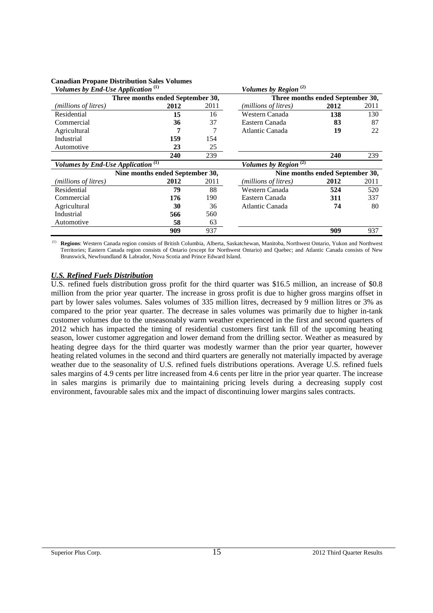| Volumes by End-Use Application $(1)$          |                                  |      | Volumes by Region <sup>(2)</sup> |                                  |      |
|-----------------------------------------------|----------------------------------|------|----------------------------------|----------------------------------|------|
|                                               | Three months ended September 30, |      |                                  | Three months ended September 30, |      |
| ( <i>millions of litres</i> )                 | 2012                             | 2011 | (millions of litres)             | 2012                             | 2011 |
| Residential                                   | 15                               | 16   | Western Canada                   | 138                              | 130  |
| Commercial                                    | 36                               | 37   | Eastern Canada                   | 83                               | 87   |
| Agricultural                                  | 7                                |      | Atlantic Canada                  | 19                               | 22   |
| Industrial                                    | 159                              | 154  |                                  |                                  |      |
| Automotive                                    | 23                               | 25   |                                  |                                  |      |
|                                               | 240                              | 239  |                                  | 240                              | 239  |
| Volumes by End-Use Application <sup>(1)</sup> |                                  |      | Volumes by Region <sup>(2)</sup> |                                  |      |
|                                               | Nine months ended September 30,  |      |                                  | Nine months ended September 30,  |      |
| ( <i>millions of litres</i> )                 | 2012                             | 2011 | (millions of litres)             | 2012                             | 2011 |
| Residential                                   | 79                               | 88   | Western Canada                   | 524                              | 520  |
| Commercial                                    | 176                              | 190  | Eastern Canada                   | 311                              | 337  |
| Agricultural                                  | 30                               | 36   | Atlantic Canada                  | 74                               | 80   |
| Industrial                                    | 566                              | 560  |                                  |                                  |      |
| Automotive                                    | 58                               | 63   |                                  |                                  |      |
|                                               |                                  | 937  |                                  | 909                              | 937  |

# **Canadian Propane Distribution Sales Volumes**

(1) **Regions**: Western Canada region consists of British Columbia, Alberta, Saskatchewan, Manitoba, Northwest Ontario, Yukon and Northwest Territories; Eastern Canada region consists of Ontario (except for Northwest Ontario) and Quebec; and Atlantic Canada consists of New Brunswick, Newfoundland & Labrador, Nova Scotia and Prince Edward Island.

# *U.S. Refined Fuels Distribution*

U.S. refined fuels distribution gross profit for the third quarter was \$16.5 million, an increase of \$0.8 million from the prior year quarter. The increase in gross profit is due to higher gross margins offset in part by lower sales volumes. Sales volumes of 335 million litres, decreased by 9 million litres or 3% as compared to the prior year quarter. The decrease in sales volumes was primarily due to higher in-tank customer volumes due to the unseasonably warm weather experienced in the first and second quarters of 2012 which has impacted the timing of residential customers first tank fill of the upcoming heating season, lower customer aggregation and lower demand from the drilling sector. Weather as measured by heating degree days for the third quarter was modestly warmer than the prior year quarter, however heating related volumes in the second and third quarters are generally not materially impacted by average weather due to the seasonality of U.S. refined fuels distributions operations. Average U.S. refined fuels sales margins of 4.9 cents per litre increased from 4.6 cents per litre in the prior year quarter. The increase in sales margins is primarily due to maintaining pricing levels during a decreasing supply cost environment, favourable sales mix and the impact of discontinuing lower margins sales contracts.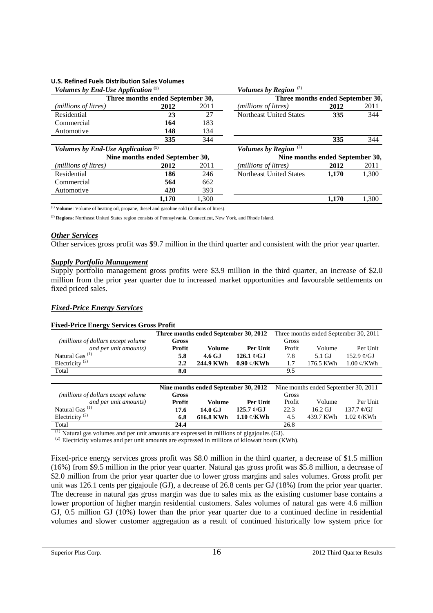| Volumes by End-Use Application $(1)$ |                                  |       | Volumes by Region $(2)$         |                                  |       |  |
|--------------------------------------|----------------------------------|-------|---------------------------------|----------------------------------|-------|--|
|                                      | Three months ended September 30, |       |                                 | Three months ended September 30, |       |  |
| (millions of litres)                 | 2012                             | 2011  | (millions of litres)            | 2012                             | 2011  |  |
| Residential                          | 23                               | 27    | Northeast United States         | 335                              | 344   |  |
| Commercial                           | 164                              | 183   |                                 |                                  |       |  |
| Automotive                           | 148                              | 134   |                                 |                                  |       |  |
|                                      | 335                              | 344   |                                 | 335                              | 344   |  |
| Volumes by End-Use Application $(1)$ |                                  |       | Volumes by Region $(2)$         |                                  |       |  |
|                                      | Nine months ended September 30,  |       | Nine months ended September 30, |                                  |       |  |
| ( <i>millions of litres</i> )        | 2012                             | 2011  | (millions of litres)            | 2012                             | 2011  |  |
| Residential                          | 186                              | 246   | Northeast United States         | 1.170                            | 1,300 |  |
| Commercial                           | 564                              | 662   |                                 |                                  |       |  |
| Automotive                           | 420                              | 393   |                                 |                                  |       |  |
|                                      | 1.170                            | 1.300 |                                 | 1.170                            | 1.300 |  |

#### **U.S. Refined Fuels Distribution Sales Volumes**

(1) **Volume**: Volume of heating oil, propane, diesel and gasoline sold (millions of litres).

(2) **Regions**: Northeast United States region consists of Pennsylvania, Connecticut, New York, and Rhode Island.

#### *Other Services*

Other services gross profit was \$9.7 million in the third quarter and consistent with the prior year quarter.

## *Supply Portfolio Management*

Supply portfolio management gross profits were \$3.9 million in the third quarter, an increase of \$2.0 million from the prior year quarter due to increased market opportunities and favourable settlements on fixed priced sales.

## *Fixed-Price Energy Services*

#### **Fixed-Price Energy Services Gross Profit**

|                                     |        | Three months ended September 30, 2012 |                        |        | Three months ended September 30, 2011 |                               |
|-------------------------------------|--------|---------------------------------------|------------------------|--------|---------------------------------------|-------------------------------|
| (millions of dollars except volume) | Gross  |                                       |                        | Gross  |                                       |                               |
| and per unit amounts)               | Profit | Volume                                | Per Unit               | Profit | Volume                                | Per Unit                      |
| Natural Gas $(1)$                   | 5.8    | 4.6 G.I                               | 126.1 $\mathcal{C}/GJ$ | 7.8    | 5.1 GJ                                | 152.9 $\mathcal{C}/\text{GJ}$ |
| Electricity <sup>(2)</sup>          | 2.2    | 244.9 KWh                             | 0.90 $\epsilon$ /KWh   | 1.7    | 176.5 KWh                             | $1.00 \ \text{\eKWh}$         |
| Total                               | 8.0    |                                       |                        | 9.5    |                                       |                               |
|                                     |        |                                       |                        |        |                                       |                               |

|                                         |        | Nine months ended September 30, 2012 |                                 |        | Nine months ended September 30, 2011 |                               |
|-----------------------------------------|--------|--------------------------------------|---------------------------------|--------|--------------------------------------|-------------------------------|
| (millions of dollars except volume)     | Gross  |                                      |                                 | Gross  |                                      |                               |
| and per unit amounts)                   | Profit | Volume                               | Per Unit                        | Profit | Volume                               | Per Unit                      |
| Natural Gas $(1)$                       | 17.6   | 14.0 G.I                             | 125.7 $\mathcal{C}/\mathbf{GJ}$ | 22.3   | $16.2 \text{ GJ}$                    | 137.7 $\mathcal{C}/\text{GL}$ |
| Electricity <sup><math>(2)</math></sup> | 6.8    | 616.8 KWh                            | 1.10 $\mathcal{C}/KWh$          | 4.5    | 439.7 KWh                            | 1.02 ¢/KWh                    |
| Total                                   | 24.4   |                                      |                                 | 26.8   |                                      |                               |

(1) Natural gas volumes and per unit amounts are expressed in millions of gigajoules (GJ).

 $^{(2)}$  Electricity volumes and per unit amounts are expressed in millions of kilowatt hours (KWh).

Fixed-price energy services gross profit was \$8.0 million in the third quarter, a decrease of \$1.5 million (16%) from \$9.5 million in the prior year quarter. Natural gas gross profit was \$5.8 million, a decrease of \$2.0 million from the prior year quarter due to lower gross margins and sales volumes. Gross profit per unit was 126.1 cents per gigajoule (GJ), a decrease of 26.8 cents per GJ (18%) from the prior year quarter. The decrease in natural gas gross margin was due to sales mix as the existing customer base contains a lower proportion of higher margin residential customers. Sales volumes of natural gas were 4.6 million GJ, 0.5 million GJ (10%) lower than the prior year quarter due to a continued decline in residential volumes and slower customer aggregation as a result of continued historically low system price for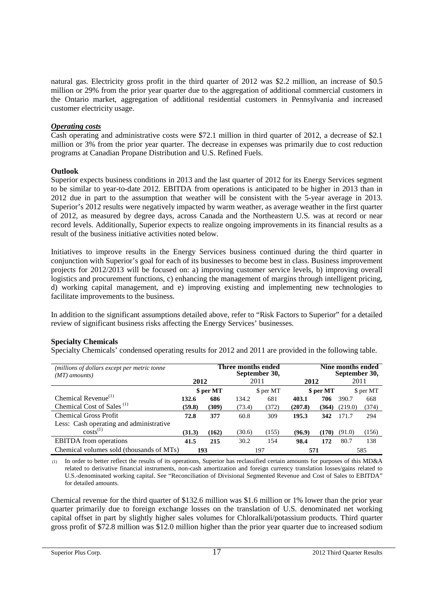natural gas. Electricity gross profit in the third quarter of 2012 was \$2.2 million, an increase of \$0.5 million or 29% from the prior year quarter due to the aggregation of additional commercial customers in the Ontario market, aggregation of additional residential customers in Pennsylvania and increased customer electricity usage.

# *Operating costs*

Cash operating and administrative costs were \$72.1 million in third quarter of 2012, a decrease of \$2.1 million or 3% from the prior year quarter. The decrease in expenses was primarily due to cost reduction programs at Canadian Propane Distribution and U.S. Refined Fuels.

# **Outlook**

Superior expects business conditions in 2013 and the last quarter of 2012 for its Energy Services segment to be similar to year-to-date 2012. EBITDA from operations is anticipated to be higher in 2013 than in 2012 due in part to the assumption that weather will be consistent with the 5-year average in 2013. Superior's 2012 results were negatively impacted by warm weather, as average weather in the first quarter of 2012, as measured by degree days, across Canada and the Northeastern U.S. was at record or near record levels. Additionally, Superior expects to realize ongoing improvements in its financial results as a result of the business initiative activities noted below.

Initiatives to improve results in the Energy Services business continued during the third quarter in conjunction with Superior's goal for each of its businesses to become best in class. Business improvement projects for 2012/2013 will be focused on: a) improving customer service levels, b) improving overall logistics and procurement functions, c) enhancing the management of margins through intelligent pricing, d) working capital management, and e) improving existing and implementing new technologies to facilitate improvements to the business.

In addition to the significant assumptions detailed above, refer to "Risk Factors to Superior" for a detailed review of significant business risks affecting the Energy Services' businesses.

# **Specialty Chemicals**

Specialty Chemicals' condensed operating results for 2012 and 2011 are provided in the following table.

| (millions of dollars except per metric tonne<br>$(MT)$ amounts) | Three months ended<br>September 30, |           |        |           | Nine months ended<br>September 30, |           |         |           |
|-----------------------------------------------------------------|-------------------------------------|-----------|--------|-----------|------------------------------------|-----------|---------|-----------|
|                                                                 | 2012                                |           | 2011   |           | 2012                               |           | 2011    |           |
|                                                                 |                                     | \$ per MT |        | \$ per MT |                                    | \$ per MT |         | \$ per MT |
| Chemical Revenue <sup>(1)</sup>                                 | 132.6                               | 686       | 134.2  | 681       | 403.1                              | 706       | 390.7   | 668       |
| Chemical Cost of Sales <sup>(1)</sup>                           | (59.8)                              | (309)     | (73.4) | (372)     | (207.8)                            | (364)     | (219.0) | (374)     |
| <b>Chemical Gross Profit</b>                                    | 72.8                                | 377       | 60.8   | 309       | 195.3                              | 342       | 171.7   | 294       |
| Less: Cash operating and administrative                         |                                     |           |        |           |                                    |           |         |           |
| $costs^{(1)}$                                                   | (31.3)                              | (162)     | (30.6) | (155)     | (96.9)                             | (170)     | (91.0)  | (156)     |
| <b>EBITDA</b> from operations                                   | 41.5                                | 215       | 30.2   | 154       | 98.4                               | 172       | 80.7    | 138       |
| Chemical volumes sold (thousands of MTs)                        | 193                                 |           |        | 197       | 571                                |           |         | 585       |

(1) In order to better reflect the results of its operations, Superior has reclassified certain amounts for purposes of this MD&A related to derivative financial instruments, non-cash amortization and foreign currency translation losses/gains related to U.S.-denominated working capital. See "Reconciliation of Divisional Segmented Revenue and Cost of Sales to EBITDA" for detailed amounts.

Chemical revenue for the third quarter of \$132.6 million was \$1.6 million or 1% lower than the prior year quarter primarily due to foreign exchange losses on the translation of U.S. denominated net working capital offset in part by slightly higher sales volumes for Chloralkali/potassium products. Third quarter gross profit of \$72.8 million was \$12.0 million higher than the prior year quarter due to increased sodium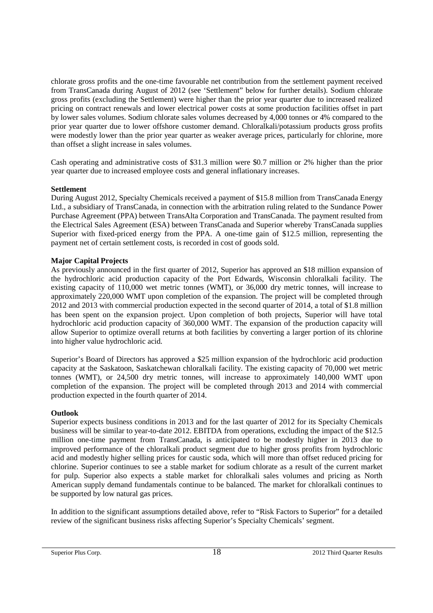chlorate gross profits and the one-time favourable net contribution from the settlement payment received from TransCanada during August of 2012 (see 'Settlement" below for further details). Sodium chlorate gross profits (excluding the Settlement) were higher than the prior year quarter due to increased realized pricing on contract renewals and lower electrical power costs at some production facilities offset in part by lower sales volumes. Sodium chlorate sales volumes decreased by 4,000 tonnes or 4% compared to the prior year quarter due to lower offshore customer demand. Chloralkali/potassium products gross profits were modestly lower than the prior year quarter as weaker average prices, particularly for chlorine, more than offset a slight increase in sales volumes.

Cash operating and administrative costs of \$31.3 million were \$0.7 million or 2% higher than the prior year quarter due to increased employee costs and general inflationary increases.

# **Settlement**

During August 2012, Specialty Chemicals received a payment of \$15.8 million from TransCanada Energy Ltd., a subsidiary of TransCanada, in connection with the arbitration ruling related to the Sundance Power Purchase Agreement (PPA) between TransAlta Corporation and TransCanada. The payment resulted from the Electrical Sales Agreement (ESA) between TransCanada and Superior whereby TransCanada supplies Superior with fixed-priced energy from the PPA. A one-time gain of \$12.5 million, representing the payment net of certain settlement costs, is recorded in cost of goods sold.

# **Major Capital Projects**

As previously announced in the first quarter of 2012, Superior has approved an \$18 million expansion of the hydrochloric acid production capacity of the Port Edwards, Wisconsin chloralkali facility. The existing capacity of 110,000 wet metric tonnes (WMT), or 36,000 dry metric tonnes, will increase to approximately 220,000 WMT upon completion of the expansion. The project will be completed through 2012 and 2013 with commercial production expected in the second quarter of 2014, a total of \$1.8 million has been spent on the expansion project. Upon completion of both projects, Superior will have total hydrochloric acid production capacity of 360,000 WMT. The expansion of the production capacity will allow Superior to optimize overall returns at both facilities by converting a larger portion of its chlorine into higher value hydrochloric acid.

Superior's Board of Directors has approved a \$25 million expansion of the hydrochloric acid production capacity at the Saskatoon, Saskatchewan chloralkali facility. The existing capacity of 70,000 wet metric tonnes (WMT), or 24,500 dry metric tonnes, will increase to approximately 140,000 WMT upon completion of the expansion. The project will be completed through 2013 and 2014 with commercial production expected in the fourth quarter of 2014.

# **Outlook**

Superior expects business conditions in 2013 and for the last quarter of 2012 for its Specialty Chemicals business will be similar to year-to-date 2012. EBITDA from operations, excluding the impact of the \$12.5 million one-time payment from TransCanada, is anticipated to be modestly higher in 2013 due to improved performance of the chloralkali product segment due to higher gross profits from hydrochloric acid and modestly higher selling prices for caustic soda, which will more than offset reduced pricing for chlorine. Superior continues to see a stable market for sodium chlorate as a result of the current market for pulp. Superior also expects a stable market for chloralkali sales volumes and pricing as North American supply demand fundamentals continue to be balanced. The market for chloralkali continues to be supported by low natural gas prices.

In addition to the significant assumptions detailed above, refer to "Risk Factors to Superior" for a detailed review of the significant business risks affecting Superior's Specialty Chemicals' segment.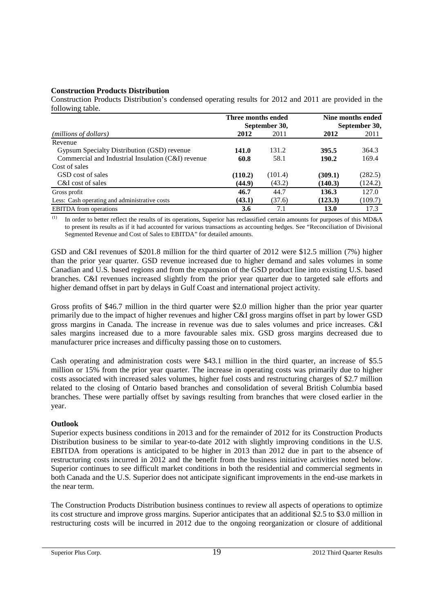## **Construction Products Distribution**

Construction Products Distribution's condensed operating results for 2012 and 2011 are provided in the following table.

|                                                    | Three months ended |               | Nine months ended |         |  |
|----------------------------------------------------|--------------------|---------------|-------------------|---------|--|
|                                                    |                    | September 30, | September 30,     |         |  |
| ( <i>millions of dollars</i> )                     | 2012               | 2011          | 2012              | 2011    |  |
| Revenue                                            |                    |               |                   |         |  |
| Gypsum Specialty Distribution (GSD) revenue        | 141.0              | 131.2         | 395.5             | 364.3   |  |
| Commercial and Industrial Insulation (C&I) revenue | 60.8               | 58.1          | 190.2             | 169.4   |  |
| Cost of sales                                      |                    |               |                   |         |  |
| GSD cost of sales                                  | (110.2)            | (101.4)       | (309.1)           | (282.5) |  |
| C&I cost of sales                                  | (44.9)             | (43.2)        | (140.3)           | (124.2) |  |
| Gross profit                                       | 46.7               | 44.7          | 136.3             | 127.0   |  |
| Less: Cash operating and administrative costs      | (43.1)             | (37.6)        | (123.3)           | (109.7) |  |
| <b>EBITDA</b> from operations                      | 3.6                | 7.1           | 13.0              | 17.3    |  |

In order to better reflect the results of its operations, Superior has reclassified certain amounts for purposes of this MD&A to present its results as if it had accounted for various transactions as accounting hedges. See "Reconciliation of Divisional Segmented Revenue and Cost of Sales to EBITDA" for detailed amounts.

GSD and C&I revenues of \$201.8 million for the third quarter of 2012 were \$12.5 million (7%) higher than the prior year quarter. GSD revenue increased due to higher demand and sales volumes in some Canadian and U.S. based regions and from the expansion of the GSD product line into existing U.S. based branches. C&I revenues increased slightly from the prior year quarter due to targeted sale efforts and higher demand offset in part by delays in Gulf Coast and international project activity.

Gross profits of \$46.7 million in the third quarter were \$2.0 million higher than the prior year quarter primarily due to the impact of higher revenues and higher C&I gross margins offset in part by lower GSD gross margins in Canada. The increase in revenue was due to sales volumes and price increases. C&I sales margins increased due to a more favourable sales mix. GSD gross margins decreased due to manufacturer price increases and difficulty passing those on to customers.

Cash operating and administration costs were \$43.1 million in the third quarter, an increase of \$5.5 million or 15% from the prior year quarter. The increase in operating costs was primarily due to higher costs associated with increased sales volumes, higher fuel costs and restructuring charges of \$2.7 million related to the closing of Ontario based branches and consolidation of several British Columbia based branches. These were partially offset by savings resulting from branches that were closed earlier in the year.

# **Outlook**

Superior expects business conditions in 2013 and for the remainder of 2012 for its Construction Products Distribution business to be similar to year-to-date 2012 with slightly improving conditions in the U.S. EBITDA from operations is anticipated to be higher in 2013 than 2012 due in part to the absence of restructuring costs incurred in 2012 and the benefit from the business initiative activities noted below. Superior continues to see difficult market conditions in both the residential and commercial segments in both Canada and the U.S. Superior does not anticipate significant improvements in the end-use markets in the near term.

The Construction Products Distribution business continues to review all aspects of operations to optimize its cost structure and improve gross margins. Superior anticipates that an additional \$2.5 to \$3.0 million in restructuring costs will be incurred in 2012 due to the ongoing reorganization or closure of additional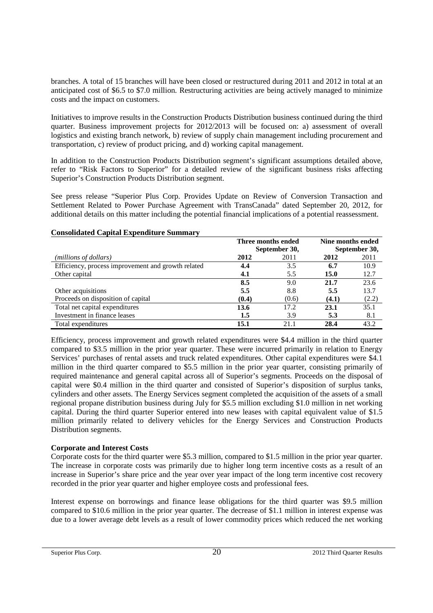branches. A total of 15 branches will have been closed or restructured during 2011 and 2012 in total at an anticipated cost of \$6.5 to \$7.0 million. Restructuring activities are being actively managed to minimize costs and the impact on customers.

Initiatives to improve results in the Construction Products Distribution business continued during the third quarter. Business improvement projects for 2012/2013 will be focused on: a) assessment of overall logistics and existing branch network, b) review of supply chain management including procurement and transportation, c) review of product pricing, and d) working capital management.

In addition to the Construction Products Distribution segment's significant assumptions detailed above, refer to "Risk Factors to Superior" for a detailed review of the significant business risks affecting Superior's Construction Products Distribution segment.

See press release "Superior Plus Corp. Provides Update on Review of Conversion Transaction and Settlement Related to Power Purchase Agreement with TransCanada" dated September 20, 2012, for additional details on this matter including the potential financial implications of a potential reassessment.

|                                                    |         | Three months ended | Nine months ended |               |
|----------------------------------------------------|---------|--------------------|-------------------|---------------|
|                                                    |         | September 30,      |                   | September 30, |
| (millions of dollars)                              | 2012    | 2011               | 2012              | 2011          |
| Efficiency, process improvement and growth related | 4.4     | 3.5                | 6.7               | 10.9          |
| Other capital                                      | 4.1     | 5.5                | 15.0              | 12.7          |
|                                                    | 8.5     | 9.0                | 21.7              | 23.6          |
| Other acquisitions                                 | 5.5     | 8.8                | 5.5               | 13.7          |
| Proceeds on disposition of capital                 | (0.4)   | (0.6)              | (4.1)             | (2.2)         |
| Total net capital expenditures                     | 13.6    | 17.2               | 23.1              | 35.1          |
| Investment in finance leases                       | $1.5\,$ | 3.9                | 5.3               | 8.1           |
| Total expenditures                                 | 15.1    | 21.1               | 28.4              | 43.2          |

# **Consolidated Capital Expenditure Summary**

Efficiency, process improvement and growth related expenditures were \$4.4 million in the third quarter compared to \$3.5 million in the prior year quarter. These were incurred primarily in relation to Energy Services' purchases of rental assets and truck related expenditures. Other capital expenditures were \$4.1 million in the third quarter compared to \$5.5 million in the prior year quarter, consisting primarily of required maintenance and general capital across all of Superior's segments. Proceeds on the disposal of capital were \$0.4 million in the third quarter and consisted of Superior's disposition of surplus tanks, cylinders and other assets. The Energy Services segment completed the acquisition of the assets of a small regional propane distribution business during July for \$5.5 million excluding \$1.0 million in net working capital. During the third quarter Superior entered into new leases with capital equivalent value of \$1.5 million primarily related to delivery vehicles for the Energy Services and Construction Products Distribution segments.

# **Corporate and Interest Costs**

Corporate costs for the third quarter were \$5.3 million, compared to \$1.5 million in the prior year quarter. The increase in corporate costs was primarily due to higher long term incentive costs as a result of an increase in Superior's share price and the year over year impact of the long term incentive cost recovery recorded in the prior year quarter and higher employee costs and professional fees.

Interest expense on borrowings and finance lease obligations for the third quarter was \$9.5 million compared to \$10.6 million in the prior year quarter. The decrease of \$1.1 million in interest expense was due to a lower average debt levels as a result of lower commodity prices which reduced the net working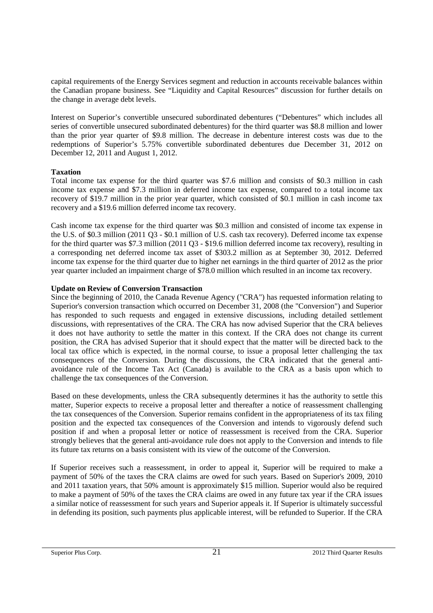capital requirements of the Energy Services segment and reduction in accounts receivable balances within the Canadian propane business. See "Liquidity and Capital Resources" discussion for further details on the change in average debt levels.

Interest on Superior's convertible unsecured subordinated debentures ("Debentures" which includes all series of convertible unsecured subordinated debentures) for the third quarter was \$8.8 million and lower than the prior year quarter of \$9.8 million. The decrease in debenture interest costs was due to the redemptions of Superior's 5.75% convertible subordinated debentures due December 31, 2012 on December 12, 2011 and August 1, 2012.

# **Taxation**

Total income tax expense for the third quarter was \$7.6 million and consists of \$0.3 million in cash income tax expense and \$7.3 million in deferred income tax expense, compared to a total income tax recovery of \$19.7 million in the prior year quarter, which consisted of \$0.1 million in cash income tax recovery and a \$19.6 million deferred income tax recovery.

Cash income tax expense for the third quarter was \$0.3 million and consisted of income tax expense in the U.S. of \$0.3 million (2011 Q3 - \$0.1 million of U.S. cash tax recovery). Deferred income tax expense for the third quarter was \$7.3 million (2011 Q3 - \$19.6 million deferred income tax recovery), resulting in a corresponding net deferred income tax asset of \$303.2 million as at September 30, 2012. Deferred income tax expense for the third quarter due to higher net earnings in the third quarter of 2012 as the prior year quarter included an impairment charge of \$78.0 million which resulted in an income tax recovery.

# **Update on Review of Conversion Transaction**

Since the beginning of 2010, the Canada Revenue Agency ("CRA") has requested information relating to Superior's conversion transaction which occurred on December 31, 2008 (the "Conversion") and Superior has responded to such requests and engaged in extensive discussions, including detailed settlement discussions, with representatives of the CRA. The CRA has now advised Superior that the CRA believes it does not have authority to settle the matter in this context. If the CRA does not change its current position, the CRA has advised Superior that it should expect that the matter will be directed back to the local tax office which is expected, in the normal course, to issue a proposal letter challenging the tax consequences of the Conversion. During the discussions, the CRA indicated that the general antiavoidance rule of the Income Tax Act (Canada) is available to the CRA as a basis upon which to challenge the tax consequences of the Conversion.

Based on these developments, unless the CRA subsequently determines it has the authority to settle this matter, Superior expects to receive a proposal letter and thereafter a notice of reassessment challenging the tax consequences of the Conversion. Superior remains confident in the appropriateness of its tax filing position and the expected tax consequences of the Conversion and intends to vigorously defend such position if and when a proposal letter or notice of reassessment is received from the CRA. Superior strongly believes that the general anti-avoidance rule does not apply to the Conversion and intends to file its future tax returns on a basis consistent with its view of the outcome of the Conversion.

If Superior receives such a reassessment, in order to appeal it, Superior will be required to make a payment of 50% of the taxes the CRA claims are owed for such years. Based on Superior's 2009, 2010 and 2011 taxation years, that 50% amount is approximately \$15 million. Superior would also be required to make a payment of 50% of the taxes the CRA claims are owed in any future tax year if the CRA issues a similar notice of reassessment for such years and Superior appeals it. If Superior is ultimately successful in defending its position, such payments plus applicable interest, will be refunded to Superior. If the CRA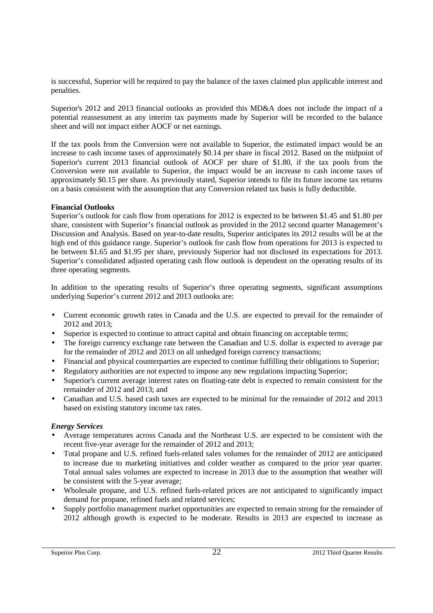is successful, Superior will be required to pay the balance of the taxes claimed plus applicable interest and penalties.

Superior's 2012 and 2013 financial outlooks as provided this MD&A does not include the impact of a potential reassessment as any interim tax payments made by Superior will be recorded to the balance sheet and will not impact either AOCF or net earnings.

If the tax pools from the Conversion were not available to Superior, the estimated impact would be an increase to cash income taxes of approximately \$0.14 per share in fiscal 2012. Based on the midpoint of Superior's current 2013 financial outlook of AOCF per share of \$1.80, if the tax pools from the Conversion were not available to Superior, the impact would be an increase to cash income taxes of approximately \$0.15 per share. As previously stated, Superior intends to file its future income tax returns on a basis consistent with the assumption that any Conversion related tax basis is fully deductible.

## **Financial Outlooks**

Superior's outlook for cash flow from operations for 2012 is expected to be between \$1.45 and \$1.80 per share, consistent with Superior's financial outlook as provided in the 2012 second quarter Management's Discussion and Analysis. Based on year-to-date results, Superior anticipates its 2012 results will be at the high end of this guidance range. Superior's outlook for cash flow from operations for 2013 is expected to be between \$1.65 and \$1.95 per share, previously Superior had not disclosed its expectations for 2013. Superior's consolidated adjusted operating cash flow outlook is dependent on the operating results of its three operating segments.

In addition to the operating results of Superior's three operating segments, significant assumptions underlying Superior's current 2012 and 2013 outlooks are:

- Current economic growth rates in Canada and the U.S. are expected to prevail for the remainder of 2012 and 2013;
- Superior is expected to continue to attract capital and obtain financing on acceptable terms;
- The foreign currency exchange rate between the Canadian and U.S. dollar is expected to average par for the remainder of 2012 and 2013 on all unhedged foreign currency transactions;
- Financial and physical counterparties are expected to continue fulfilling their obligations to Superior;
- Regulatory authorities are not expected to impose any new regulations impacting Superior;
- Superior's current average interest rates on floating-rate debt is expected to remain consistent for the remainder of 2012 and 2013; and
- Canadian and U.S. based cash taxes are expected to be minimal for the remainder of 2012 and 2013 based on existing statutory income tax rates.

# *Energy Services*

- Average temperatures across Canada and the Northeast U.S. are expected to be consistent with the recent five-year average for the remainder of 2012 and 2013;
- Total propane and U.S. refined fuels-related sales volumes for the remainder of 2012 are anticipated to increase due to marketing initiatives and colder weather as compared to the prior year quarter. Total annual sales volumes are expected to increase in 2013 due to the assumption that weather will be consistent with the 5-year average;
- Wholesale propane, and U.S. refined fuels-related prices are not anticipated to significantly impact demand for propane, refined fuels and related services;
- Supply portfolio management market opportunities are expected to remain strong for the remainder of 2012 although growth is expected to be moderate. Results in 2013 are expected to increase as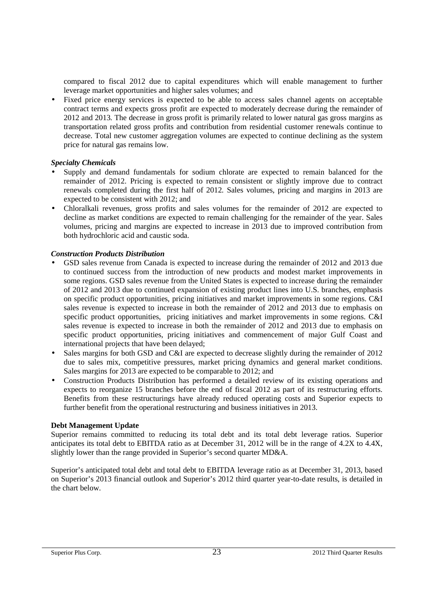compared to fiscal 2012 due to capital expenditures which will enable management to further leverage market opportunities and higher sales volumes; and

Fixed price energy services is expected to be able to access sales channel agents on acceptable contract terms and expects gross profit are expected to moderately decrease during the remainder of 2012 and 2013. The decrease in gross profit is primarily related to lower natural gas gross margins as transportation related gross profits and contribution from residential customer renewals continue to decrease. Total new customer aggregation volumes are expected to continue declining as the system price for natural gas remains low.

# *Specialty Chemicals*

- Supply and demand fundamentals for sodium chlorate are expected to remain balanced for the remainder of 2012. Pricing is expected to remain consistent or slightly improve due to contract renewals completed during the first half of 2012. Sales volumes, pricing and margins in 2013 are expected to be consistent with 2012; and
- Chloralkali revenues, gross profits and sales volumes for the remainder of 2012 are expected to decline as market conditions are expected to remain challenging for the remainder of the year. Sales volumes, pricing and margins are expected to increase in 2013 due to improved contribution from both hydrochloric acid and caustic soda.

# *Construction Products Distribution*

- GSD sales revenue from Canada is expected to increase during the remainder of 2012 and 2013 due to continued success from the introduction of new products and modest market improvements in some regions. GSD sales revenue from the United States is expected to increase during the remainder of 2012 and 2013 due to continued expansion of existing product lines into U.S. branches, emphasis on specific product opportunities, pricing initiatives and market improvements in some regions. C&I sales revenue is expected to increase in both the remainder of 2012 and 2013 due to emphasis on specific product opportunities, pricing initiatives and market improvements in some regions. C&I sales revenue is expected to increase in both the remainder of 2012 and 2013 due to emphasis on specific product opportunities, pricing initiatives and commencement of major Gulf Coast and international projects that have been delayed;
- Sales margins for both GSD and C&I are expected to decrease slightly during the remainder of 2012 due to sales mix, competitive pressures, market pricing dynamics and general market conditions. Sales margins for 2013 are expected to be comparable to 2012; and
- Construction Products Distribution has performed a detailed review of its existing operations and expects to reorganize 15 branches before the end of fiscal 2012 as part of its restructuring efforts. Benefits from these restructurings have already reduced operating costs and Superior expects to further benefit from the operational restructuring and business initiatives in 2013.

## **Debt Management Update**

Superior remains committed to reducing its total debt and its total debt leverage ratios. Superior anticipates its total debt to EBITDA ratio as at December 31, 2012 will be in the range of 4.2X to 4.4X, slightly lower than the range provided in Superior's second quarter MD&A.

Superior's anticipated total debt and total debt to EBITDA leverage ratio as at December 31, 2013, based on Superior's 2013 financial outlook and Superior's 2012 third quarter year-to-date results, is detailed in the chart below.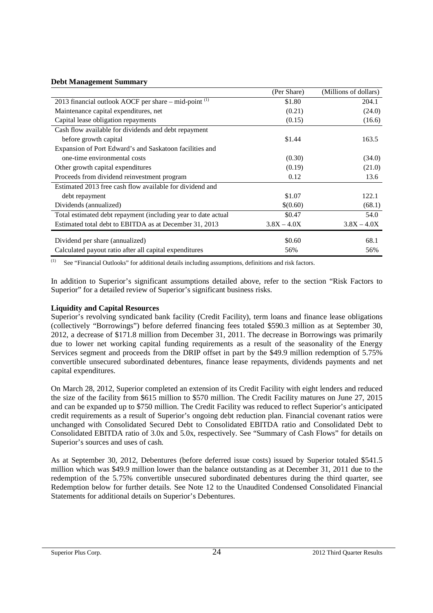#### **Debt Management Summary**

|                                                                  | (Per Share)   | (Millions of dollars) |
|------------------------------------------------------------------|---------------|-----------------------|
| 2013 financial outlook AOCF per share – mid-point <sup>(1)</sup> | \$1.80        | 204.1                 |
| Maintenance capital expenditures, net                            | (0.21)        | (24.0)                |
| Capital lease obligation repayments                              | (0.15)        | (16.6)                |
| Cash flow available for dividends and debt repayment             |               |                       |
| before growth capital                                            | \$1.44        | 163.5                 |
| Expansion of Port Edward's and Saskatoon facilities and          |               |                       |
| one-time environmental costs                                     | (0.30)        | (34.0)                |
| Other growth capital expenditures                                | (0.19)        | (21.0)                |
| Proceeds from dividend reinvestment program                      | 0.12          | 13.6                  |
| Estimated 2013 free cash flow available for dividend and         |               |                       |
| debt repayment                                                   | \$1.07        | 122.1                 |
| Dividends (annualized)                                           | \$(0.60)      | (68.1)                |
| Total estimated debt repayment (including year to date actual    | \$0.47        | 54.0                  |
| Estimated total debt to EBITDA as at December 31, 2013           | $3.8X - 4.0X$ | $3.8X - 4.0X$         |
|                                                                  |               |                       |
| Dividend per share (annualized)                                  | \$0.60        | 68.1                  |
| Calculated payout ratio after all capital expenditures           | 56%           | 56%                   |

(1) See "Financial Outlooks" for additional details including assumptions, definitions and risk factors.

In addition to Superior's significant assumptions detailed above, refer to the section "Risk Factors to Superior" for a detailed review of Superior's significant business risks.

## **Liquidity and Capital Resources**

Superior's revolving syndicated bank facility (Credit Facility), term loans and finance lease obligations (collectively "Borrowings") before deferred financing fees totaled \$590.3 million as at September 30, 2012, a decrease of \$171.8 million from December 31, 2011. The decrease in Borrowings was primarily due to lower net working capital funding requirements as a result of the seasonality of the Energy Services segment and proceeds from the DRIP offset in part by the \$49.9 million redemption of 5.75% convertible unsecured subordinated debentures, finance lease repayments, dividends payments and net capital expenditures.

On March 28, 2012, Superior completed an extension of its Credit Facility with eight lenders and reduced the size of the facility from \$615 million to \$570 million. The Credit Facility matures on June 27, 2015 and can be expanded up to \$750 million. The Credit Facility was reduced to reflect Superior's anticipated credit requirements as a result of Superior's ongoing debt reduction plan. Financial covenant ratios were unchanged with Consolidated Secured Debt to Consolidated EBITDA ratio and Consolidated Debt to Consolidated EBITDA ratio of 3.0x and 5.0x, respectively. See "Summary of Cash Flows" for details on Superior's sources and uses of cash.

As at September 30, 2012, Debentures (before deferred issue costs) issued by Superior totaled \$541.5 million which was \$49.9 million lower than the balance outstanding as at December 31, 2011 due to the redemption of the 5.75% convertible unsecured subordinated debentures during the third quarter, see Redemption below for further details. See Note 12 to the Unaudited Condensed Consolidated Financial Statements for additional details on Superior's Debentures.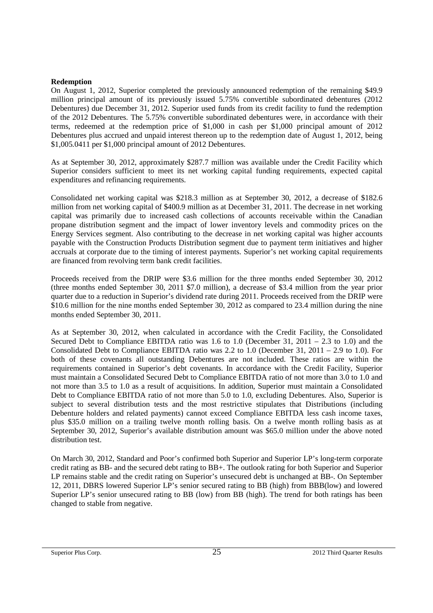## **Redemption**

On August 1, 2012, Superior completed the previously announced redemption of the remaining \$49.9 million principal amount of its previously issued 5.75% convertible subordinated debentures (2012 Debentures) due December 31, 2012. Superior used funds from its credit facility to fund the redemption of the 2012 Debentures. The 5.75% convertible subordinated debentures were, in accordance with their terms, redeemed at the redemption price of \$1,000 in cash per \$1,000 principal amount of 2012 Debentures plus accrued and unpaid interest thereon up to the redemption date of August 1, 2012, being \$1,005.0411 per \$1,000 principal amount of 2012 Debentures.

As at September 30, 2012, approximately \$287.7 million was available under the Credit Facility which Superior considers sufficient to meet its net working capital funding requirements, expected capital expenditures and refinancing requirements.

Consolidated net working capital was \$218.3 million as at September 30, 2012, a decrease of \$182.6 million from net working capital of \$400.9 million as at December 31, 2011. The decrease in net working capital was primarily due to increased cash collections of accounts receivable within the Canadian propane distribution segment and the impact of lower inventory levels and commodity prices on the Energy Services segment. Also contributing to the decrease in net working capital was higher accounts payable with the Construction Products Distribution segment due to payment term initiatives and higher accruals at corporate due to the timing of interest payments. Superior's net working capital requirements are financed from revolving term bank credit facilities.

Proceeds received from the DRIP were \$3.6 million for the three months ended September 30, 2012 (three months ended September 30, 2011 \$7.0 million), a decrease of \$3.4 million from the year prior quarter due to a reduction in Superior's dividend rate during 2011. Proceeds received from the DRIP were \$10.6 million for the nine months ended September 30, 2012 as compared to 23.4 million during the nine months ended September 30, 2011.

As at September 30, 2012, when calculated in accordance with the Credit Facility, the Consolidated Secured Debt to Compliance EBITDA ratio was 1.6 to 1.0 (December 31, 2011 – 2.3 to 1.0) and the Consolidated Debt to Compliance EBITDA ratio was 2.2 to 1.0 (December 31,  $2011 - 2.9$  to 1.0). For both of these covenants all outstanding Debentures are not included. These ratios are within the requirements contained in Superior's debt covenants. In accordance with the Credit Facility, Superior must maintain a Consolidated Secured Debt to Compliance EBITDA ratio of not more than 3.0 to 1.0 and not more than 3.5 to 1.0 as a result of acquisitions. In addition, Superior must maintain a Consolidated Debt to Compliance EBITDA ratio of not more than 5.0 to 1.0, excluding Debentures. Also, Superior is subject to several distribution tests and the most restrictive stipulates that Distributions (including Debenture holders and related payments) cannot exceed Compliance EBITDA less cash income taxes, plus \$35.0 million on a trailing twelve month rolling basis. On a twelve month rolling basis as at September 30, 2012, Superior's available distribution amount was \$65.0 million under the above noted distribution test.

On March 30, 2012, Standard and Poor's confirmed both Superior and Superior LP's long-term corporate credit rating as BB- and the secured debt rating to BB+. The outlook rating for both Superior and Superior LP remains stable and the credit rating on Superior's unsecured debt is unchanged at BB-. On September 12, 2011, DBRS lowered Superior LP's senior secured rating to BB (high) from BBB(low) and lowered Superior LP's senior unsecured rating to BB (low) from BB (high). The trend for both ratings has been changed to stable from negative.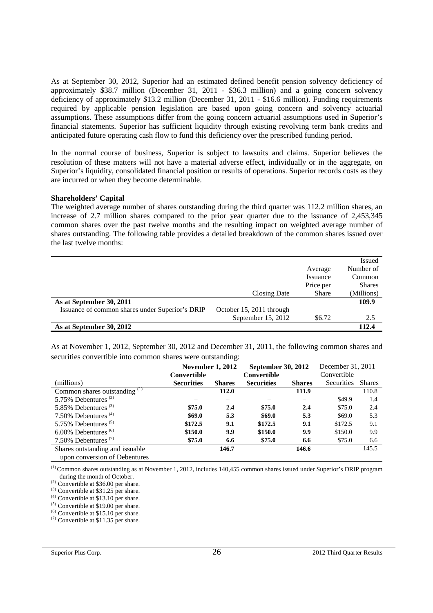As at September 30, 2012, Superior had an estimated defined benefit pension solvency deficiency of approximately \$38.7 million (December 31, 2011 - \$36.3 million) and a going concern solvency deficiency of approximately \$13.2 million (December 31, 2011 - \$16.6 million). Funding requirements required by applicable pension legislation are based upon going concern and solvency actuarial assumptions. These assumptions differ from the going concern actuarial assumptions used in Superior's financial statements. Superior has sufficient liquidity through existing revolving term bank credits and anticipated future operating cash flow to fund this deficiency over the prescribed funding period.

In the normal course of business, Superior is subject to lawsuits and claims. Superior believes the resolution of these matters will not have a material adverse effect, individually or in the aggregate, on Superior's liquidity, consolidated financial position or results of operations. Superior records costs as they are incurred or when they become determinable.

#### **Shareholders' Capital**

The weighted average number of shares outstanding during the third quarter was 112.2 million shares, an increase of 2.7 million shares compared to the prior year quarter due to the issuance of 2,453,345 common shares over the past twelve months and the resulting impact on weighted average number of shares outstanding. The following table provides a detailed breakdown of the common shares issued over the last twelve months:

|                                                 |                          |              | Issued        |
|-------------------------------------------------|--------------------------|--------------|---------------|
|                                                 |                          | Average      | Number of     |
|                                                 |                          | Issuance     | Common        |
|                                                 |                          | Price per    | <b>Shares</b> |
|                                                 | Closing Date             | <b>Share</b> | (Millions)    |
| As at September 30, 2011                        |                          |              | 109.9         |
| Issuance of common shares under Superior's DRIP | October 15, 2011 through |              |               |
|                                                 | September 15, 2012       | \$6.72       | 2.5           |
| As at September 30, 2012                        |                          |              | 112.4         |

As at November 1, 2012, September 30, 2012 and December 31, 2011, the following common shares and securities convertible into common shares were outstanding:

|                                 | Convertible       | <b>November 1, 2012</b><br><b>September 30, 2012</b><br>Convertible |                   |               |                   | December 31, 2011<br>Convertible |  |  |
|---------------------------------|-------------------|---------------------------------------------------------------------|-------------------|---------------|-------------------|----------------------------------|--|--|
| (millions)                      | <b>Securities</b> | <b>Shares</b>                                                       | <b>Securities</b> | <b>Shares</b> | <b>Securities</b> | <b>Shares</b>                    |  |  |
| Common shares outstanding $(1)$ |                   | 112.0                                                               |                   | 111.9         |                   | 110.8                            |  |  |
| 5.75% Debentures $(2)$          |                   |                                                                     |                   |               | \$49.9            | 1.4                              |  |  |
| 5.85% Debentures $(3)$          | \$75.0            | 2.4                                                                 | \$75.0            | 2.4           | \$75.0            | 2.4                              |  |  |
| 7.50% Debentures $(4)$          | \$69.0\$          | 5.3                                                                 | \$69.0\$          | 5.3           | \$69.0            | 5.3                              |  |  |
| 5.75% Debentures $(5)$          | \$172.5           | 9.1                                                                 | \$172.5           | 9.1           | \$172.5           | 9.1                              |  |  |
| $6.00\%$ Debentures $^{(6)}$    | \$150.0           | 9.9                                                                 | \$150.0           | 9.9           | \$150.0           | 9.9                              |  |  |
| 7.50% Debentures $(7)$          | \$75.0            | 6.6                                                                 | \$75.0            | 6.6           | \$75.0            | 6.6                              |  |  |
| Shares outstanding and issuable |                   | 146.7                                                               |                   | 146.6         |                   | 145.5                            |  |  |
| upon conversion of Debentures   |                   |                                                                     |                   |               |                   |                                  |  |  |

 $<sup>(1)</sup>$  Common shares outstanding as at November 1, 2012, includes 140,455 common shares issued under Superior's DRIP program</sup> during the month of October.

 $(2)$  Convertible at \$36.00 per share.

(3) Convertible at \$31.25 per share.

 $(4)$  Convertible at \$13.10 per share.

 $(5)$  Convertible at \$19.00 per share.

 $(6)$  Convertible at \$15.10 per share.

 $(7)$  Convertible at \$11.35 per share.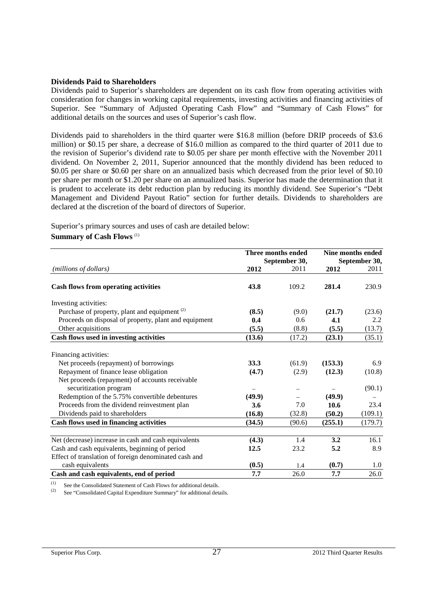#### **Dividends Paid to Shareholders**

Dividends paid to Superior's shareholders are dependent on its cash flow from operating activities with consideration for changes in working capital requirements, investing activities and financing activities of Superior. See "Summary of Adjusted Operating Cash Flow" and "Summary of Cash Flows" for additional details on the sources and uses of Superior's cash flow.

Dividends paid to shareholders in the third quarter were \$16.8 million (before DRIP proceeds of \$3.6 million) or \$0.15 per share, a decrease of \$16.0 million as compared to the third quarter of 2011 due to the revision of Superior's dividend rate to \$0.05 per share per month effective with the November 2011 dividend. On November 2, 2011, Superior announced that the monthly dividend has been reduced to \$0.05 per share or \$0.60 per share on an annualized basis which decreased from the prior level of \$0.10 per share per month or \$1.20 per share on an annualized basis. Superior has made the determination that it is prudent to accelerate its debt reduction plan by reducing its monthly dividend. See Superior's "Debt Management and Dividend Payout Ratio" section for further details. Dividends to shareholders are declared at the discretion of the board of directors of Superior.

Superior's primary sources and uses of cash are detailed below:

# **Summary of Cash Flows** (1)

|                                                          |        | Three months ended<br>September 30, |         | Nine months ended<br>September 30, |
|----------------------------------------------------------|--------|-------------------------------------|---------|------------------------------------|
| (millions of dollars)                                    | 2012   | 2011                                | 2012    | 2011                               |
| <b>Cash flows from operating activities</b>              | 43.8   | 109.2                               | 281.4   | 230.9                              |
| Investing activities:                                    |        |                                     |         |                                    |
| Purchase of property, plant and equipment <sup>(2)</sup> | (8.5)  | (9.0)                               | (21.7)  | (23.6)                             |
| Proceeds on disposal of property, plant and equipment    | 0.4    | 0.6                                 | 4.1     | 2.2                                |
| Other acquisitions                                       | (5.5)  | (8.8)                               | (5.5)   | (13.7)                             |
| Cash flows used in investing activities                  | (13.6) | (17.2)                              | (23.1)  | (35.1)                             |
| Financing activities:                                    |        |                                     |         |                                    |
| Net proceeds (repayment) of borrowings                   | 33.3   | (61.9)                              | (153.3) | 6.9                                |
| Repayment of finance lease obligation                    | (4.7)  | (2.9)                               | (12.3)  | (10.8)                             |
| Net proceeds (repayment) of accounts receivable          |        |                                     |         |                                    |
| securitization program                                   |        |                                     |         | (90.1)                             |
| Redemption of the 5.75% convertible debentures           | (49.9) |                                     | (49.9)  |                                    |
| Proceeds from the dividend reinvestment plan             | 3.6    | 7.0                                 | 10.6    | 23.4                               |
| Dividends paid to shareholders                           | (16.8) | (32.8)                              | (50.2)  | (109.1)                            |
| Cash flows used in financing activities                  | (34.5) | (90.6)                              | (255.1) | (179.7)                            |
| Net (decrease) increase in cash and cash equivalents     | (4.3)  | 1.4                                 | 3.2     | 16.1                               |
| Cash and cash equivalents, beginning of period           | 12.5   | 23.2                                | 5.2     | 8.9                                |
| Effect of translation of foreign denominated cash and    |        |                                     |         |                                    |
| cash equivalents                                         | (0.5)  | 1.4                                 | (0.7)   | 1.0                                |
| Cash and cash equivalents, end of period                 | 7.7    | 26.0                                | 7.7     | 26.0                               |

 $(1)$ (1) See the Consolidated Statement of Cash Flows for additional details.<br>(2) See Womenlinkted Casital France dings for approximately detailed

See "Consolidated Capital Expenditure Summary" for additional details.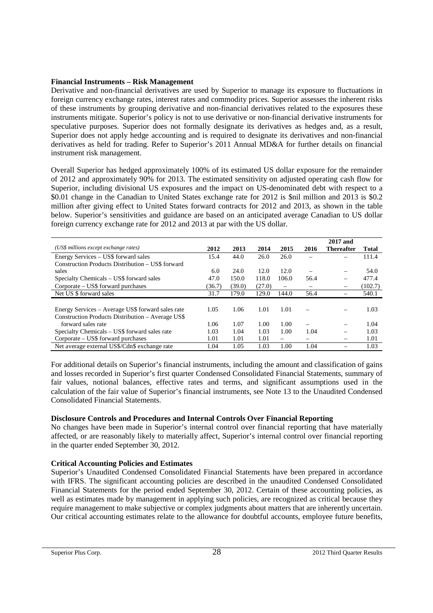## **Financial Instruments – Risk Management**

Derivative and non-financial derivatives are used by Superior to manage its exposure to fluctuations in foreign currency exchange rates, interest rates and commodity prices. Superior assesses the inherent risks of these instruments by grouping derivative and non-financial derivatives related to the exposures these instruments mitigate. Superior's policy is not to use derivative or non-financial derivative instruments for speculative purposes. Superior does not formally designate its derivatives as hedges and, as a result, Superior does not apply hedge accounting and is required to designate its derivatives and non-financial derivatives as held for trading. Refer to Superior's 2011 Annual MD&A for further details on financial instrument risk management.

Overall Superior has hedged approximately 100% of its estimated US dollar exposure for the remainder of 2012 and approximately 90% for 2013. The estimated sensitivity on adjusted operating cash flow for Superior, including divisional US exposures and the impact on US-denominated debt with respect to a \$0.01 change in the Canadian to United States exchange rate for 2012 is \$nil million and 2013 is \$0.2 million after giving effect to United States forward contracts for 2012 and 2013, as shown in the table below. Superior's sensitivities and guidance are based on an anticipated average Canadian to US dollar foreign currency exchange rate for 2012 and 2013 at par with the US dollar.

|                                                   |        |        |        |                          |                          | 2017 and                 |              |
|---------------------------------------------------|--------|--------|--------|--------------------------|--------------------------|--------------------------|--------------|
| (US\$ millions except exchange rates)             | 2012   | 2013   | 2014   | 2015                     | 2016                     | <b>Thereafter</b>        | <b>Total</b> |
| Energy Services - US\$ forward sales              | 15.4   | 44.0   | 26.0   | 26.0                     |                          |                          | 111.4        |
| Construction Products Distribution – US\$ forward |        |        |        |                          |                          |                          |              |
| sales                                             | 6.0    | 24.0   | 12.0   | 12.0                     | $\overline{\phantom{0}}$ | $\overline{\phantom{0}}$ | 54.0         |
| Specialty Chemicals – US\$ forward sales          | 47.0   | 150.0  | 118.0  | 106.0                    | 56.4                     |                          | 477.4        |
| Corporate – US\$ forward purchases                | (36.7) | (39.0) | (27.0) | $\qquad \qquad -$        | -                        | -                        | (102.7)      |
| Net US \$ forward sales                           | 31.7   | 179.0  | 129.0  | 144.0                    | 56.4                     |                          | 540.1        |
|                                                   |        |        |        |                          |                          |                          |              |
| Energy Services – Average US\$ forward sales rate | 1.05   | 1.06   | 1.01   | 1.01                     |                          |                          | 1.03         |
| Construction Products Distribution – Average US\$ |        |        |        |                          |                          |                          |              |
| forward sales rate                                | 1.06   | 1.07   | 1.00   | 1.00                     |                          | -                        | 1.04         |
| Specialty Chemicals – US\$ forward sales rate     | 1.03   | 1.04   | 1.03   | 1.00                     | 1.04                     | -                        | 1.03         |
| Corporate – US\$ forward purchases                | 1.01   | 1.01   | 1.01   | $\overline{\phantom{0}}$ | -                        | $\overline{\phantom{0}}$ | 1.01         |
| Net average external US\$/Cdn\$ exchange rate     | 1.04   | 1.05   | 1.03   | 1.00                     | 1.04                     |                          | 1.03         |

For additional details on Superior's financial instruments, including the amount and classification of gains and losses recorded in Superior's first quarter Condensed Consolidated Financial Statements, summary of fair values, notional balances, effective rates and terms, and significant assumptions used in the calculation of the fair value of Superior's financial instruments, see Note 13 to the Unaudited Condensed Consolidated Financial Statements.

# **Disclosure Controls and Procedures and Internal Controls Over Financial Reporting**

No changes have been made in Superior's internal control over financial reporting that have materially affected, or are reasonably likely to materially affect, Superior's internal control over financial reporting in the quarter ended September 30, 2012.

# **Critical Accounting Policies and Estimates**

Superior's Unaudited Condensed Consolidated Financial Statements have been prepared in accordance with IFRS. The significant accounting policies are described in the unaudited Condensed Consolidated Financial Statements for the period ended September 30, 2012. Certain of these accounting policies, as well as estimates made by management in applying such policies, are recognized as critical because they require management to make subjective or complex judgments about matters that are inherently uncertain. Our critical accounting estimates relate to the allowance for doubtful accounts, employee future benefits,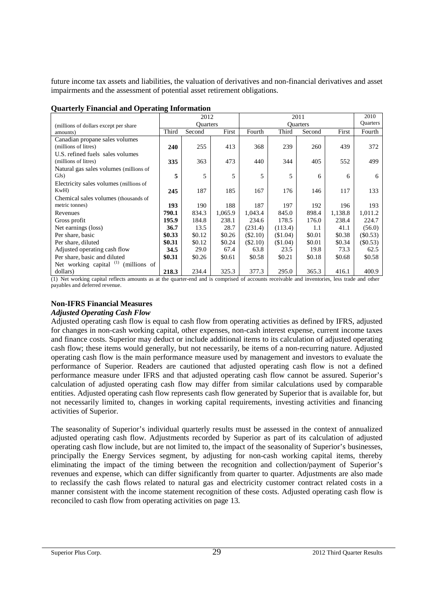future income tax assets and liabilities, the valuation of derivatives and non-financial derivatives and asset impairments and the assessment of potential asset retirement obligations.

| Quarterry Financial and Operating Information                                                                                                                                                                                  |        |                 |         |            |          |                 |         | 2010       |
|--------------------------------------------------------------------------------------------------------------------------------------------------------------------------------------------------------------------------------|--------|-----------------|---------|------------|----------|-----------------|---------|------------|
|                                                                                                                                                                                                                                | 2012   |                 |         |            | 2011     |                 |         |            |
| (millions of dollars except per share)                                                                                                                                                                                         |        | <b>Ouarters</b> |         |            |          | <b>Ouarters</b> |         | Quarters   |
| amounts)                                                                                                                                                                                                                       | Third  | Second          | First   | Fourth     | Third    | Second          | First   | Fourth     |
| Canadian propane sales volumes                                                                                                                                                                                                 |        |                 |         |            |          |                 |         |            |
| (millions of litres)                                                                                                                                                                                                           | 240    | 255             | 413     | 368        | 239      | 260             | 439     | 372        |
| U.S. refined fuels sales volumes                                                                                                                                                                                               |        |                 |         |            |          |                 |         |            |
| (millions of litres)                                                                                                                                                                                                           | 335    | 363             | 473     | 440        | 344      | 405             | 552     | 499        |
| Natural gas sales volumes (millions of                                                                                                                                                                                         |        |                 |         |            |          |                 |         |            |
| GJs)                                                                                                                                                                                                                           | 5      | 5               | 5       | 5          | 5        | 6               | 6       | 6          |
| Electricity sales volumes (millions of                                                                                                                                                                                         |        |                 |         |            |          |                 |         |            |
| KwH                                                                                                                                                                                                                            | 245    | 187             | 185     | 167        | 176      | 146             | 117     | 133        |
| Chemical sales volumes (thousands of                                                                                                                                                                                           |        |                 |         |            |          |                 |         |            |
| metric tonnes)                                                                                                                                                                                                                 | 193    | 190             | 188     | 187        | 197      | 192             | 196     | 193        |
| Revenues                                                                                                                                                                                                                       | 790.1  | 834.3           | 1,065.9 | 1,043.4    | 845.0    | 898.4           | 1,138.8 | 1,011.2    |
| Gross profit                                                                                                                                                                                                                   | 195.9  | 184.8           | 238.1   | 234.6      | 178.5    | 176.0           | 238.4   | 224.7      |
| Net earnings (loss)                                                                                                                                                                                                            | 36.7   | 13.5            | 28.7    | (231.4)    | (113.4)  | 1.1             | 41.1    | (56.0)     |
| Per share, basic                                                                                                                                                                                                               | \$0.33 | \$0.12          | \$0.26  | $(\$2.10)$ | (\$1.04) | \$0.01          | \$0.38  | $(\$0.53)$ |
| Per share, diluted                                                                                                                                                                                                             | \$0.31 | \$0.12          | \$0.24  | (\$2.10)   | (\$1.04) | \$0.01          | \$0.34  | $(\$0.53)$ |
| Adjusted operating cash flow                                                                                                                                                                                                   | 34.5   | 29.0            | 67.4    | 63.8       | 23.5     | 19.8            | 73.3    | 62.5       |
| Per share, basic and diluted                                                                                                                                                                                                   | \$0.31 | \$0.26          | \$0.61  | \$0.58     | \$0.21   | \$0.18          | \$0.68  | \$0.58     |
| Net working capital $(1)$ (millions of                                                                                                                                                                                         |        |                 |         |            |          |                 |         |            |
| dollars)                                                                                                                                                                                                                       | 218.3  | 234.4           | 325.3   | 377.3      | 295.0    | 365.3           | 416.1   | 400.9      |
| and the module and the deal of the contract of the motion of and individual of accounts included by the land and advantaged to the first order of the first order of the first order of the model of the model of the model of |        |                 |         |            |          |                 |         |            |

|  |  | <b>Quarterly Financial and Operating Information</b> |
|--|--|------------------------------------------------------|
|  |  |                                                      |

ects amounts as at the quarter-end and is comprised of accounts receivable and inventories, less trade and other payables and deferred revenue.

#### **Non-IFRS Financial Measures**  *Adjusted Operating Cash Flow*

Adjusted operating cash flow is equal to cash flow from operating activities as defined by IFRS, adjusted for changes in non-cash working capital, other expenses, non-cash interest expense, current income taxes and finance costs. Superior may deduct or include additional items to its calculation of adjusted operating cash flow; these items would generally, but not necessarily, be items of a non-recurring nature. Adjusted operating cash flow is the main performance measure used by management and investors to evaluate the performance of Superior. Readers are cautioned that adjusted operating cash flow is not a defined performance measure under IFRS and that adjusted operating cash flow cannot be assured. Superior's calculation of adjusted operating cash flow may differ from similar calculations used by comparable entities. Adjusted operating cash flow represents cash flow generated by Superior that is available for, but not necessarily limited to, changes in working capital requirements, investing activities and financing activities of Superior.

The seasonality of Superior's individual quarterly results must be assessed in the context of annualized adjusted operating cash flow. Adjustments recorded by Superior as part of its calculation of adjusted operating cash flow include, but are not limited to, the impact of the seasonality of Superior's businesses, principally the Energy Services segment, by adjusting for non-cash working capital items, thereby eliminating the impact of the timing between the recognition and collection/payment of Superior's revenues and expense, which can differ significantly from quarter to quarter. Adjustments are also made to reclassify the cash flows related to natural gas and electricity customer contract related costs in a manner consistent with the income statement recognition of these costs. Adjusted operating cash flow is reconciled to cash flow from operating activities on page 13.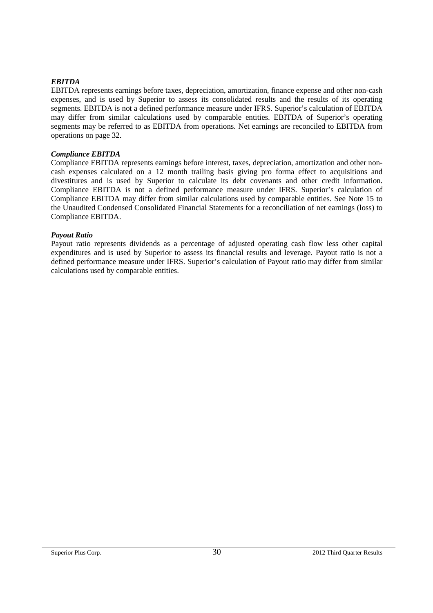# *EBITDA*

EBITDA represents earnings before taxes, depreciation, amortization, finance expense and other non-cash expenses, and is used by Superior to assess its consolidated results and the results of its operating segments. EBITDA is not a defined performance measure under IFRS. Superior's calculation of EBITDA may differ from similar calculations used by comparable entities. EBITDA of Superior's operating segments may be referred to as EBITDA from operations. Net earnings are reconciled to EBITDA from operations on page 32.

## *Compliance EBITDA*

Compliance EBITDA represents earnings before interest, taxes, depreciation, amortization and other noncash expenses calculated on a 12 month trailing basis giving pro forma effect to acquisitions and divestitures and is used by Superior to calculate its debt covenants and other credit information. Compliance EBITDA is not a defined performance measure under IFRS. Superior's calculation of Compliance EBITDA may differ from similar calculations used by comparable entities. See Note 15 to the Unaudited Condensed Consolidated Financial Statements for a reconciliation of net earnings (loss) to Compliance EBITDA.

#### *Payout Ratio*

Payout ratio represents dividends as a percentage of adjusted operating cash flow less other capital expenditures and is used by Superior to assess its financial results and leverage. Payout ratio is not a defined performance measure under IFRS. Superior's calculation of Payout ratio may differ from similar calculations used by comparable entities.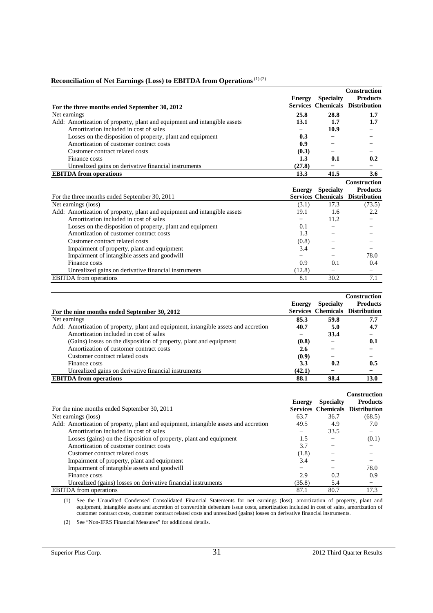| For the three months ended September 30, 2012                            | <b>Energy</b> | <b>Specialty</b>         | <b>Construction</b><br><b>Products</b><br><b>Services Chemicals Distribution</b> |
|--------------------------------------------------------------------------|---------------|--------------------------|----------------------------------------------------------------------------------|
| Net earnings                                                             | 25.8          | 28.8                     | 1.7                                                                              |
| Add: Amortization of property, plant and equipment and intangible assets | 13.1          | 1.7                      | 1.7                                                                              |
| Amortization included in cost of sales                                   |               | 10.9                     |                                                                                  |
| Losses on the disposition of property, plant and equipment               | 0.3           |                          |                                                                                  |
| Amortization of customer contract costs                                  | 0.9           |                          |                                                                                  |
| Customer contract related costs                                          | (0.3)         |                          |                                                                                  |
| Finance costs                                                            | 1.3           | 0.1                      | 0.2                                                                              |
| Unrealized gains on derivative financial instruments                     | (27.8)        |                          |                                                                                  |
| <b>EBITDA</b> from operations                                            | 13.3          | 41.5                     | 3.6                                                                              |
|                                                                          |               |                          | Construction                                                                     |
|                                                                          | <b>Energy</b> | <b>Specialty</b>         | <b>Products</b>                                                                  |
| For the three months ended September 30, 2011                            |               |                          | <b>Services Chemicals Distribution</b>                                           |
| Net earnings (loss)                                                      | (3.1)         | 17.3                     | (73.5)                                                                           |
| Add: Amortization of property, plant and equipment and intangible assets | 19.1          | 1.6                      | 2.2                                                                              |
| Amortization included in cost of sales                                   |               | 11.2                     |                                                                                  |
| Losses on the disposition of property, plant and equipment               | 0.1           |                          |                                                                                  |
| Amortization of customer contract costs                                  | 1.3           |                          |                                                                                  |
| Customer contract related costs                                          | (0.8)         |                          |                                                                                  |
| Impairment of property, plant and equipment                              | 3.4           |                          |                                                                                  |
| Impairment of intangible assets and goodwill                             |               |                          | 78.0                                                                             |
| Finance costs                                                            | 0.9           | 0.1                      | 0.4                                                                              |
| Unrealized gains on derivative financial instruments                     | (12.8)        | $\overline{\phantom{0}}$ | $\overline{\phantom{0}}$                                                         |
| <b>EBITDA</b> from operations                                            | 8.1           | 30.2                     | 7.1                                                                              |

# **Reconciliation of Net Earnings (Loss) to EBITDA from Operations** (1) (2)

| For the nine months ended September 30, 2012                                        | Energy | <b>Specialty</b> | <b>Construction</b><br><b>Products</b><br><b>Services Chemicals Distribution</b> |
|-------------------------------------------------------------------------------------|--------|------------------|----------------------------------------------------------------------------------|
| Net earnings                                                                        | 85.3   | 59.8             | 7.7                                                                              |
| Add: Amortization of property, plant and equipment, intangible assets and accretion | 40.7   | 5.0              | 4.7                                                                              |
| Amortization included in cost of sales                                              | -      | 33.4             |                                                                                  |
| (Gains) losses on the disposition of property, plant and equipment                  | (0.8)  |                  | 0.1                                                                              |
| Amortization of customer contract costs                                             | 2.6    |                  |                                                                                  |
| Customer contract related costs                                                     | (0.9)  |                  |                                                                                  |
| Finance costs                                                                       | 3.3    | 0.2              | 0.5                                                                              |
| Unrealized gains on derivative financial instruments                                | (42.1) |                  |                                                                                  |
| <b>EBITDA</b> from operations                                                       | 88.1   | 98.4             | 13.0                                                                             |

|                                                                                     |                          |                           | <b>Construction</b> |
|-------------------------------------------------------------------------------------|--------------------------|---------------------------|---------------------|
|                                                                                     | <b>Energy</b>            | <b>Specialty</b>          | <b>Products</b>     |
| For the nine months ended September 30, 2011                                        |                          | <b>Services Chemicals</b> | <b>Distribution</b> |
| Net earnings (loss)                                                                 | 63.7                     | 36.7                      | (68.5)              |
| Add: Amortization of property, plant and equipment, intangible assets and accretion | 49.5                     | 4.9                       | 7.0                 |
| Amortization included in cost of sales                                              |                          | 33.5                      |                     |
| Losses (gains) on the disposition of property, plant and equipment                  | 1.5                      |                           | (0.1)               |
| Amortization of customer contract costs                                             | 3.7                      |                           |                     |
| Customer contract related costs                                                     | (1.8)                    |                           |                     |
| Impairment of property, plant and equipment                                         | 3.4                      |                           |                     |
| Impairment of intangible assets and goodwill                                        | $\overline{\phantom{0}}$ |                           | 78.0                |
| Finance costs                                                                       | 2.9                      | 0.2                       | 0.9                 |
| Unrealized (gains) losses on derivative financial instruments                       | (35.8)                   | 5.4                       |                     |
| <b>EBITDA</b> from operations                                                       | 87.1                     | 80.7                      | 17.3                |

(1) See the Unaudited Condensed Consolidated Financial Statements for net earnings (loss), amortization of property, plant and equipment, intangible assets and accretion of convertible debenture issue costs, amortization included in cost of sales, amortization of customer contract costs, customer contract related costs and unrealized (gains) losses on derivative financial instruments.

(2) See "Non-IFRS Financial Measures" for additional details.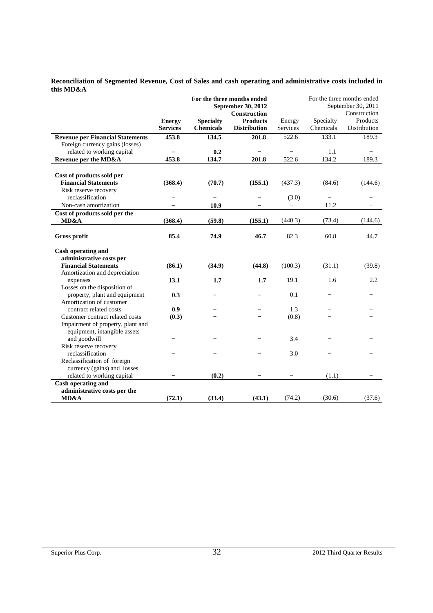|                                                                                           |                 |                  | For the three months ended<br>September 30, 2012 | For the three months ended<br>September 30, 2011 |           |              |  |
|-------------------------------------------------------------------------------------------|-----------------|------------------|--------------------------------------------------|--------------------------------------------------|-----------|--------------|--|
|                                                                                           |                 |                  | <b>Construction</b>                              |                                                  |           | Construction |  |
|                                                                                           | <b>Energy</b>   | <b>Specialty</b> | <b>Products</b>                                  | Energy                                           | Specialty | Products     |  |
|                                                                                           | <b>Services</b> | <b>Chemicals</b> | <b>Distribution</b>                              | Services                                         | Chemicals | Distribution |  |
| <b>Revenue per Financial Statements</b>                                                   | 453.8           | 134.5            | 201.8                                            | 522.6                                            | 133.1     | 189.3        |  |
| Foreign currency gains (losses)                                                           |                 |                  |                                                  |                                                  |           |              |  |
| related to working capital                                                                |                 | 0.2              |                                                  |                                                  | 1.1       |              |  |
| Revenue per the MD&A                                                                      | 453.8           | 134.7            | 201.8                                            | $\overline{5}$ 22.6                              | 134.2     | 189.3        |  |
| Cost of products sold per<br><b>Financial Statements</b><br>Risk reserve recovery         | (368.4)         | (70.7)           | (155.1)                                          | (437.3)                                          | (84.6)    | (144.6)      |  |
| reclassification                                                                          |                 |                  |                                                  | (3.0)                                            |           |              |  |
| Non-cash amortization                                                                     |                 | 10.9             |                                                  |                                                  | 11.2      |              |  |
| Cost of products sold per the                                                             |                 |                  |                                                  |                                                  |           |              |  |
| MD&A                                                                                      | (368.4)         | (59.8)           | (155.1)                                          | (440.3)                                          | (73.4)    | (144.6)      |  |
| <b>Gross profit</b>                                                                       | 85.4            | 74.9             | 46.7                                             | 82.3                                             | 60.8      | 44.7         |  |
| <b>Cash operating and</b><br>administrative costs per                                     |                 |                  |                                                  |                                                  |           |              |  |
| <b>Financial Statements</b><br>Amortization and depreciation                              | (86.1)          | (34.9)           | (44.8)                                           | (100.3)                                          | (31.1)    | (39.8)       |  |
| expenses                                                                                  | 13.1            | 1.7              | 1.7                                              | 19.1                                             | 1.6       | 2.2          |  |
| Losses on the disposition of<br>property, plant and equipment<br>Amortization of customer | 0.3             |                  |                                                  | 0.1                                              |           |              |  |
| contract related costs                                                                    | 0.9             |                  |                                                  | 1.3                                              |           |              |  |
| Customer contract related costs                                                           | (0.3)           |                  |                                                  | (0.8)                                            |           |              |  |
| Impairment of property, plant and<br>equipment, intangible assets                         |                 |                  |                                                  | 3.4                                              |           |              |  |
| and goodwill<br>Risk reserve recovery                                                     |                 |                  |                                                  |                                                  |           |              |  |
| reclassification                                                                          |                 |                  |                                                  | 3.0                                              |           |              |  |
| Reclassification of foreign                                                               |                 |                  |                                                  |                                                  |           |              |  |
| currency (gains) and losses                                                               |                 |                  |                                                  |                                                  |           |              |  |
| related to working capital                                                                |                 | (0.2)            |                                                  |                                                  | (1.1)     |              |  |
| <b>Cash operating and</b>                                                                 |                 |                  |                                                  |                                                  |           |              |  |
| administrative costs per the                                                              |                 |                  |                                                  |                                                  |           |              |  |
| MD&A                                                                                      | (72.1)          | (33.4)           | (43.1)                                           | (74.2)                                           | (30.6)    | (37.6)       |  |

#### **Reconciliation of Segmented Revenue, Cost of Sales and cash operating and administrative costs included in this MD&A**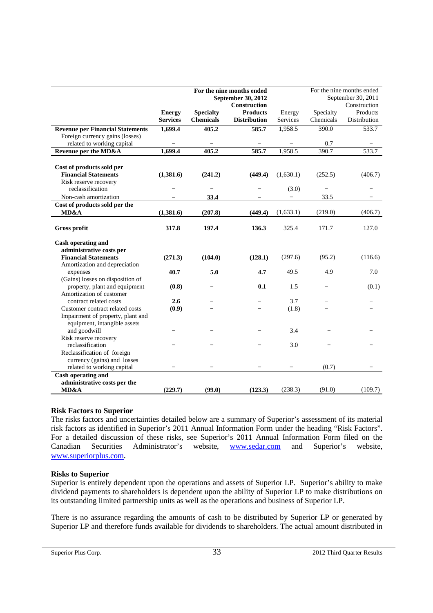|                                                                                                                       | For the nine months ended<br>September 30, 2012<br>Construction |                  |                     | For the nine months ended<br>September 30, 2011<br>Construction |              |              |  |
|-----------------------------------------------------------------------------------------------------------------------|-----------------------------------------------------------------|------------------|---------------------|-----------------------------------------------------------------|--------------|--------------|--|
|                                                                                                                       | <b>Energy</b>                                                   | <b>Specialty</b> | <b>Products</b>     | Energy                                                          | Specialty    | Products     |  |
|                                                                                                                       | <b>Services</b>                                                 | <b>Chemicals</b> | <b>Distribution</b> | Services                                                        | Chemicals    | Distribution |  |
| <b>Revenue per Financial Statements</b><br>Foreign currency gains (losses)                                            | 1.699.4                                                         | 405.2            | 585.7               | 1,958.5                                                         | 390.0<br>0.7 | 533.7        |  |
| related to working capital                                                                                            |                                                                 |                  |                     | 1,958.5                                                         | 390.7        | 533.7        |  |
| Revenue per the MD&A                                                                                                  | 1,699.4                                                         | 405.2            | 585.7               |                                                                 |              |              |  |
| Cost of products sold per                                                                                             |                                                                 |                  |                     |                                                                 |              |              |  |
| <b>Financial Statements</b>                                                                                           | (1,381.6)                                                       | (241.2)          | (449.4)             | (1,630.1)                                                       | (252.5)      | (406.7)      |  |
| Risk reserve recovery                                                                                                 |                                                                 |                  |                     |                                                                 |              |              |  |
| reclassification                                                                                                      |                                                                 |                  |                     | (3.0)                                                           |              |              |  |
| Non-cash amortization                                                                                                 |                                                                 | 33.4             |                     |                                                                 | 33.5         |              |  |
| Cost of products sold per the                                                                                         |                                                                 |                  |                     |                                                                 |              |              |  |
| MD&A                                                                                                                  | (1,381.6)                                                       | (207.8)          | (449.4)             | (1,633.1)                                                       | (219.0)      | (406.7)      |  |
|                                                                                                                       |                                                                 |                  |                     |                                                                 |              |              |  |
| <b>Gross profit</b>                                                                                                   | 317.8                                                           | 197.4            | 136.3               | 325.4                                                           | 171.7        | 127.0        |  |
| <b>Cash operating and</b><br>administrative costs per<br><b>Financial Statements</b><br>Amortization and depreciation | (271.3)                                                         | (104.0)          | (128.1)             | (297.6)                                                         | (95.2)       | (116.6)      |  |
| expenses                                                                                                              | 40.7                                                            | 5.0              | 4.7                 | 49.5                                                            | 4.9          | 7.0          |  |
| (Gains) losses on disposition of                                                                                      |                                                                 |                  |                     |                                                                 |              |              |  |
| property, plant and equipment                                                                                         | (0.8)                                                           |                  | 0.1                 | 1.5                                                             |              | (0.1)        |  |
| Amortization of customer                                                                                              |                                                                 |                  |                     |                                                                 |              |              |  |
| contract related costs                                                                                                | 2.6                                                             |                  |                     | 3.7                                                             |              |              |  |
| Customer contract related costs                                                                                       | (0.9)                                                           |                  |                     | (1.8)                                                           |              |              |  |
| Impairment of property, plant and<br>equipment, intangible assets<br>and goodwill                                     |                                                                 |                  |                     | 3.4                                                             |              |              |  |
| Risk reserve recovery                                                                                                 |                                                                 |                  |                     |                                                                 |              |              |  |
| reclassification                                                                                                      |                                                                 |                  |                     | 3.0                                                             |              |              |  |
| Reclassification of foreign                                                                                           |                                                                 |                  |                     |                                                                 |              |              |  |
| currency (gains) and losses                                                                                           |                                                                 |                  |                     |                                                                 |              |              |  |
| related to working capital                                                                                            |                                                                 |                  |                     |                                                                 | (0.7)        |              |  |
| <b>Cash operating and</b>                                                                                             |                                                                 |                  |                     |                                                                 |              |              |  |
| administrative costs per the                                                                                          |                                                                 |                  |                     |                                                                 |              |              |  |
| MD&A                                                                                                                  | (229.7)                                                         | (99.0)           | (123.3)             | (238.3)                                                         | (91.0)       | (109.7)      |  |

## **Risk Factors to Superior**

The risks factors and uncertainties detailed below are a summary of Superior's assessment of its material risk factors as identified in Superior's 2011 Annual Information Form under the heading "Risk Factors". For a detailed discussion of these risks, see Superior's 2011 Annual Information Form filed on the Canadian Securities Administrator's website, www.sedar.com and Superior's website, www.superiorplus.com.

## **Risks to Superior**

Superior is entirely dependent upon the operations and assets of Superior LP. Superior's ability to make dividend payments to shareholders is dependent upon the ability of Superior LP to make distributions on its outstanding limited partnership units as well as the operations and business of Superior LP.

There is no assurance regarding the amounts of cash to be distributed by Superior LP or generated by Superior LP and therefore funds available for dividends to shareholders. The actual amount distributed in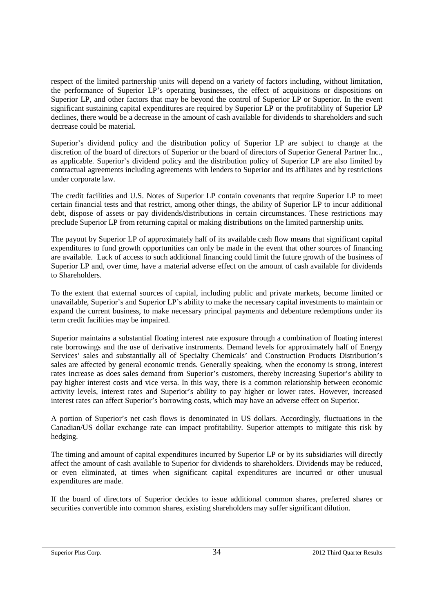respect of the limited partnership units will depend on a variety of factors including, without limitation, the performance of Superior LP's operating businesses, the effect of acquisitions or dispositions on Superior LP, and other factors that may be beyond the control of Superior LP or Superior. In the event significant sustaining capital expenditures are required by Superior LP or the profitability of Superior LP declines, there would be a decrease in the amount of cash available for dividends to shareholders and such decrease could be material.

Superior's dividend policy and the distribution policy of Superior LP are subject to change at the discretion of the board of directors of Superior or the board of directors of Superior General Partner Inc., as applicable. Superior's dividend policy and the distribution policy of Superior LP are also limited by contractual agreements including agreements with lenders to Superior and its affiliates and by restrictions under corporate law.

The credit facilities and U.S. Notes of Superior LP contain covenants that require Superior LP to meet certain financial tests and that restrict, among other things, the ability of Superior LP to incur additional debt, dispose of assets or pay dividends/distributions in certain circumstances. These restrictions may preclude Superior LP from returning capital or making distributions on the limited partnership units.

The payout by Superior LP of approximately half of its available cash flow means that significant capital expenditures to fund growth opportunities can only be made in the event that other sources of financing are available. Lack of access to such additional financing could limit the future growth of the business of Superior LP and, over time, have a material adverse effect on the amount of cash available for dividends to Shareholders.

To the extent that external sources of capital, including public and private markets, become limited or unavailable, Superior's and Superior LP's ability to make the necessary capital investments to maintain or expand the current business, to make necessary principal payments and debenture redemptions under its term credit facilities may be impaired.

Superior maintains a substantial floating interest rate exposure through a combination of floating interest rate borrowings and the use of derivative instruments. Demand levels for approximately half of Energy Services' sales and substantially all of Specialty Chemicals' and Construction Products Distribution's sales are affected by general economic trends. Generally speaking, when the economy is strong, interest rates increase as does sales demand from Superior's customers, thereby increasing Superior's ability to pay higher interest costs and vice versa. In this way, there is a common relationship between economic activity levels, interest rates and Superior's ability to pay higher or lower rates. However, increased interest rates can affect Superior's borrowing costs, which may have an adverse effect on Superior.

A portion of Superior's net cash flows is denominated in US dollars. Accordingly, fluctuations in the Canadian/US dollar exchange rate can impact profitability. Superior attempts to mitigate this risk by hedging.

The timing and amount of capital expenditures incurred by Superior LP or by its subsidiaries will directly affect the amount of cash available to Superior for dividends to shareholders. Dividends may be reduced, or even eliminated, at times when significant capital expenditures are incurred or other unusual expenditures are made.

If the board of directors of Superior decides to issue additional common shares, preferred shares or securities convertible into common shares, existing shareholders may suffer significant dilution.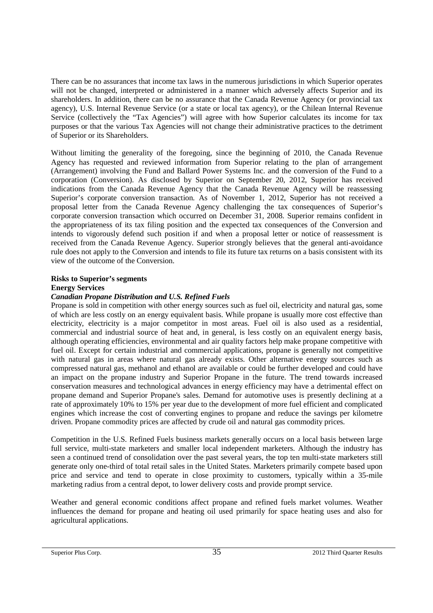There can be no assurances that income tax laws in the numerous jurisdictions in which Superior operates will not be changed, interpreted or administered in a manner which adversely affects Superior and its shareholders. In addition, there can be no assurance that the Canada Revenue Agency (or provincial tax agency), U.S. Internal Revenue Service (or a state or local tax agency), or the Chilean Internal Revenue Service (collectively the "Tax Agencies") will agree with how Superior calculates its income for tax purposes or that the various Tax Agencies will not change their administrative practices to the detriment of Superior or its Shareholders.

Without limiting the generality of the foregoing, since the beginning of 2010, the Canada Revenue Agency has requested and reviewed information from Superior relating to the plan of arrangement (Arrangement) involving the Fund and Ballard Power Systems Inc. and the conversion of the Fund to a corporation (Conversion). As disclosed by Superior on September 20, 2012, Superior has received indications from the Canada Revenue Agency that the Canada Revenue Agency will be reassessing Superior's corporate conversion transaction. As of November 1, 2012, Superior has not received a proposal letter from the Canada Revenue Agency challenging the tax consequences of Superior's corporate conversion transaction which occurred on December 31, 2008. Superior remains confident in the appropriateness of its tax filing position and the expected tax consequences of the Conversion and intends to vigorously defend such position if and when a proposal letter or notice of reassessment is received from the Canada Revenue Agency. Superior strongly believes that the general anti-avoidance rule does not apply to the Conversion and intends to file its future tax returns on a basis consistent with its view of the outcome of the Conversion.

# **Risks to Superior's segments Energy Services**

# *Canadian Propane Distribution and U.S. Refined Fuels*

Propane is sold in competition with other energy sources such as fuel oil, electricity and natural gas, some of which are less costly on an energy equivalent basis. While propane is usually more cost effective than electricity, electricity is a major competitor in most areas. Fuel oil is also used as a residential, commercial and industrial source of heat and, in general, is less costly on an equivalent energy basis, although operating efficiencies, environmental and air quality factors help make propane competitive with fuel oil. Except for certain industrial and commercial applications, propane is generally not competitive with natural gas in areas where natural gas already exists. Other alternative energy sources such as compressed natural gas, methanol and ethanol are available or could be further developed and could have an impact on the propane industry and Superior Propane in the future. The trend towards increased conservation measures and technological advances in energy efficiency may have a detrimental effect on propane demand and Superior Propane's sales. Demand for automotive uses is presently declining at a rate of approximately 10% to 15% per year due to the development of more fuel efficient and complicated engines which increase the cost of converting engines to propane and reduce the savings per kilometre driven. Propane commodity prices are affected by crude oil and natural gas commodity prices.

Competition in the U.S. Refined Fuels business markets generally occurs on a local basis between large full service, multi-state marketers and smaller local independent marketers. Although the industry has seen a continued trend of consolidation over the past several years, the top ten multi-state marketers still generate only one-third of total retail sales in the United States. Marketers primarily compete based upon price and service and tend to operate in close proximity to customers, typically within a 35-mile marketing radius from a central depot, to lower delivery costs and provide prompt service.

Weather and general economic conditions affect propane and refined fuels market volumes. Weather influences the demand for propane and heating oil used primarily for space heating uses and also for agricultural applications.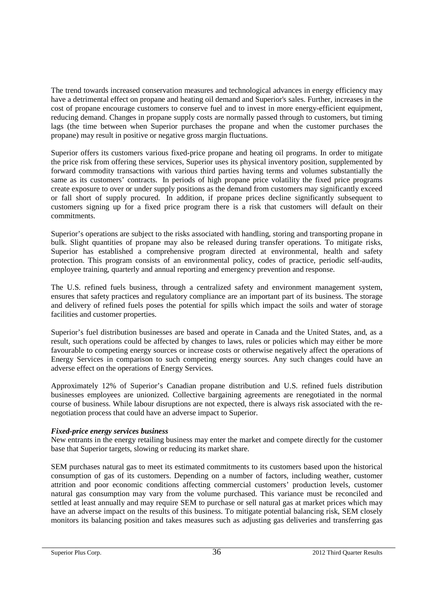The trend towards increased conservation measures and technological advances in energy efficiency may have a detrimental effect on propane and heating oil demand and Superior's sales. Further, increases in the cost of propane encourage customers to conserve fuel and to invest in more energy-efficient equipment, reducing demand. Changes in propane supply costs are normally passed through to customers, but timing lags (the time between when Superior purchases the propane and when the customer purchases the propane) may result in positive or negative gross margin fluctuations.

Superior offers its customers various fixed-price propane and heating oil programs. In order to mitigate the price risk from offering these services, Superior uses its physical inventory position, supplemented by forward commodity transactions with various third parties having terms and volumes substantially the same as its customers' contracts. In periods of high propane price volatility the fixed price programs create exposure to over or under supply positions as the demand from customers may significantly exceed or fall short of supply procured. In addition, if propane prices decline significantly subsequent to customers signing up for a fixed price program there is a risk that customers will default on their commitments.

Superior's operations are subject to the risks associated with handling, storing and transporting propane in bulk. Slight quantities of propane may also be released during transfer operations. To mitigate risks, Superior has established a comprehensive program directed at environmental, health and safety protection. This program consists of an environmental policy, codes of practice, periodic self-audits, employee training, quarterly and annual reporting and emergency prevention and response.

The U.S. refined fuels business, through a centralized safety and environment management system, ensures that safety practices and regulatory compliance are an important part of its business. The storage and delivery of refined fuels poses the potential for spills which impact the soils and water of storage facilities and customer properties.

Superior's fuel distribution businesses are based and operate in Canada and the United States, and, as a result, such operations could be affected by changes to laws, rules or policies which may either be more favourable to competing energy sources or increase costs or otherwise negatively affect the operations of Energy Services in comparison to such competing energy sources. Any such changes could have an adverse effect on the operations of Energy Services.

Approximately 12% of Superior's Canadian propane distribution and U.S. refined fuels distribution businesses employees are unionized. Collective bargaining agreements are renegotiated in the normal course of business. While labour disruptions are not expected, there is always risk associated with the renegotiation process that could have an adverse impact to Superior.

# *Fixed-price energy services business*

New entrants in the energy retailing business may enter the market and compete directly for the customer base that Superior targets, slowing or reducing its market share.

SEM purchases natural gas to meet its estimated commitments to its customers based upon the historical consumption of gas of its customers. Depending on a number of factors, including weather, customer attrition and poor economic conditions affecting commercial customers' production levels, customer natural gas consumption may vary from the volume purchased. This variance must be reconciled and settled at least annually and may require SEM to purchase or sell natural gas at market prices which may have an adverse impact on the results of this business. To mitigate potential balancing risk, SEM closely monitors its balancing position and takes measures such as adjusting gas deliveries and transferring gas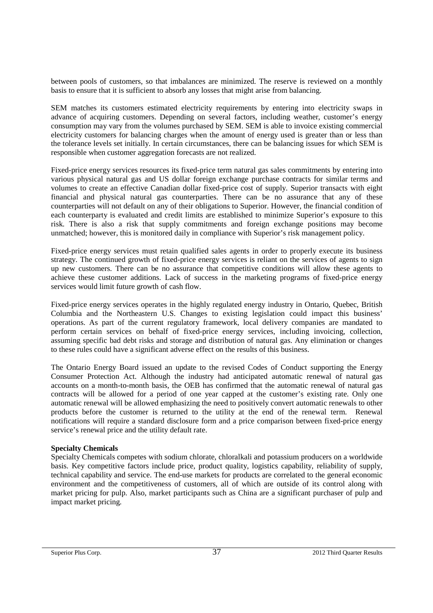between pools of customers, so that imbalances are minimized. The reserve is reviewed on a monthly basis to ensure that it is sufficient to absorb any losses that might arise from balancing.

SEM matches its customers estimated electricity requirements by entering into electricity swaps in advance of acquiring customers. Depending on several factors, including weather, customer's energy consumption may vary from the volumes purchased by SEM. SEM is able to invoice existing commercial electricity customers for balancing charges when the amount of energy used is greater than or less than the tolerance levels set initially. In certain circumstances, there can be balancing issues for which SEM is responsible when customer aggregation forecasts are not realized.

Fixed-price energy services resources its fixed-price term natural gas sales commitments by entering into various physical natural gas and US dollar foreign exchange purchase contracts for similar terms and volumes to create an effective Canadian dollar fixed-price cost of supply. Superior transacts with eight financial and physical natural gas counterparties. There can be no assurance that any of these counterparties will not default on any of their obligations to Superior. However, the financial condition of each counterparty is evaluated and credit limits are established to minimize Superior's exposure to this risk. There is also a risk that supply commitments and foreign exchange positions may become unmatched; however, this is monitored daily in compliance with Superior's risk management policy.

Fixed-price energy services must retain qualified sales agents in order to properly execute its business strategy. The continued growth of fixed-price energy services is reliant on the services of agents to sign up new customers. There can be no assurance that competitive conditions will allow these agents to achieve these customer additions. Lack of success in the marketing programs of fixed-price energy services would limit future growth of cash flow.

Fixed-price energy services operates in the highly regulated energy industry in Ontario, Quebec, British Columbia and the Northeastern U.S. Changes to existing legislation could impact this business' operations. As part of the current regulatory framework, local delivery companies are mandated to perform certain services on behalf of fixed-price energy services, including invoicing, collection, assuming specific bad debt risks and storage and distribution of natural gas. Any elimination or changes to these rules could have a significant adverse effect on the results of this business.

The Ontario Energy Board issued an update to the revised Codes of Conduct supporting the Energy Consumer Protection Act. Although the industry had anticipated automatic renewal of natural gas accounts on a month-to-month basis, the OEB has confirmed that the automatic renewal of natural gas contracts will be allowed for a period of one year capped at the customer's existing rate. Only one automatic renewal will be allowed emphasizing the need to positively convert automatic renewals to other products before the customer is returned to the utility at the end of the renewal term. Renewal notifications will require a standard disclosure form and a price comparison between fixed-price energy service's renewal price and the utility default rate.

## **Specialty Chemicals**

Specialty Chemicals competes with sodium chlorate, chloralkali and potassium producers on a worldwide basis. Key competitive factors include price, product quality, logistics capability, reliability of supply, technical capability and service. The end-use markets for products are correlated to the general economic environment and the competitiveness of customers, all of which are outside of its control along with market pricing for pulp. Also, market participants such as China are a significant purchaser of pulp and impact market pricing.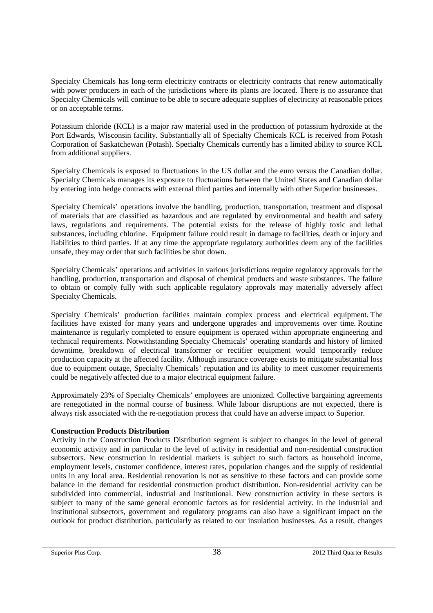Specialty Chemicals has long-term electricity contracts or electricity contracts that renew automatically with power producers in each of the jurisdictions where its plants are located. There is no assurance that Specialty Chemicals will continue to be able to secure adequate supplies of electricity at reasonable prices or on acceptable terms.

Potassium chloride (KCL) is a major raw material used in the production of potassium hydroxide at the Port Edwards, Wisconsin facility. Substantially all of Specialty Chemicals KCL is received from Potash Corporation of Saskatchewan (Potash). Specialty Chemicals currently has a limited ability to source KCL from additional suppliers.

Specialty Chemicals is exposed to fluctuations in the US dollar and the euro versus the Canadian dollar. Specialty Chemicals manages its exposure to fluctuations between the United States and Canadian dollar by entering into hedge contracts with external third parties and internally with other Superior businesses.

Specialty Chemicals' operations involve the handling, production, transportation, treatment and disposal of materials that are classified as hazardous and are regulated by environmental and health and safety laws, regulations and requirements. The potential exists for the release of highly toxic and lethal substances, including chlorine. Equipment failure could result in damage to facilities, death or injury and liabilities to third parties. If at any time the appropriate regulatory authorities deem any of the facilities unsafe, they may order that such facilities be shut down.

Specialty Chemicals' operations and activities in various jurisdictions require regulatory approvals for the handling, production, transportation and disposal of chemical products and waste substances. The failure to obtain or comply fully with such applicable regulatory approvals may materially adversely affect Specialty Chemicals.

Specialty Chemicals' production facilities maintain complex process and electrical equipment. The facilities have existed for many years and undergone upgrades and improvements over time. Routine maintenance is regularly completed to ensure equipment is operated within appropriate engineering and technical requirements. Notwithstanding Specialty Chemicals' operating standards and history of limited downtime, breakdown of electrical transformer or rectifier equipment would temporarily reduce production capacity at the affected facility. Although insurance coverage exists to mitigate substantial loss due to equipment outage, Specialty Chemicals' reputation and its ability to meet customer requirements could be negatively affected due to a major electrical equipment failure.

Approximately 23% of Specialty Chemicals' employees are unionized. Collective bargaining agreements are renegotiated in the normal course of business. While labour disruptions are not expected, there is always risk associated with the re-negotiation process that could have an adverse impact to Superior.

# **Construction Products Distribution**

Activity in the Construction Products Distribution segment is subject to changes in the level of general economic activity and in particular to the level of activity in residential and non-residential construction subsectors. New construction in residential markets is subject to such factors as household income, employment levels, customer confidence, interest rates, population changes and the supply of residential units in any local area. Residential renovation is not as sensitive to these factors and can provide some balance in the demand for residential construction product distribution. Non-residential activity can be subdivided into commercial, industrial and institutional. New construction activity in these sectors is subject to many of the same general economic factors as for residential activity. In the industrial and institutional subsectors, government and regulatory programs can also have a significant impact on the outlook for product distribution, particularly as related to our insulation businesses. As a result, changes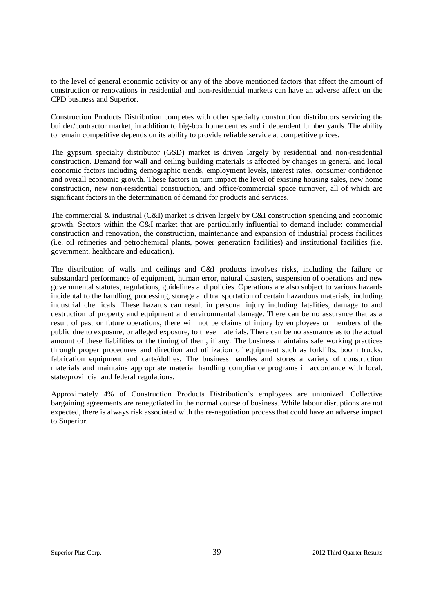to the level of general economic activity or any of the above mentioned factors that affect the amount of construction or renovations in residential and non-residential markets can have an adverse affect on the CPD business and Superior.

Construction Products Distribution competes with other specialty construction distributors servicing the builder/contractor market, in addition to big-box home centres and independent lumber yards. The ability to remain competitive depends on its ability to provide reliable service at competitive prices.

The gypsum specialty distributor (GSD) market is driven largely by residential and non-residential construction. Demand for wall and ceiling building materials is affected by changes in general and local economic factors including demographic trends, employment levels, interest rates, consumer confidence and overall economic growth. These factors in turn impact the level of existing housing sales, new home construction, new non-residential construction, and office/commercial space turnover, all of which are significant factors in the determination of demand for products and services.

The commercial  $\&$  industrial (C&I) market is driven largely by C&I construction spending and economic growth. Sectors within the C&I market that are particularly influential to demand include: commercial construction and renovation, the construction, maintenance and expansion of industrial process facilities (i.e. oil refineries and petrochemical plants, power generation facilities) and institutional facilities (i.e. government, healthcare and education).

The distribution of walls and ceilings and C&I products involves risks, including the failure or substandard performance of equipment, human error, natural disasters, suspension of operations and new governmental statutes, regulations, guidelines and policies. Operations are also subject to various hazards incidental to the handling, processing, storage and transportation of certain hazardous materials, including industrial chemicals. These hazards can result in personal injury including fatalities, damage to and destruction of property and equipment and environmental damage. There can be no assurance that as a result of past or future operations, there will not be claims of injury by employees or members of the public due to exposure, or alleged exposure, to these materials. There can be no assurance as to the actual amount of these liabilities or the timing of them, if any. The business maintains safe working practices through proper procedures and direction and utilization of equipment such as forklifts, boom trucks, fabrication equipment and carts/dollies. The business handles and stores a variety of construction materials and maintains appropriate material handling compliance programs in accordance with local, state/provincial and federal regulations.

Approximately 4% of Construction Products Distribution's employees are unionized. Collective bargaining agreements are renegotiated in the normal course of business. While labour disruptions are not expected, there is always risk associated with the re-negotiation process that could have an adverse impact to Superior.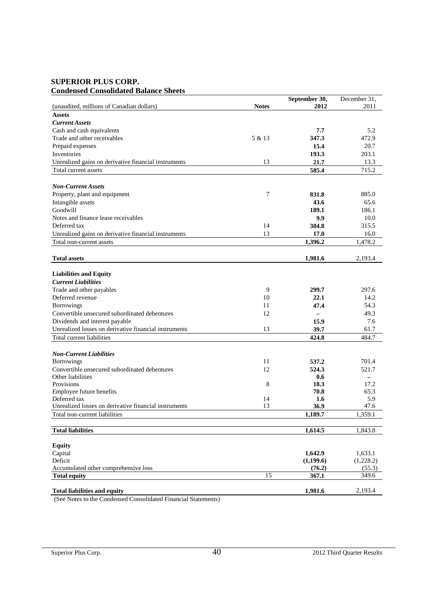# **SUPERIOR PLUS CORP.**

# **Condensed Consolidated Balance Sheets**

|                                                       |                 | September 30,            | December 31, |
|-------------------------------------------------------|-----------------|--------------------------|--------------|
| (unaudited, millions of Canadian dollars)             | <b>Notes</b>    | 2012                     | 2011         |
| <b>Assets</b>                                         |                 |                          |              |
| <b>Current Assets</b>                                 |                 |                          |              |
| Cash and cash equivalents                             |                 | 7.7                      | 5.2          |
| Trade and other receivables                           | 5 & 13          | 347.3                    | 472.9        |
| Prepaid expenses                                      |                 | 15.4                     | 20.7         |
| Inventories                                           |                 | 193.3                    | 203.1        |
| Unrealized gains on derivative financial instruments  | 13              | 21.7                     | 13.3         |
| Total current assets                                  |                 | 585.4                    | 715.2        |
|                                                       |                 |                          |              |
| <b>Non-Current Assets</b>                             |                 |                          |              |
| Property, plant and equipment                         | 7               | 831.8                    | 885.0        |
| Intangible assets                                     |                 | 43.6                     | 65.6         |
| Goodwill                                              |                 | 189.1                    | 186.1        |
| Notes and finance lease receivables                   |                 | 9.9                      | 10.0         |
| Deferred tax                                          | 14              | 304.8                    | 315.5        |
| Unrealized gains on derivative financial instruments  | 13              | 17.0                     | 16.0         |
| Total non-current assets                              |                 | 1,396.2                  | 1,478.2      |
|                                                       |                 |                          |              |
| <b>Total assets</b>                                   |                 | 1,981.6                  | 2,193.4      |
|                                                       |                 |                          |              |
| <b>Liabilities and Equity</b>                         |                 |                          |              |
| <b>Current Liabilities</b>                            |                 |                          |              |
| Trade and other payables                              | 9               | 299.7                    | 297.6        |
| Deferred revenue                                      | 10              | 22.1                     | 14.2         |
| <b>Borrowings</b>                                     | 11              | 47.4                     | 54.3         |
| Convertible unsecured subordinated debentures         | 12              | $\overline{\phantom{0}}$ | 49.3         |
| Dividends and interest payable                        |                 | 15.9                     | 7.6          |
| Unrealized losses on derivative financial instruments | 13              | 39.7                     | 61.7         |
| Total current liabilities                             |                 | 424.8                    | 484.7        |
|                                                       |                 |                          |              |
| <b>Non-Current Liabilities</b>                        |                 |                          |              |
| <b>Borrowings</b>                                     | 11              | 537.2                    | 701.4        |
| Convertible unsecured subordinated debentures         | 12              | 524.3                    | 521.7        |
| Other liabilities                                     |                 | 0.6                      | $-$          |
| Provisions                                            | 8               | 18.3                     | 17.2         |
| Employee future benefits                              |                 | 70.8                     | 65.3         |
| Deferred tax                                          | 14              | 1.6                      | 5.9          |
| Unrealized losses on derivative financial instruments | 13              | 36.9                     | 47.6         |
| Total non-current liabilities                         |                 | 1,189.7                  | 1,359.1      |
| <b>Total liabilities</b>                              |                 | 1,614.5                  | 1,843.8      |
|                                                       |                 |                          |              |
| <b>Equity</b>                                         |                 |                          |              |
| Capital                                               |                 | 1,642.9                  | 1,633.1      |
| Deficit                                               |                 | (1,199.6)                | (1,228.2)    |
| Accumulated other comprehensive loss                  |                 | (76.2)                   | (55.3)       |
| <b>Total equity</b>                                   | $\overline{15}$ | 367.1                    | 349.6        |
| <b>Total liabilities and equity</b>                   |                 | 1,981.6                  | 2,193.4      |

(See Notes to the Condensed Consolidated Financial Statements)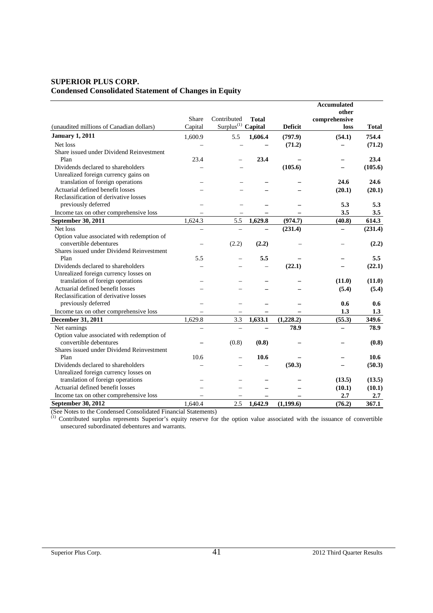# **SUPERIOR PLUS CORP. Condensed Consolidated Statement of Changes in Equity**

|                                            |         |                                |                          |                | <b>Accumulated</b>       |              |
|--------------------------------------------|---------|--------------------------------|--------------------------|----------------|--------------------------|--------------|
|                                            | Share   | Contributed                    | Total                    |                | other<br>comprehensive   |              |
| (unaudited millions of Canadian dollars)   | Capital | Surplus <sup>(1)</sup> Capital |                          | <b>Deficit</b> | loss                     | <b>Total</b> |
| <b>January 1, 2011</b>                     | 1,600.9 | 5.5                            | 1,606.4                  | (797.9)        | (54.1)                   | 754.4        |
| Net loss                                   |         |                                |                          | (71.2)         |                          | (71.2)       |
| Share issued under Dividend Reinvestment   |         |                                |                          |                |                          |              |
| Plan                                       | 23.4    |                                | 23.4                     |                | -                        | 23.4         |
| Dividends declared to shareholders         |         |                                |                          | (105.6)        |                          | (105.6)      |
| Unrealized foreign currency gains on       |         |                                |                          |                |                          |              |
| translation of foreign operations          |         |                                |                          |                | 24.6                     | 24.6         |
| Actuarial defined benefit losses           |         |                                |                          |                | (20.1)                   | (20.1)       |
| Reclassification of derivative losses      |         |                                |                          |                |                          |              |
| previously deferred                        |         |                                |                          |                | 5.3                      | 5.3          |
| Income tax on other comprehensive loss     |         |                                |                          |                | 3.5                      | 3.5          |
| <b>September 30, 2011</b>                  | 1,624.3 | 5.5                            | 1,629.8                  | (974.7)        | (40.8)                   | 614.3        |
| Net loss                                   |         | $\overline{\phantom{0}}$       |                          | (231.4)        | $\overline{\phantom{0}}$ | (231.4)      |
| Option value associated with redemption of |         |                                |                          |                |                          |              |
| convertible debentures                     |         | (2.2)                          | (2.2)                    |                |                          | (2.2)        |
| Shares issued under Dividend Reinvestment  |         |                                |                          |                |                          |              |
| Plan                                       | 5.5     | $\overline{\phantom{0}}$       | 5.5                      |                |                          | 5.5          |
| Dividends declared to shareholders         |         |                                | $\overline{\phantom{0}}$ | (22.1)         |                          | (22.1)       |
| Unrealized foreign currency losses on      |         |                                |                          |                |                          |              |
| translation of foreign operations          |         |                                |                          |                | (11.0)                   | (11.0)       |
| Actuarial defined benefit losses           |         |                                |                          |                | (5.4)                    | (5.4)        |
| Reclassification of derivative losses      |         |                                |                          |                |                          |              |
| previously deferred                        |         |                                |                          |                | 0.6                      | 0.6          |
| Income tax on other comprehensive loss     |         |                                |                          |                | 1.3                      | 1.3          |
| <b>December 31, 2011</b>                   | 1,629.8 | 3.3                            | 1,633.1                  | (1,228.2)      | (55.3)                   | 349.6        |
| Net earnings                               |         | $\overline{\phantom{0}}$       |                          | 78.9           | $\overline{\phantom{0}}$ | 78.9         |
| Option value associated with redemption of |         |                                |                          |                |                          |              |
| convertible debentures                     |         | (0.8)                          | (0.8)                    |                |                          | (0.8)        |
| Shares issued under Dividend Reinvestment  |         |                                |                          |                |                          |              |
| Plan                                       | 10.6    | L,                             | 10.6                     |                |                          | 10.6         |
| Dividends declared to shareholders         |         |                                |                          | (50.3)         |                          | (50.3)       |
| Unrealized foreign currency losses on      |         |                                |                          |                |                          |              |
| translation of foreign operations          |         |                                |                          |                | (13.5)                   | (13.5)       |
| Actuarial defined benefit losses           |         |                                |                          |                | (10.1)                   | (10.1)       |
| Income tax on other comprehensive loss     |         |                                |                          |                | 2.7                      | 2.7          |
| <b>September 30, 2012</b>                  | 1,640.4 | 2.5                            | 1,642.9                  | (1,199.6)      | (76.2)                   | 367.1        |

(See Notes to the Condensed Consolidated Financial Statements)

(1) Contributed surplus represents Superior's equity reserve for the option value associated with the issuance of convertible unsecured subordinated debentures and warrants.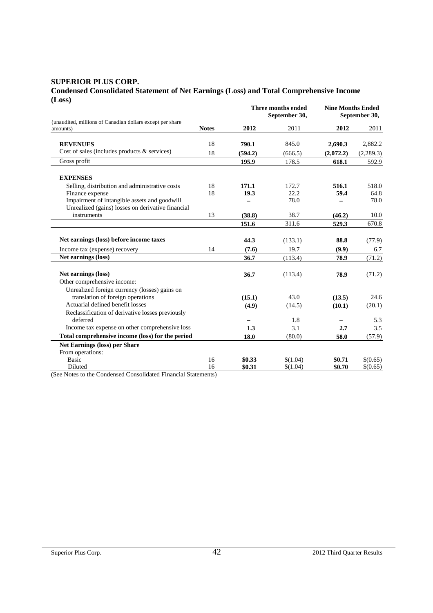# **SUPERIOR PLUS CORP.**

## **Condensed Consolidated Statement of Net Earnings (Loss) and Total Comprehensive Income (Loss)**

|                                                                            |              |         | Three months ended<br>September 30, |           | <b>Nine Months Ended</b><br>September 30, |  |  |
|----------------------------------------------------------------------------|--------------|---------|-------------------------------------|-----------|-------------------------------------------|--|--|
| (unaudited, millions of Canadian dollars except per share<br>amounts)      | <b>Notes</b> | 2012    | 2011                                | 2012      | 2011                                      |  |  |
| <b>REVENUES</b>                                                            | 18           | 790.1   | 845.0                               | 2,690.3   | 2,882.2                                   |  |  |
| Cost of sales (includes products & services)                               | 18           | (594.2) | (666.5)                             | (2,072.2) | (2,289.3)                                 |  |  |
| Gross profit                                                               |              | 195.9   | 178.5                               | 618.1     | 592.9                                     |  |  |
| <b>EXPENSES</b>                                                            |              |         |                                     |           |                                           |  |  |
| Selling, distribution and administrative costs                             | 18           | 171.1   | 172.7                               | 516.1     | 518.0                                     |  |  |
| Finance expense                                                            | 18           | 19.3    | 22.2                                | 59.4      | 64.8                                      |  |  |
| Impairment of intangible assets and goodwill                               |              |         | 78.0                                |           | 78.0                                      |  |  |
| Unrealized (gains) losses on derivative financial                          |              |         |                                     |           |                                           |  |  |
| instruments                                                                | 13           | (38.8)  | 38.7                                | (46.2)    | 10.0                                      |  |  |
|                                                                            |              | 151.6   | 311.6                               | 529.3     | 670.8                                     |  |  |
|                                                                            |              |         |                                     |           |                                           |  |  |
| Net earnings (loss) before income taxes                                    |              | 44.3    | (133.1)                             | 88.8      | (77.9)                                    |  |  |
| Income tax (expense) recovery                                              | 14           | (7.6)   | 19.7                                | (9.9)     | 6.7                                       |  |  |
| Net earnings (loss)                                                        |              | 36.7    | (113.4)                             | 78.9      | (71.2)                                    |  |  |
| Net earnings (loss)                                                        |              | 36.7    | (113.4)                             | 78.9      | (71.2)                                    |  |  |
| Other comprehensive income:                                                |              |         |                                     |           |                                           |  |  |
| Unrealized foreign currency (losses) gains on                              |              |         |                                     |           |                                           |  |  |
| translation of foreign operations                                          |              | (15.1)  | 43.0                                | (13.5)    | 24.6                                      |  |  |
| Actuarial defined benefit losses                                           |              | (4.9)   | (14.5)                              | (10.1)    | (20.1)                                    |  |  |
| Reclassification of derivative losses previously                           |              |         |                                     |           |                                           |  |  |
| deferred                                                                   |              |         | 1.8                                 |           | 5.3                                       |  |  |
| Income tax expense on other comprehensive loss                             |              | 1.3     | 3.1                                 | 2.7       | 3.5                                       |  |  |
| Total comprehensive income (loss) for the period                           |              | 18.0    | (80.0)                              | 58.0      | (57.9)                                    |  |  |
| <b>Net Earnings (loss) per Share</b>                                       |              |         |                                     |           |                                           |  |  |
| From operations:                                                           |              |         |                                     |           |                                           |  |  |
| <b>Basic</b>                                                               | 16           | \$0.33  | \$(1.04)                            | \$0.71    | \$(0.65)                                  |  |  |
| Diluted<br>1.77<br>$\sim$<br>1.1<br>$\cdot$ $\cdot$ $\sim$<br>$\mathbf{X}$ | 16           | \$0.31  | \$(1.04)                            | \$0.70    | \$(0.65)                                  |  |  |

(See Notes to the Condensed Consolidated Financial Statements)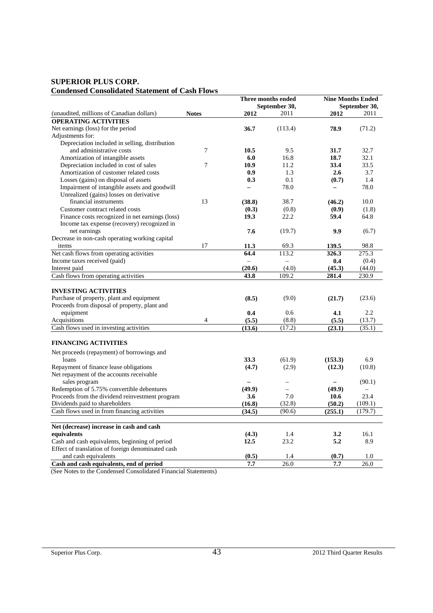# **SUPERIOR PLUS CORP.**

#### **Condensed Consolidated Statement of Cash Flows**

|                                                   |              | Three months ended |                          | <b>Nine Months Ended</b> |               |  |
|---------------------------------------------------|--------------|--------------------|--------------------------|--------------------------|---------------|--|
|                                                   |              |                    | September 30,            |                          | September 30, |  |
| (unaudited, millions of Canadian dollars)         | <b>Notes</b> | 2012               | 2011                     | 2012                     | 2011          |  |
| <b>OPERATING ACTIVITIES</b>                       |              |                    |                          |                          |               |  |
| Net earnings (loss) for the period                |              | 36.7               | (113.4)                  | 78.9                     | (71.2)        |  |
| Adjustments for:                                  |              |                    |                          |                          |               |  |
| Depreciation included in selling, distribution    |              |                    |                          |                          |               |  |
| and administrative costs                          | 7            | 10.5               | 9.5                      | 31.7                     | 32.7          |  |
| Amortization of intangible assets                 |              | 6.0                | 16.8                     | 18.7                     | 32.1          |  |
| Depreciation included in cost of sales            | 7            | 10.9               | 11.2                     | 33.4                     | 33.5          |  |
| Amortization of customer related costs            |              | 0.9                | 1.3                      | 2.6                      | 3.7           |  |
| Losses (gains) on disposal of assets              |              | 0.3                | 0.1                      | (0.7)                    | 1.4           |  |
| Impairment of intangible assets and goodwill      |              | ÷                  | 78.0                     |                          | 78.0          |  |
| Unrealized (gains) losses on derivative           |              |                    |                          |                          |               |  |
| financial instruments                             | 13           | (38.8)             | 38.7                     | (46.2)                   | 10.0          |  |
| Customer contract related costs                   |              | (0.3)              | (0.8)                    | (0.9)                    | (1.8)         |  |
| Finance costs recognized in net earnings (loss)   |              | 19.3               | 22.2                     | 59.4                     | 64.8          |  |
| Income tax expense (recovery) recognized in       |              |                    |                          |                          |               |  |
| net earnings                                      |              | 7.6                | (19.7)                   | 9.9                      | (6.7)         |  |
| Decrease in non-cash operating working capital    |              |                    |                          |                          |               |  |
| items                                             | 17           | 11.3               | 69.3                     | 139.5                    | 98.8          |  |
| Net cash flows from operating activities          |              | 64.4               | 113.2                    | 326.3                    | 275.3         |  |
| Income taxes received (paid)                      |              |                    |                          | 0.4                      | (0.4)         |  |
| Interest paid                                     |              | (20.6)             | (4.0)                    | (45.3)                   | (44.0)        |  |
| Cash flows from operating activities              |              | 43.8               | 109.2                    | 281.4                    | 230.9         |  |
|                                                   |              |                    |                          |                          |               |  |
| <b>INVESTING ACTIVITIES</b>                       |              |                    |                          |                          |               |  |
| Purchase of property, plant and equipment         |              | (8.5)              | (9.0)                    | (21.7)                   | (23.6)        |  |
| Proceeds from disposal of property, plant and     |              |                    |                          |                          |               |  |
| equipment                                         |              | 0.4                | 0.6                      | 4.1                      | 2.2           |  |
| <b>Acquisitions</b>                               | 4            | (5.5)              | (8.8)                    | (5.5)                    | (13.7)        |  |
| Cash flows used in investing activities           |              | (13.6)             | (17.2)                   | (23.1)                   | (35.1)        |  |
|                                                   |              |                    |                          |                          |               |  |
| <b>FINANCING ACTIVITIES</b>                       |              |                    |                          |                          |               |  |
| Net proceeds (repayment) of borrowings and        |              |                    |                          |                          |               |  |
| loans                                             |              | 33.3               | (61.9)                   | (153.3)                  | 6.9           |  |
| Repayment of finance lease obligations            |              | (4.7)              | (2.9)                    | (12.3)                   | (10.8)        |  |
| Net repayment of the accounts receivable          |              |                    |                          |                          |               |  |
| sales program                                     |              |                    |                          |                          | (90.1)        |  |
| Redemption of 5.75% convertible debentures        |              | (49.9)             | $\overline{\phantom{0}}$ | (49.9)                   |               |  |
| Proceeds from the dividend reinvestment program   |              | 3.6                | 7.0                      | 10.6                     | 23.4          |  |
| Dividends paid to shareholders                    |              | (16.8)             | (32.8)                   | (50.2)                   | (109.1)       |  |
| Cash flows used in from financing activities      |              | (34.5)             | (90.6)                   | (255.1)                  | (179.7)       |  |
|                                                   |              |                    |                          |                          |               |  |
| Net (decrease) increase in cash and cash          |              |                    |                          |                          |               |  |
| equivalents                                       |              | (4.3)              | 1.4                      | 3.2                      | 16.1          |  |
| Cash and cash equivalents, beginning of period    |              | 12.5               | 23.2                     | 5.2                      | 8.9           |  |
| Effect of translation of foreign denominated cash |              |                    |                          |                          |               |  |
| and cash equivalents                              |              | (0.5)              | 1.4                      | (0.7)                    | 1.0           |  |
| Cash and cash equivalents, end of period          |              | 7.7                | 26.0                     | 7.7                      | 26.0          |  |

(See Notes to the Condensed Consolidated Financial Statements)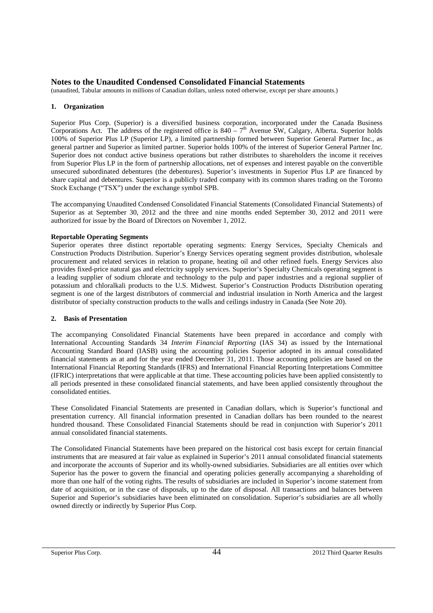# **Notes to the Unaudited Condensed Consolidated Financial Statements**

(unaudited, Tabular amounts in millions of Canadian dollars, unless noted otherwise, except per share amounts.)

#### **1. Organization**

Superior Plus Corp. (Superior) is a diversified business corporation, incorporated under the Canada Business Corporations Act. The address of the registered office is  $840 - 7<sup>th</sup>$  Avenue SW, Calgary, Alberta. Superior holds 100% of Superior Plus LP (Superior LP), a limited partnership formed between Superior General Partner Inc., as general partner and Superior as limited partner. Superior holds 100% of the interest of Superior General Partner Inc. Superior does not conduct active business operations but rather distributes to shareholders the income it receives from Superior Plus LP in the form of partnership allocations, net of expenses and interest payable on the convertible unsecured subordinated debentures (the debentures). Superior's investments in Superior Plus LP are financed by share capital and debentures. Superior is a publicly traded company with its common shares trading on the Toronto Stock Exchange ("TSX") under the exchange symbol SPB.

The accompanying Unaudited Condensed Consolidated Financial Statements (Consolidated Financial Statements) of Superior as at September 30, 2012 and the three and nine months ended September 30, 2012 and 2011 were authorized for issue by the Board of Directors on November 1, 2012.

#### **Reportable Operating Segments**

Superior operates three distinct reportable operating segments: Energy Services, Specialty Chemicals and Construction Products Distribution. Superior's Energy Services operating segment provides distribution, wholesale procurement and related services in relation to propane, heating oil and other refined fuels. Energy Services also provides fixed-price natural gas and electricity supply services. Superior's Specialty Chemicals operating segment is a leading supplier of sodium chlorate and technology to the pulp and paper industries and a regional supplier of potassium and chloralkali products to the U.S. Midwest. Superior's Construction Products Distribution operating segment is one of the largest distributors of commercial and industrial insulation in North America and the largest distributor of specialty construction products to the walls and ceilings industry in Canada (See Note 20).

#### **2. Basis of Presentation**

The accompanying Consolidated Financial Statements have been prepared in accordance and comply with International Accounting Standards 34 *Interim Financial Reporting* (IAS 34) as issued by the International Accounting Standard Board (IASB) using the accounting policies Superior adopted in its annual consolidated financial statements as at and for the year ended December 31, 2011. Those accounting policies are based on the International Financial Reporting Standards (IFRS) and International Financial Reporting Interpretations Committee (IFRIC) interpretations that were applicable at that time. These accounting policies have been applied consistently to all periods presented in these consolidated financial statements, and have been applied consistently throughout the consolidated entities.

These Consolidated Financial Statements are presented in Canadian dollars, which is Superior's functional and presentation currency. All financial information presented in Canadian dollars has been rounded to the nearest hundred thousand. These Consolidated Financial Statements should be read in conjunction with Superior's 2011 annual consolidated financial statements.

The Consolidated Financial Statements have been prepared on the historical cost basis except for certain financial instruments that are measured at fair value as explained in Superior's 2011 annual consolidated financial statements and incorporate the accounts of Superior and its wholly-owned subsidiaries. Subsidiaries are all entities over which Superior has the power to govern the financial and operating policies generally accompanying a shareholding of more than one half of the voting rights. The results of subsidiaries are included in Superior's income statement from date of acquisition, or in the case of disposals, up to the date of disposal. All transactions and balances between Superior and Superior's subsidiaries have been eliminated on consolidation. Superior's subsidiaries are all wholly owned directly or indirectly by Superior Plus Corp.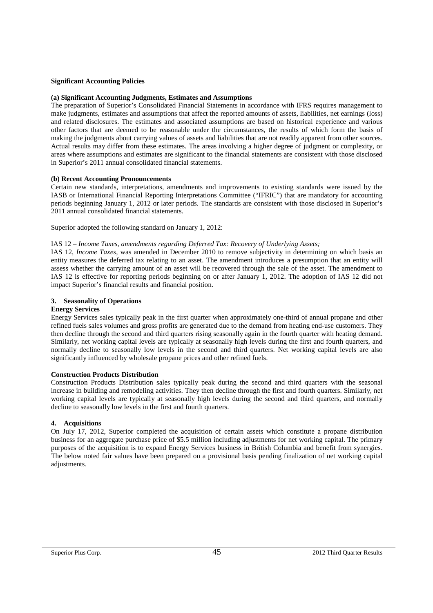#### **Significant Accounting Policies**

#### **(a) Significant Accounting Judgments, Estimates and Assumptions**

The preparation of Superior's Consolidated Financial Statements in accordance with IFRS requires management to make judgments, estimates and assumptions that affect the reported amounts of assets, liabilities, net earnings (loss) and related disclosures. The estimates and associated assumptions are based on historical experience and various other factors that are deemed to be reasonable under the circumstances, the results of which form the basis of making the judgments about carrying values of assets and liabilities that are not readily apparent from other sources. Actual results may differ from these estimates. The areas involving a higher degree of judgment or complexity, or areas where assumptions and estimates are significant to the financial statements are consistent with those disclosed in Superior's 2011 annual consolidated financial statements.

#### **(b) Recent Accounting Pronouncements**

Certain new standards, interpretations, amendments and improvements to existing standards were issued by the IASB or International Financial Reporting Interpretations Committee ("IFRIC") that are mandatory for accounting periods beginning January 1, 2012 or later periods. The standards are consistent with those disclosed in Superior's 2011 annual consolidated financial statements.

Superior adopted the following standard on January 1, 2012:

#### IAS 12 – *Income Taxes, amendments regarding Deferred Tax: Recovery of Underlying Assets;*

IAS 12, *Income Taxes,* was amended in December 2010 to remove subjectivity in determining on which basis an entity measures the deferred tax relating to an asset. The amendment introduces a presumption that an entity will assess whether the carrying amount of an asset will be recovered through the sale of the asset. The amendment to IAS 12 is effective for reporting periods beginning on or after January 1, 2012. The adoption of IAS 12 did not impact Superior's financial results and financial position.

#### **3. Seasonality of Operations**

#### **Energy Services**

Energy Services sales typically peak in the first quarter when approximately one-third of annual propane and other refined fuels sales volumes and gross profits are generated due to the demand from heating end-use customers. They then decline through the second and third quarters rising seasonally again in the fourth quarter with heating demand. Similarly, net working capital levels are typically at seasonally high levels during the first and fourth quarters, and normally decline to seasonally low levels in the second and third quarters. Net working capital levels are also significantly influenced by wholesale propane prices and other refined fuels.

#### **Construction Products Distribution**

Construction Products Distribution sales typically peak during the second and third quarters with the seasonal increase in building and remodeling activities. They then decline through the first and fourth quarters. Similarly, net working capital levels are typically at seasonally high levels during the second and third quarters, and normally decline to seasonally low levels in the first and fourth quarters.

## **4. Acquisitions**

On July 17, 2012, Superior completed the acquisition of certain assets which constitute a propane distribution business for an aggregate purchase price of \$5.5 million including adjustments for net working capital. The primary purposes of the acquisition is to expand Energy Services business in British Columbia and benefit from synergies. The below noted fair values have been prepared on a provisional basis pending finalization of net working capital adjustments.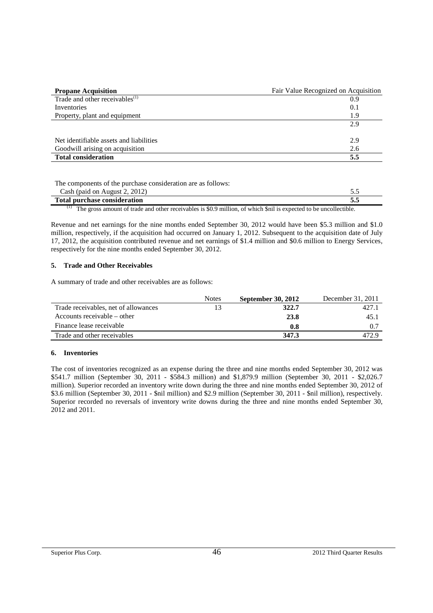| <b>Propane Acquisition</b>              | Fair Value Recognized on Acquisition |
|-----------------------------------------|--------------------------------------|
| Trade and other receivables $(1)$       | 0.9                                  |
| Inventories                             | 0.1                                  |
| Property, plant and equipment           | 1.9                                  |
|                                         | 2.9                                  |
| Net identifiable assets and liabilities | 2.9                                  |
| Goodwill arising on acquisition         | 2.6                                  |
| <b>Total consideration</b>              | 5.5                                  |

The components of the purchase consideration are as follows:

| Cash<br>(paid on $\lambda$ | 2012<br>August           |  |                             |                 | ິ∙∙  |
|----------------------------|--------------------------|--|-----------------------------|-----------------|------|
| Total                      | l purchase consideration |  |                             |                 | سوسه |
| $T_{\rm T}$<br>. .         |                          |  | <br>$\triangle$ $\triangle$ | $\cdot$ $\cdot$ |      |

(1) The gross amount of trade and other receivables is \$0.9 million, of which \$nil is expected to be uncollectible.

Revenue and net earnings for the nine months ended September 30, 2012 would have been \$5.3 million and \$1.0 million, respectively, if the acquisition had occurred on January 1, 2012. Subsequent to the acquisition date of July 17, 2012, the acquisition contributed revenue and net earnings of \$1.4 million and \$0.6 million to Energy Services, respectively for the nine months ended September 30, 2012.

#### **5. Trade and Other Receivables**

A summary of trade and other receivables are as follows:

|                                      | <b>Notes</b> | <b>September 30, 2012</b> | December 31, 2011 |
|--------------------------------------|--------------|---------------------------|-------------------|
| Trade receivables, net of allowances |              | 322.7                     | 427.1             |
| Accounts receivable – other          |              | 23.8                      | 45.1              |
| Finance lease receivable             |              | 0.8                       | 0.7               |
| Trade and other receivables          |              | 347.3                     | 472.9             |

#### **6. Inventories**

The cost of inventories recognized as an expense during the three and nine months ended September 30, 2012 was \$541.7 million (September 30, 2011 - \$584.3 million) and \$1,879.9 million (September 30, 2011 - \$2,026.7 million). Superior recorded an inventory write down during the three and nine months ended September 30, 2012 of \$3.6 million (September 30, 2011 - \$nil million) and \$2.9 million (September 30, 2011 - \$nil million), respectively. Superior recorded no reversals of inventory write downs during the three and nine months ended September 30, 2012 and 2011.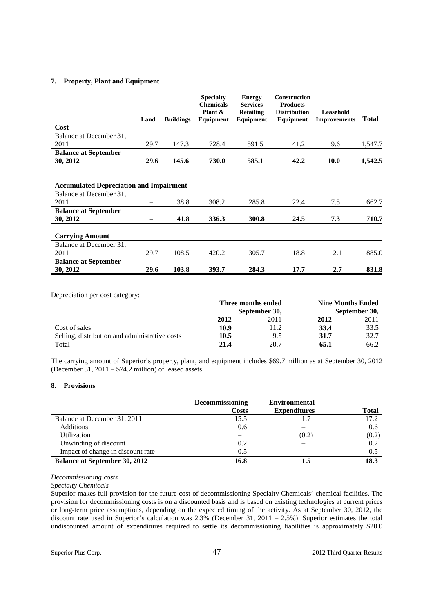#### **7. Property, Plant and Equipment**

|                                                                                   | Land | <b>Buildings</b> | <b>Specialty</b><br><b>Chemicals</b><br>Plant &<br>Equipment | <b>Energy</b><br><b>Services</b><br><b>Retailing</b><br>Equipment | Construction<br><b>Products</b><br><b>Distribution</b><br>Equipment | Leasehold<br><b>Improvements</b> | Total   |
|-----------------------------------------------------------------------------------|------|------------------|--------------------------------------------------------------|-------------------------------------------------------------------|---------------------------------------------------------------------|----------------------------------|---------|
| Cost                                                                              |      |                  |                                                              |                                                                   |                                                                     |                                  |         |
| Balance at December 31,                                                           |      |                  |                                                              |                                                                   |                                                                     |                                  |         |
| 2011                                                                              | 29.7 | 147.3            | 728.4                                                        | 591.5                                                             | 41.2                                                                | 9.6                              | 1,547.7 |
| <b>Balance at September</b>                                                       |      |                  |                                                              |                                                                   |                                                                     |                                  |         |
| 30, 2012                                                                          | 29.6 | 145.6            | 730.0                                                        | 585.1                                                             | 42.2                                                                | <b>10.0</b>                      | 1,542.5 |
| <b>Accumulated Depreciation and Impairment</b><br>Balance at December 31,<br>2011 |      | 38.8             | 308.2                                                        | 285.8                                                             | 22.4                                                                | 7.5                              | 662.7   |
| <b>Balance at September</b><br>30, 2012                                           |      | 41.8             | 336.3                                                        | 300.8                                                             | 24.5                                                                | 7.3                              | 710.7   |
| <b>Carrying Amount</b>                                                            |      |                  |                                                              |                                                                   |                                                                     |                                  |         |
| Balance at December 31,<br>2011                                                   | 29.7 | 108.5            | 420.2                                                        | 305.7                                                             | 18.8                                                                | 2.1                              | 885.0   |
| <b>Balance at September</b><br>30, 2012                                           | 29.6 | 103.8            | 393.7                                                        | 284.3                                                             | 17.7                                                                | 2.7                              | 831.8   |

Depreciation per cost category:

|                                                |      | Three months ended | <b>Nine Months Ended</b> |      |  |
|------------------------------------------------|------|--------------------|--------------------------|------|--|
|                                                |      | September 30,      | September 30,            |      |  |
|                                                | 2012 | 2011               | 2012                     | 2011 |  |
| Cost of sales                                  | 10.9 | 11.2               | 33.4                     | 33.5 |  |
| Selling, distribution and administrative costs | 10.5 | 9.5                | 31.7                     | 32.7 |  |
| Total                                          | 21.4 | 20.7               | 65.1                     | 66.2 |  |

The carrying amount of Superior's property, plant, and equipment includes \$69.7 million as at September 30, 2012 (December 31, 2011 – \$74.2 million) of leased assets.

#### **8. Provisions**

|                                      | <b>Decommissioning</b> | <b>Environmental</b> |       |
|--------------------------------------|------------------------|----------------------|-------|
|                                      | Costs                  | <b>Expenditures</b>  | Total |
| Balance at December 31, 2011         | 15.5                   |                      | 17.2  |
| Additions                            | 0.6                    |                      | 0.6   |
| Utilization                          |                        | (0.2)                | (0.2) |
| Unwinding of discount                | 0.2                    |                      | 0.2   |
| Impact of change in discount rate    | 0.5                    |                      | 0.5   |
| <b>Balance at September 30, 2012</b> | 16.8                   |                      | 18.3  |

*Decommissioning costs* 

*Specialty Chemicals* 

Superior makes full provision for the future cost of decommissioning Specialty Chemicals' chemical facilities. The provision for decommissioning costs is on a discounted basis and is based on existing technologies at current prices or long-term price assumptions, depending on the expected timing of the activity. As at September 30, 2012, the discount rate used in Superior's calculation was 2.3% (December 31, 2011 – 2.5%). Superior estimates the total undiscounted amount of expenditures required to settle its decommissioning liabilities is approximately \$20.0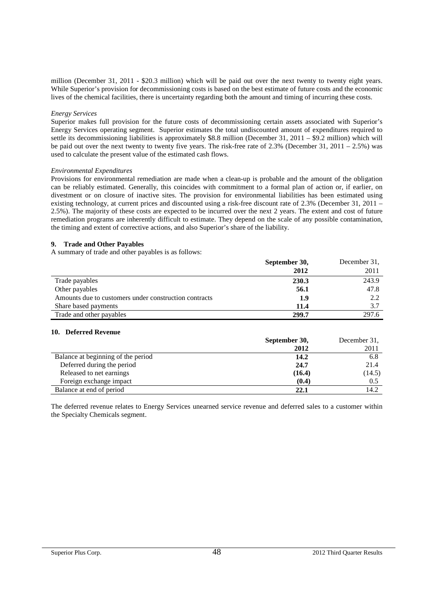million (December 31, 2011 - \$20.3 million) which will be paid out over the next twenty to twenty eight years. While Superior's provision for decommissioning costs is based on the best estimate of future costs and the economic lives of the chemical facilities, there is uncertainty regarding both the amount and timing of incurring these costs.

#### *Energy Services*

Superior makes full provision for the future costs of decommissioning certain assets associated with Superior's Energy Services operating segment. Superior estimates the total undiscounted amount of expenditures required to settle its decommissioning liabilities is approximately \$8.8 million (December 31, 2011 – \$9.2 million) which will be paid out over the next twenty to twenty five years. The risk-free rate of  $2.3\%$  (December 31, 2011 – 2.5%) was used to calculate the present value of the estimated cash flows.

#### *Environmental Expenditures*

Provisions for environmental remediation are made when a clean-up is probable and the amount of the obligation can be reliably estimated. Generally, this coincides with commitment to a formal plan of action or, if earlier, on divestment or on closure of inactive sites. The provision for environmental liabilities has been estimated using existing technology, at current prices and discounted using a risk-free discount rate of 2.3% (December 31, 2011 – 2.5%). The majority of these costs are expected to be incurred over the next 2 years. The extent and cost of future remediation programs are inherently difficult to estimate. They depend on the scale of any possible contamination, the timing and extent of corrective actions, and also Superior's share of the liability.

#### **9. Trade and Other Payables**

A summary of trade and other payables is as follows:

|                                                       | September 30, | December 31, |
|-------------------------------------------------------|---------------|--------------|
|                                                       | 2012          | 2011         |
| Trade payables                                        | 230.3         | 243.9        |
| Other payables                                        | 56.1          | 47.8         |
| Amounts due to customers under construction contracts | 1.9           | 2.2          |
| Share based payments                                  | 11.4          | 3.7          |
| Trade and other payables                              | 299.7         | 297.6        |

#### **10. Deferred Revenue**

|                                    | September 30, | December 31, |
|------------------------------------|---------------|--------------|
|                                    | 2012          | 2011         |
| Balance at beginning of the period | 14.2          | 6.8          |
| Deferred during the period         | 24.7          | 21.4         |
| Released to net earnings           | (16.4)        | (14.5)       |
| Foreign exchange impact            | (0.4)         | 0.5          |
| Balance at end of period           | 22.1          | 14.2         |

The deferred revenue relates to Energy Services unearned service revenue and deferred sales to a customer within the Specialty Chemicals segment.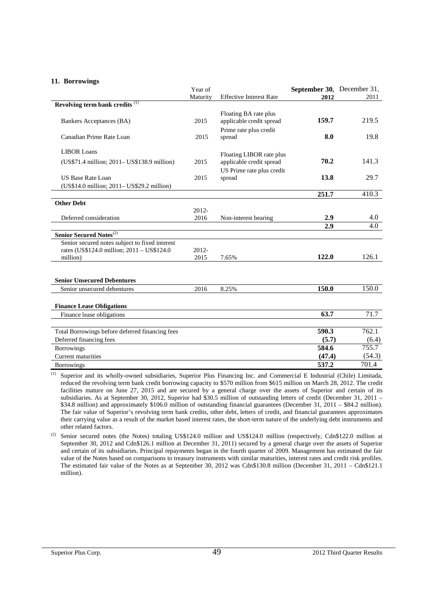#### **11. Borrowings**

|                                                 | Year of  |                                                   | September 30, December 31, |        |
|-------------------------------------------------|----------|---------------------------------------------------|----------------------------|--------|
|                                                 | Maturity | <b>Effective Interest Rate</b>                    | 2012                       | 2011   |
| Revolving term bank credits <sup>(1)</sup>      |          |                                                   |                            |        |
| Bankers Acceptances (BA)                        | 2015     | Floating BA rate plus<br>applicable credit spread | 159.7                      | 219.5  |
| Canadian Prime Rate Loan                        | 2015     | Prime rate plus credit<br>spread                  | 8.0                        | 19.8   |
| <b>LIBOR Loans</b>                              |          | Floating LIBOR rate plus                          |                            |        |
| (US\$71.4 million; 2011– US\$138.9 million)     | 2015     | applicable credit spread                          | 70.2                       | 141.3  |
| <b>US Base Rate Loan</b>                        | 2015     | US Prime rate plus credit<br>spread               | 13.8                       | 29.7   |
| (US\$14.0 million; 2011– US\$29.2 million)      |          |                                                   |                            |        |
|                                                 |          |                                                   | 251.7                      | 410.3  |
| <b>Other Debt</b>                               |          |                                                   |                            |        |
|                                                 | 2012-    |                                                   |                            |        |
| Deferred consideration                          | 2016     | Non-interest bearing                              | 2.9                        | 4.0    |
|                                                 |          |                                                   | 2.9                        | 4.0    |
| Senior Secured Notes <sup>(2)</sup>             |          |                                                   |                            |        |
| Senior secured notes subject to fixed interest  |          |                                                   |                            |        |
| rates (US\$124.0 million; 2011 - US\$124.0      | 2012-    |                                                   |                            |        |
| million)                                        | 2015     | 7.65%                                             | 122.0                      | 126.1  |
| <b>Senior Unsecured Debentures</b>              |          |                                                   |                            |        |
| Senior unsecured debentures                     | 2016     | 8.25%                                             | 150.0                      | 150.0  |
| <b>Finance Lease Obligations</b>                |          |                                                   |                            |        |
| Finance lease obligations                       |          |                                                   | 63.7                       | 71.7   |
|                                                 |          |                                                   |                            |        |
| Total Borrowings before deferred financing fees |          |                                                   | 590.3                      | 762.1  |
| Deferred financing fees                         |          |                                                   | (5.7)                      | (6.4)  |
| <b>Borrowings</b>                               |          |                                                   | 584.6                      | 755.7  |
| Current maturities                              |          |                                                   | (47.4)                     | (54.3) |
| <b>Borrowings</b>                               |          |                                                   | 537.2                      | 701.4  |
|                                                 |          |                                                   |                            |        |

(1) Superior and its wholly-owned subsidiaries, Superior Plus Financing Inc. and Commercial E Industrial (Chile) Limitada, reduced the revolving term bank credit borrowing capacity to \$570 million from \$615 million on March 28, 2012. The credit facilities mature on June 27, 2015 and are secured by a general charge over the assets of Superior and certain of its subsidiaries. As at September 30, 2012, Superior had \$30.5 million of outstanding letters of credit (December 31, 2011 – \$34.8 million) and approximately \$106.0 million of outstanding financial guarantees (December 31, 2011 – \$84.2 million). The fair value of Superior's revolving term bank credits, other debt, letters of credit, and financial guarantees approximates their carrying value as a result of the market based interest rates, the short-term nature of the underlying debt instruments and other related factors.

<sup>(2)</sup> Senior secured notes (the Notes) totaling US\$124.0 million and US\$124.0 million (respectively, Cdn\$122.0 million at September 30, 2012 and Cdn\$126.1 million at December 31, 2011) secured by a general charge over the assets of Superior and certain of its subsidiaries. Principal repayments began in the fourth quarter of 2009. Management has estimated the fair value of the Notes based on comparisons to treasury instruments with similar maturities, interest rates and credit risk profiles. The estimated fair value of the Notes as at September 30, 2012 was Cdn\$130.8 million (December 31, 2011 – Cdn\$121.1 million).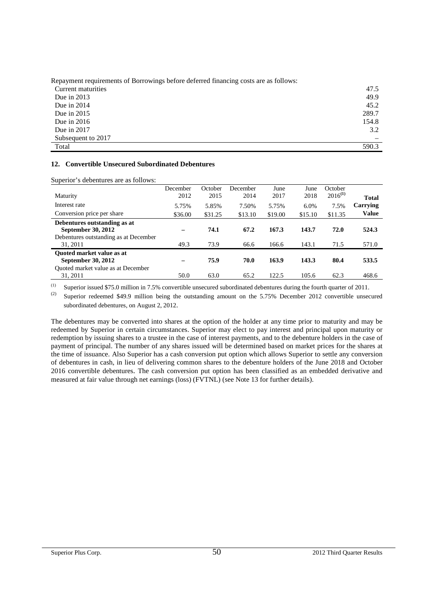| Repayment requirements of Borrowings before deferred financing costs are as follows: |       |
|--------------------------------------------------------------------------------------|-------|
| Current maturities                                                                   | 47.5  |
| Due in $2013$                                                                        | 49.9  |
| Due in $2014$                                                                        | 45.2  |
| Due in $2015$                                                                        | 289.7 |
| Due in $2016$                                                                        | 154.8 |
| Due in $2017$                                                                        | 3.2   |
| Subsequent to 2017                                                                   |       |
| Total                                                                                | 590.3 |

## **12. Convertible Unsecured Subordinated Debentures**

Superior's debentures are as follows:

|                                                                                             | December | October | December | June    | June    | October      |              |
|---------------------------------------------------------------------------------------------|----------|---------|----------|---------|---------|--------------|--------------|
| Maturity                                                                                    | 2012     | 2015    | 2014     | 2017    | 2018    | $2016^{(1)}$ | <b>Total</b> |
| Interest rate                                                                               | 5.75%    | 5.85%   | 7.50%    | 5.75%   | 6.0%    | 7.5%         | Carrying     |
| Conversion price per share                                                                  | \$36.00  | \$31.25 | \$13.10  | \$19.00 | \$15.10 | \$11.35      | <b>Value</b> |
| Debentures outstanding as at<br>September 30, 2012<br>Debentures outstanding as at December |          | 74.1    | 67.2     | 167.3   | 143.7   | 72.0         | 524.3        |
| 31, 2011                                                                                    | 49.3     | 73.9    | 66.6     | 166.6   | 143.1   | 71.5         | 571.0        |
| <b>Ouoted market value as at</b>                                                            |          |         |          |         |         |              |              |
| September 30, 2012                                                                          |          | 75.9    | 70.0     | 163.9   | 143.3   | 80.4         | 533.5        |
| Quoted market value as at December                                                          |          |         |          |         |         |              |              |
| 31, 2011                                                                                    | 50.0     | 63.0    | 65.2     | 122.5   | 105.6   | 62.3         | 468.6        |

(1) Superior issued \$75.0 million in 7.5% convertible unsecured subordinated debentures during the fourth quarter of 2011.

<sup>(2)</sup> Superior redeemed \$49.9 million being the outstanding amount on the 5.75% December 2012 convertible unsecured subordinated debentures, on August 2, 2012.

The debentures may be converted into shares at the option of the holder at any time prior to maturity and may be redeemed by Superior in certain circumstances. Superior may elect to pay interest and principal upon maturity or redemption by issuing shares to a trustee in the case of interest payments, and to the debenture holders in the case of payment of principal. The number of any shares issued will be determined based on market prices for the shares at the time of issuance. Also Superior has a cash conversion put option which allows Superior to settle any conversion of debentures in cash, in lieu of delivering common shares to the debenture holders of the June 2018 and October 2016 convertible debentures. The cash conversion put option has been classified as an embedded derivative and measured at fair value through net earnings (loss) (FVTNL) (see Note 13 for further details).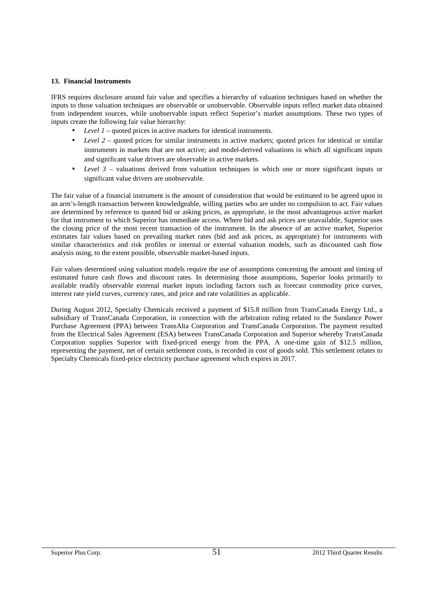#### **13. Financial Instruments**

IFRS requires disclosure around fair value and specifies a hierarchy of valuation techniques based on whether the inputs to those valuation techniques are observable or unobservable. Observable inputs reflect market data obtained from independent sources, while unobservable inputs reflect Superior's market assumptions. These two types of inputs create the following fair value hierarchy:

- *Level 1* quoted prices in active markets for identical instruments.
- *Level 2* quoted prices for similar instruments in active markets; quoted prices for identical or similar instruments in markets that are not active; and model-derived valuations in which all significant inputs and significant value drivers are observable in active markets.
- *Level 3* valuations derived from valuation techniques in which one or more significant inputs or significant value drivers are unobservable.

The fair value of a financial instrument is the amount of consideration that would be estimated to be agreed upon in an arm's-length transaction between knowledgeable, willing parties who are under no compulsion to act. Fair values are determined by reference to quoted bid or asking prices, as appropriate, in the most advantageous active market for that instrument to which Superior has immediate access. Where bid and ask prices are unavailable, Superior uses the closing price of the most recent transaction of the instrument. In the absence of an active market, Superior estimates fair values based on prevailing market rates (bid and ask prices, as appropriate) for instruments with similar characteristics and risk profiles or internal or external valuation models, such as discounted cash flow analysis using, to the extent possible, observable market-based inputs.

Fair values determined using valuation models require the use of assumptions concerning the amount and timing of estimated future cash flows and discount rates. In determining those assumptions, Superior looks primarily to available readily observable external market inputs including factors such as forecast commodity price curves, interest rate yield curves, currency rates, and price and rate volatilities as applicable.

During August 2012, Specialty Chemicals received a payment of \$15.8 million from TransCanada Energy Ltd., a subsidiary of TransCanada Corporation, in connection with the arbitration ruling related to the Sundance Power Purchase Agreement (PPA) between TransAlta Corporation and TransCanada Corporation. The payment resulted from the Electrical Sales Agreement (ESA) between TransCanada Corporation and Superior whereby TransCanada Corporation supplies Superior with fixed-priced energy from the PPA. A one-time gain of \$12.5 million, representing the payment, net of certain settlement costs, is recorded in cost of goods sold. This settlement relates to Specialty Chemicals fixed-price electricity purchase agreement which expires in 2017.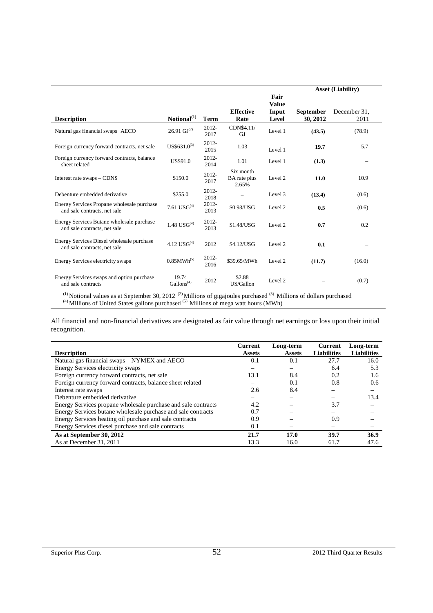|                                                                            |                                 |                  |                                    |                               | <b>Asset (Liability)</b> |              |  |  |
|----------------------------------------------------------------------------|---------------------------------|------------------|------------------------------------|-------------------------------|--------------------------|--------------|--|--|
|                                                                            |                                 |                  | <b>Effective</b>                   | Fair<br><b>Value</b><br>Input | <b>September</b>         | December 31. |  |  |
| <b>Description</b>                                                         | Notional <sup>(1)</sup>         | <b>Term</b>      | Rate                               | Level                         | 30, 2012                 | 2011         |  |  |
| Natural gas financial swaps-AECO                                           | 26.91 $GI^{(2)}$                | 2012-<br>2017    | CDN\$4.11/<br>GJ                   | Level 1                       | (43.5)                   | (78.9)       |  |  |
| Foreign currency forward contracts, net sale                               | $US$631.0^{(3)}$                | 2012-<br>2015    | 1.03                               | Level 1                       | 19.7                     | 5.7          |  |  |
| Foreign currency forward contracts, balance<br>sheet related               | <b>US\$91.0</b>                 | 2012-<br>2014    | 1.01                               | Level 1                       | (1.3)                    |              |  |  |
| Interest rate swaps - CDN\$                                                | \$150.0                         | 2012-<br>2017    | Six month<br>BA rate plus<br>2.65% | Level 2                       | 11.0                     | 10.9         |  |  |
| Debenture embedded derivative                                              | \$255.0                         | $2012 -$<br>2018 |                                    | Level 3                       | (13.4)                   | (0.6)        |  |  |
| Energy Services Propane wholesale purchase<br>and sale contracts, net sale | $7.61$ $\mathrm{USG}^{(4)}$     | 2012-<br>2013    | \$0.93/USG                         | Level 2                       | 0.5                      | (0.6)        |  |  |
| Energy Services Butane wholesale purchase<br>and sale contracts, net sale  | $1.48$ USG <sup>(4)</sup>       | 2012-<br>2013    | \$1.48/USG                         | Level 2                       | 0.7                      | 0.2          |  |  |
| Energy Services Diesel wholesale purchase<br>and sale contracts, net sale  | 4.12 US $G^{(4)}$               | 2012             | \$4.12/USG                         | Level 2                       | 0.1                      |              |  |  |
| Energy Services electricity swaps                                          | $0.85MWh^{(5)}$                 | 2012-<br>2016    | \$39.65/MWh                        | Level 2                       | (11.7)                   | (16.0)       |  |  |
| Energy Services swaps and option purchase<br>and sale contracts            | 19.74<br>Gallons <sup>(4)</sup> | 2012             | \$2.88<br>US/Gallon                | Level 2                       |                          | (0.7)        |  |  |

<sup>(1)</sup> Notional values as at September 30, 2012<sup>(2)</sup> Millions of gigajoules purchased <sup>(3)</sup> Millions of dollars purchased  $<sup>(4)</sup>$  Millions of United States gallons purchased  $<sup>(5)</sup>$  Millions of mega watt hours (MWh)</sup></sup>

All financial and non-financial derivatives are designated as fair value through net earnings or loss upon their initial recognition.

|                                                               | Current       | Long-term     | Current            | Long-term          |
|---------------------------------------------------------------|---------------|---------------|--------------------|--------------------|
| <b>Description</b>                                            | <b>Assets</b> | <b>Assets</b> | <b>Liabilities</b> | <b>Liabilities</b> |
| Natural gas financial swaps - NYMEX and AECO                  | 0.1           | 0.1           | 27.7               | 16.0               |
| Energy Services electricity swaps                             |               |               | 6.4                | 5.3                |
| Foreign currency forward contracts, net sale                  | 13.1          | 8.4           | 0.2                | 1.6                |
| Foreign currency forward contracts, balance sheet related     |               | 0.1           | 0.8                | 0.6                |
| Interest rate swaps                                           | 2.6           | 8.4           |                    |                    |
| Debenture embedded derivative                                 |               |               |                    | 13.4               |
| Energy Services propane wholesale purchase and sale contracts | 4.2           |               | 3.7                |                    |
| Energy Services butane wholesale purchase and sale contracts  | 0.7           |               |                    |                    |
| Energy Services heating oil purchase and sale contracts       | 0.9           |               | 0.9                |                    |
| Energy Services diesel purchase and sale contracts            | 0.1           |               |                    |                    |
| As at September 30, 2012                                      | 21.7          | 17.0          | 39.7               | 36.9               |
| As at December 31, 2011                                       | 13.3          | 16.0          | 61.7               | 47.6               |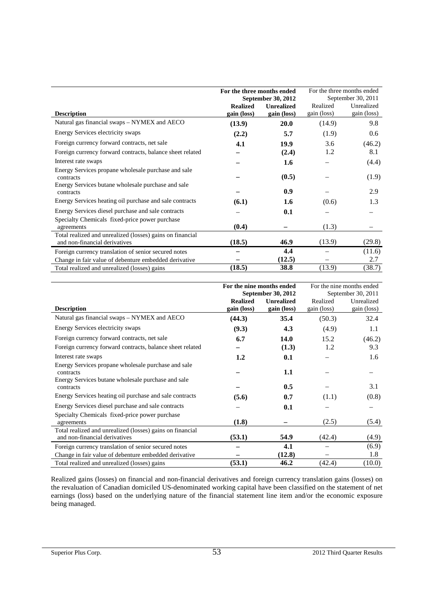|                                                                                            | For the three months ended |                           |                    | For the three months ended |  |  |  |
|--------------------------------------------------------------------------------------------|----------------------------|---------------------------|--------------------|----------------------------|--|--|--|
|                                                                                            |                            | <b>September 30, 2012</b> | September 30, 2011 |                            |  |  |  |
|                                                                                            | <b>Realized</b>            | <b>Unrealized</b>         | Realized           | Unrealized                 |  |  |  |
| <b>Description</b>                                                                         | gain (loss)                | gain (loss)               | gain (loss)        | gain (loss)                |  |  |  |
| Natural gas financial swaps – NYMEX and AECO                                               | (13.9)                     | 20.0                      | (14.9)             | 9.8                        |  |  |  |
| Energy Services electricity swaps                                                          | (2.2)                      | 5.7                       | (1.9)              | 0.6                        |  |  |  |
| Foreign currency forward contracts, net sale                                               | 4.1                        | 19.9                      | 3.6                | (46.2)                     |  |  |  |
| Foreign currency forward contracts, balance sheet related                                  |                            | (2.4)                     | 1.2                | 8.1                        |  |  |  |
| Interest rate swaps                                                                        |                            | 1.6                       |                    | (4.4)                      |  |  |  |
| Energy Services propane wholesale purchase and sale<br>contracts                           |                            | (0.5)                     |                    | (1.9)                      |  |  |  |
| Energy Services butane wholesale purchase and sale<br>contracts                            |                            | 0.9                       |                    | 2.9                        |  |  |  |
| Energy Services heating oil purchase and sale contracts                                    | (6.1)                      | 1.6                       | (0.6)              | 1.3                        |  |  |  |
| Energy Services diesel purchase and sale contracts                                         |                            | 0.1                       |                    |                            |  |  |  |
| Specialty Chemicals fixed-price power purchase<br>agreements                               | (0.4)                      |                           | (1.3)              |                            |  |  |  |
| Total realized and unrealized (losses) gains on financial<br>and non-financial derivatives | (18.5)                     | 46.9                      | (13.9)             | (29.8)                     |  |  |  |
| Foreign currency translation of senior secured notes                                       |                            | 4.4                       |                    | (11.6)                     |  |  |  |
| Change in fair value of debenture embedded derivative                                      |                            | (12.5)                    |                    | 2.7                        |  |  |  |
| Total realized and unrealized (losses) gains                                               | (18.5)                     | 38.8                      | (13.9)             | (38.7)                     |  |  |  |

|                                                                                            | For the nine months ended | September 30, 2012 | For the nine months ended<br>September 30, 2011 |             |  |  |
|--------------------------------------------------------------------------------------------|---------------------------|--------------------|-------------------------------------------------|-------------|--|--|
|                                                                                            | <b>Realized</b>           | <b>Unrealized</b>  | Realized                                        | Unrealized  |  |  |
| <b>Description</b>                                                                         | gain (loss)               | gain (loss)        | gain (loss)                                     | gain (loss) |  |  |
| Natural gas financial swaps – NYMEX and AECO                                               | (44.3)                    | 35.4               | (50.3)                                          | 32.4        |  |  |
| Energy Services electricity swaps                                                          | (9.3)                     | 4.3                | (4.9)                                           | 1.1         |  |  |
| Foreign currency forward contracts, net sale                                               | 6.7                       | <b>14.0</b>        | 15.2                                            | (46.2)      |  |  |
| Foreign currency forward contracts, balance sheet related                                  |                           | (1.3)              | 1.2                                             | 9.3         |  |  |
| Interest rate swaps                                                                        | 1.2                       | 0.1                |                                                 | 1.6         |  |  |
| Energy Services propane wholesale purchase and sale<br>contracts                           |                           | 1.1                |                                                 |             |  |  |
| Energy Services butane wholesale purchase and sale<br>contracts                            |                           | 0.5                |                                                 | 3.1         |  |  |
| Energy Services heating oil purchase and sale contracts                                    | (5.6)                     | 0.7                | (1.1)                                           | (0.8)       |  |  |
| Energy Services diesel purchase and sale contracts                                         |                           | 0.1                |                                                 |             |  |  |
| Specialty Chemicals fixed-price power purchase<br>agreements                               | (1.8)                     |                    | (2.5)                                           | (5.4)       |  |  |
| Total realized and unrealized (losses) gains on financial<br>and non-financial derivatives | (53.1)                    | 54.9               | (42.4)                                          | (4.9)       |  |  |
| Foreign currency translation of senior secured notes                                       |                           | 4.1                |                                                 | (6.9)       |  |  |
| Change in fair value of debenture embedded derivative                                      |                           | (12.8)             |                                                 | 1.8         |  |  |
| Total realized and unrealized (losses) gains                                               | (53.1)                    | 46.2               | (42.4)                                          | (10.0)      |  |  |

Realized gains (losses) on financial and non-financial derivatives and foreign currency translation gains (losses) on the revaluation of Canadian domiciled US-denominated working capital have been classified on the statement of net earnings (loss) based on the underlying nature of the financial statement line item and/or the economic exposure being managed.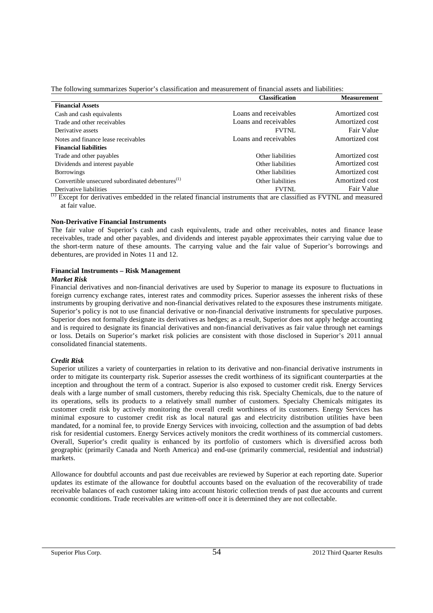|  |  |  |  | The following summarizes Superior's classification and measurement of financial assets and liabilities: |  |  |
|--|--|--|--|---------------------------------------------------------------------------------------------------------|--|--|
|  |  |  |  |                                                                                                         |  |  |

|                                                              | <b>Classification</b> | <b>Measurement</b> |
|--------------------------------------------------------------|-----------------------|--------------------|
| <b>Financial Assets</b>                                      |                       |                    |
| Cash and cash equivalents                                    | Loans and receivables | Amortized cost     |
| Trade and other receivables                                  | Loans and receivables | Amortized cost     |
| Derivative assets                                            | <b>FVTNL</b>          | Fair Value         |
| Notes and finance lease receivables                          | Loans and receivables | Amortized cost     |
| <b>Financial liabilities</b>                                 |                       |                    |
| Trade and other payables                                     | Other liabilities     | Amortized cost     |
| Dividends and interest payable                               | Other liabilities     | Amortized cost     |
| <b>Borrowings</b>                                            | Other liabilities     | Amortized cost     |
| Convertible unsecured subordinated debentures <sup>(1)</sup> | Other liabilities     | Amortized cost     |
| Derivative liabilities                                       | <b>FVTNL</b>          | Fair Value         |

<sup>(1)</sup> Except for derivatives embedded in the related financial instruments that are classified as FVTNL and measured at fair value.

#### **Non-Derivative Financial Instruments**

The fair value of Superior's cash and cash equivalents, trade and other receivables, notes and finance lease receivables, trade and other payables, and dividends and interest payable approximates their carrying value due to the short-term nature of these amounts. The carrying value and the fair value of Superior's borrowings and debentures, are provided in Notes 11 and 12.

#### **Financial Instruments – Risk Management**

#### *Market Risk*

Financial derivatives and non-financial derivatives are used by Superior to manage its exposure to fluctuations in foreign currency exchange rates, interest rates and commodity prices. Superior assesses the inherent risks of these instruments by grouping derivative and non-financial derivatives related to the exposures these instruments mitigate. Superior's policy is not to use financial derivative or non-financial derivative instruments for speculative purposes. Superior does not formally designate its derivatives as hedges; as a result, Superior does not apply hedge accounting and is required to designate its financial derivatives and non-financial derivatives as fair value through net earnings or loss. Details on Superior's market risk policies are consistent with those disclosed in Superior's 2011 annual consolidated financial statements.

#### *Credit Risk*

Superior utilizes a variety of counterparties in relation to its derivative and non-financial derivative instruments in order to mitigate its counterparty risk. Superior assesses the credit worthiness of its significant counterparties at the inception and throughout the term of a contract. Superior is also exposed to customer credit risk. Energy Services deals with a large number of small customers, thereby reducing this risk. Specialty Chemicals, due to the nature of its operations, sells its products to a relatively small number of customers. Specialty Chemicals mitigates its customer credit risk by actively monitoring the overall credit worthiness of its customers. Energy Services has minimal exposure to customer credit risk as local natural gas and electricity distribution utilities have been mandated, for a nominal fee, to provide Energy Services with invoicing, collection and the assumption of bad debts risk for residential customers. Energy Services actively monitors the credit worthiness of its commercial customers. Overall, Superior's credit quality is enhanced by its portfolio of customers which is diversified across both geographic (primarily Canada and North America) and end-use (primarily commercial, residential and industrial) markets.

Allowance for doubtful accounts and past due receivables are reviewed by Superior at each reporting date. Superior updates its estimate of the allowance for doubtful accounts based on the evaluation of the recoverability of trade receivable balances of each customer taking into account historic collection trends of past due accounts and current economic conditions. Trade receivables are written-off once it is determined they are not collectable.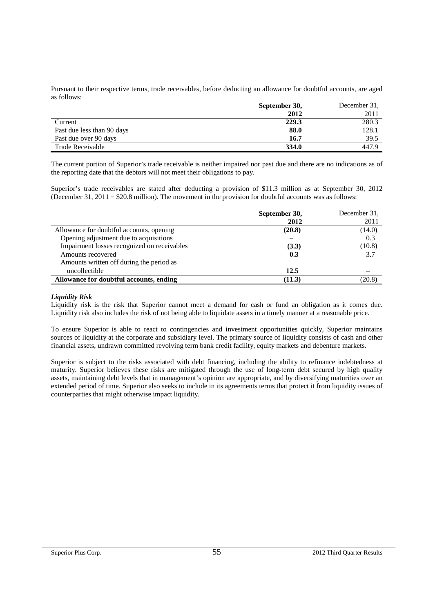Pursuant to their respective terms, trade receivables, before deducting an allowance for doubtful accounts, are aged as follows:

|                            | September 30, | December 31. |
|----------------------------|---------------|--------------|
|                            | 2012          | 2011         |
| Current                    | 229.3         | 280.3        |
| Past due less than 90 days | 88.0          | 128.1        |
| Past due over 90 days      | 16.7          | 39.5         |
| Trade Receivable           | 334.0         | 447.9        |

The current portion of Superior's trade receivable is neither impaired nor past due and there are no indications as of the reporting date that the debtors will not meet their obligations to pay.

Superior's trade receivables are stated after deducting a provision of \$11.3 million as at September 30, 2012 (December 31, 2011 − \$20.8 million). The movement in the provision for doubtful accounts was as follows:

|                                             | September 30, | December 31, |
|---------------------------------------------|---------------|--------------|
|                                             | 2012          | 2011         |
| Allowance for doubtful accounts, opening    | (20.8)        | (14.0)       |
| Opening adjustment due to acquisitions      |               | 0.3          |
| Impairment losses recognized on receivables | (3.3)         | (10.8)       |
| Amounts recovered                           | 0.3           | 3.7          |
| Amounts written off during the period as    |               |              |
| uncollectible                               | 12.5          |              |
| Allowance for doubtful accounts, ending     | (11.3)        | (20.8)       |

#### *Liquidity Risk*

Liquidity risk is the risk that Superior cannot meet a demand for cash or fund an obligation as it comes due. Liquidity risk also includes the risk of not being able to liquidate assets in a timely manner at a reasonable price.

To ensure Superior is able to react to contingencies and investment opportunities quickly, Superior maintains sources of liquidity at the corporate and subsidiary level. The primary source of liquidity consists of cash and other financial assets, undrawn committed revolving term bank credit facility, equity markets and debenture markets.

Superior is subject to the risks associated with debt financing, including the ability to refinance indebtedness at maturity. Superior believes these risks are mitigated through the use of long-term debt secured by high quality assets, maintaining debt levels that in management's opinion are appropriate, and by diversifying maturities over an extended period of time. Superior also seeks to include in its agreements terms that protect it from liquidity issues of counterparties that might otherwise impact liquidity.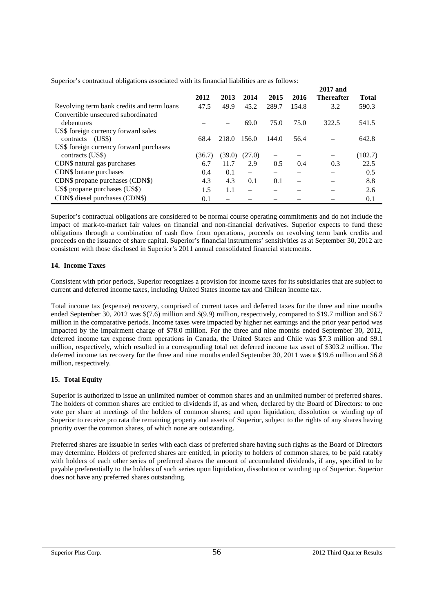|                                            |        |        |                          |       |                          | 2017 and   |              |
|--------------------------------------------|--------|--------|--------------------------|-------|--------------------------|------------|--------------|
|                                            | 2012   | 2013   | 2014                     | 2015  | 2016                     | Thereafter | <b>Total</b> |
| Revolving term bank credits and term loans | 47.5   | 49.9   | 45.2                     | 289.7 | 154.8                    | 3.2        | 590.3        |
| Convertible unsecured subordinated         |        |        |                          |       |                          |            |              |
| debentures                                 |        |        | 69.0                     | 75.0  | 75.0                     | 322.5      | 541.5        |
| US\$ foreign currency forward sales        |        |        |                          |       |                          |            |              |
| contracts (US\$)                           | 68.4   | 218.0  | 156.0                    | 144.0 | 56.4                     |            | 642.8        |
| US\$ foreign currency forward purchases    |        |        |                          |       |                          |            |              |
| contracts (US\$)                           | (36.7) | (39.0) | (27.0)                   |       |                          |            | (102.7)      |
| CDN\$ natural gas purchases                | 6.7    | 11.7   | 2.9                      | 0.5   | 0.4                      | 0.3        | 22.5         |
| CDN\$ butane purchases                     | 0.4    | 0.1    | $\overline{\phantom{0}}$ |       |                          |            | 0.5          |
| CDN\$ propane purchases (CDN\$)            | 4.3    | 4.3    | 0.1                      | 0.1   | $\overline{\phantom{0}}$ |            | 8.8          |
| US\$ propane purchases (US\$)              | 1.5    | 1.1    |                          |       |                          |            | 2.6          |
| CDN\$ diesel purchases (CDN\$)             | 0.1    |        |                          |       |                          |            | 0.1          |

Superior's contractual obligations associated with its financial liabilities are as follows:

Superior's contractual obligations are considered to be normal course operating commitments and do not include the impact of mark-to-market fair values on financial and non-financial derivatives. Superior expects to fund these obligations through a combination of cash flow from operations, proceeds on revolving term bank credits and proceeds on the issuance of share capital. Superior's financial instruments' sensitivities as at September 30, 2012 are consistent with those disclosed in Superior's 2011 annual consolidated financial statements.

#### **14. Income Taxes**

Consistent with prior periods, Superior recognizes a provision for income taxes for its subsidiaries that are subject to current and deferred income taxes, including United States income tax and Chilean income tax.

Total income tax (expense) recovery, comprised of current taxes and deferred taxes for the three and nine months ended September 30, 2012 was \$(7.6) million and \$(9.9) million, respectively, compared to \$19.7 million and \$6.7 million in the comparative periods. Income taxes were impacted by higher net earnings and the prior year period was impacted by the impairment charge of \$78.0 million. For the three and nine months ended September 30, 2012, deferred income tax expense from operations in Canada, the United States and Chile was \$7.3 million and \$9.1 million, respectively, which resulted in a corresponding total net deferred income tax asset of \$303.2 million. The deferred income tax recovery for the three and nine months ended September 30, 2011 was a \$19.6 million and \$6.8 million, respectively.

## **15. Total Equity**

Superior is authorized to issue an unlimited number of common shares and an unlimited number of preferred shares. The holders of common shares are entitled to dividends if, as and when, declared by the Board of Directors: to one vote per share at meetings of the holders of common shares; and upon liquidation, dissolution or winding up of Superior to receive pro rata the remaining property and assets of Superior, subject to the rights of any shares having priority over the common shares, of which none are outstanding.

Preferred shares are issuable in series with each class of preferred share having such rights as the Board of Directors may determine. Holders of preferred shares are entitled, in priority to holders of common shares, to be paid ratably with holders of each other series of preferred shares the amount of accumulated dividends, if any, specified to be payable preferentially to the holders of such series upon liquidation, dissolution or winding up of Superior. Superior does not have any preferred shares outstanding.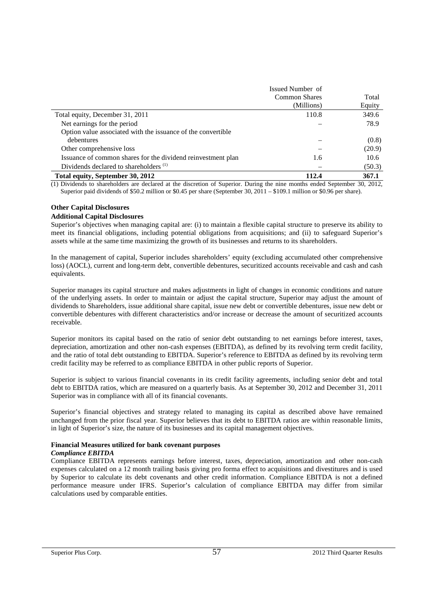|                                                              | Issued Number of     |        |
|--------------------------------------------------------------|----------------------|--------|
|                                                              | <b>Common Shares</b> | Total  |
|                                                              | (Millions)           | Equity |
| Total equity, December 31, 2011                              | 110.8                | 349.6  |
| Net earnings for the period                                  |                      | 78.9   |
| Option value associated with the issuance of the convertible |                      |        |
| debentures                                                   |                      | (0.8)  |
| Other comprehensive loss                                     |                      | (20.9) |
| Issuance of common shares for the dividend reinvestment plan | 1.6                  | 10.6   |
| Dividends declared to shareholders <sup>(1)</sup>            |                      | (50.3) |
| Total equity, September 30, 2012                             | 112.4                | 367.1  |

(1) Dividends to shareholders are declared at the discretion of Superior. During the nine months ended September 30, 2012, Superior paid dividends of \$50.2 million or \$0.45 per share (September 30, 2011 – \$109.1 million or \$0.96 per share).

#### **Other Capital Disclosures**

#### **Additional Capital Disclosures**

Superior's objectives when managing capital are: (i) to maintain a flexible capital structure to preserve its ability to meet its financial obligations, including potential obligations from acquisitions; and (ii) to safeguard Superior's assets while at the same time maximizing the growth of its businesses and returns to its shareholders.

In the management of capital, Superior includes shareholders' equity (excluding accumulated other comprehensive loss) (AOCL), current and long-term debt, convertible debentures, securitized accounts receivable and cash and cash equivalents.

Superior manages its capital structure and makes adjustments in light of changes in economic conditions and nature of the underlying assets. In order to maintain or adjust the capital structure, Superior may adjust the amount of dividends to Shareholders, issue additional share capital, issue new debt or convertible debentures, issue new debt or convertible debentures with different characteristics and/or increase or decrease the amount of securitized accounts receivable.

Superior monitors its capital based on the ratio of senior debt outstanding to net earnings before interest, taxes, depreciation, amortization and other non-cash expenses (EBITDA), as defined by its revolving term credit facility, and the ratio of total debt outstanding to EBITDA. Superior's reference to EBITDA as defined by its revolving term credit facility may be referred to as compliance EBITDA in other public reports of Superior.

Superior is subject to various financial covenants in its credit facility agreements, including senior debt and total debt to EBITDA ratios, which are measured on a quarterly basis. As at September 30, 2012 and December 31, 2011 Superior was in compliance with all of its financial covenants.

Superior's financial objectives and strategy related to managing its capital as described above have remained unchanged from the prior fiscal year. Superior believes that its debt to EBITDA ratios are within reasonable limits, in light of Superior's size, the nature of its businesses and its capital management objectives.

#### **Financial Measures utilized for bank covenant purposes**

#### *Compliance EBITDA*

Compliance EBITDA represents earnings before interest, taxes, depreciation, amortization and other non-cash expenses calculated on a 12 month trailing basis giving pro forma effect to acquisitions and divestitures and is used by Superior to calculate its debt covenants and other credit information. Compliance EBITDA is not a defined performance measure under IFRS. Superior's calculation of compliance EBITDA may differ from similar calculations used by comparable entities.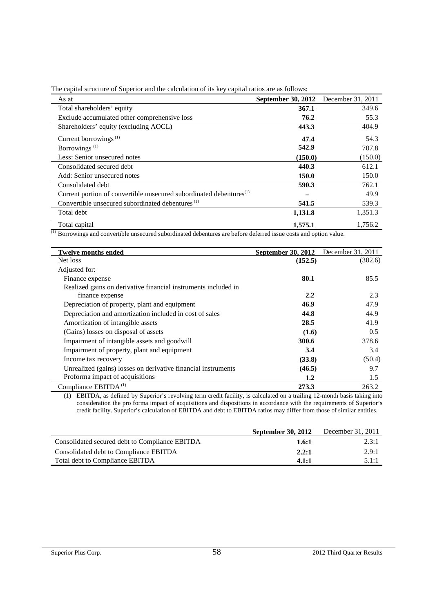| As at                                                                           | September 30, 2012 | December 31, 2011 |
|---------------------------------------------------------------------------------|--------------------|-------------------|
| Total shareholders' equity                                                      | 367.1              | 349.6             |
| Exclude accumulated other comprehensive loss                                    | 76.2               | 55.3              |
| Shareholders' equity (excluding AOCL)                                           | 443.3              | 404.9             |
| Current borrowings <sup>(1)</sup>                                               | 47.4               | 54.3              |
| Borrowings <sup>(1)</sup>                                                       | 542.9              | 707.8             |
| Less: Senior unsecured notes                                                    | (150.0)            | (150.0)           |
| Consolidated secured debt                                                       | 440.3              | 612.1             |
| Add: Senior unsecured notes                                                     | <b>150.0</b>       | 150.0             |
| Consolidated debt                                                               | 590.3              | 762.1             |
| Current portion of convertible unsecured subordinated debentures <sup>(1)</sup> |                    | 49.9              |
| Convertible unsecured subordinated debentures <sup>(1)</sup>                    | 541.5              | 539.3             |
| Total debt                                                                      | 1,131.8            | 1,351.3           |
| Total capital                                                                   | 1,575.1            | 1.756.2           |

The capital structure of Superior and the calculation of its key capital ratios are as follows:

<sup>(1)</sup> Borrowings and convertible unsecured subordinated debentures are before deferred issue costs and option value.

| <b>Twelve months ended</b>                                     | September 30, 2012 | December 31, 2011 |
|----------------------------------------------------------------|--------------------|-------------------|
| Net loss                                                       | (152.5)            | (302.6)           |
| Adjusted for:                                                  |                    |                   |
| Finance expense                                                | 80.1               | 85.5              |
| Realized gains on derivative financial instruments included in |                    |                   |
| finance expense                                                | $2.2\,$            | 2.3               |
| Depreciation of property, plant and equipment                  | 46.9               | 47.9              |
| Depreciation and amortization included in cost of sales        | 44.8               | 44.9              |
| Amortization of intangible assets                              | 28.5               | 41.9              |
| (Gains) losses on disposal of assets                           | (1.6)              | 0.5               |
| Impairment of intangible assets and goodwill                   | 300.6              | 378.6             |
| Impairment of property, plant and equipment                    | 3.4                | 3.4               |
| Income tax recovery                                            | (33.8)             | (50.4)            |
| Unrealized (gains) losses on derivative financial instruments  | (46.5)             | 9.7               |
| Proforma impact of acquisitions                                | 1.2                | 1.5               |
| Compliance EBITDA <sup>(1)</sup>                               | 273.3              | 263.2             |

(1) EBITDA, as defined by Superior's revolving term credit facility, is calculated on a trailing 12-month basis taking into consideration the pro forma impact of acquisitions and dispositions in accordance with the requirements of Superior's credit facility. Superior's calculation of EBITDA and debt to EBITDA ratios may differ from those of similar entities.

|                                                | <b>September 30, 2012</b> | December 31, 2011 |
|------------------------------------------------|---------------------------|-------------------|
| Consolidated secured debt to Compliance EBITDA | 1.6:1                     | 2.3:1             |
| Consolidated debt to Compliance EBITDA         | 2.2:1                     | 2.9:1             |
| Total debt to Compliance EBITDA                | 4.1:1                     | 5.1:1             |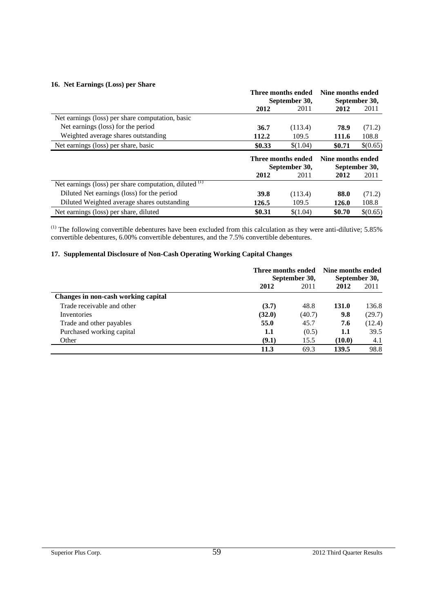### **16. Net Earnings (Loss) per Share**

|                                                          | Three months ended |                    | Nine months ended |               |
|----------------------------------------------------------|--------------------|--------------------|-------------------|---------------|
|                                                          | September 30,      | September 30,      |                   |               |
|                                                          | 2012               | 2011               | 2012              | 2011          |
| Net earnings (loss) per share computation, basic         |                    |                    |                   |               |
| Net earnings (loss) for the period                       | 36.7               | (113.4)            | 78.9              | (71.2)        |
| Weighted average shares outstanding                      | 112.2              | 109.5              | 111.6             | 108.8         |
| Net earnings (loss) per share, basic                     | \$0.33             | \$(1.04)           | \$0.71            | \$(0.65)      |
|                                                          |                    |                    |                   |               |
|                                                          |                    | Three months ended | Nine months ended |               |
|                                                          |                    | September 30,      |                   | September 30, |
|                                                          | 2012               | 2011               | 2012              | 2011          |
| Net earnings (loss) per share computation, diluted $(1)$ |                    |                    |                   |               |
| Diluted Net earnings (loss) for the period               | 39.8               | (113.4)            | 88.0              | (71.2)        |
| Diluted Weighted average shares outstanding              | 126.5              | 109.5              | 126.0             | 108.8         |

 $<sup>(1)</sup>$  The following convertible debentures have been excluded from this calculation as they were anti-dilutive; 5.85%</sup> convertible debentures, 6.00% convertible debentures, and the 7.5% convertible debentures.

# **17. Supplemental Disclosure of Non-Cash Operating Working Capital Changes**

|                                     |         | Three months ended<br>September 30, |              | Nine months ended<br>September 30, |
|-------------------------------------|---------|-------------------------------------|--------------|------------------------------------|
|                                     | 2012    | 2011                                | 2012         | 2011                               |
| Changes in non-cash working capital |         |                                     |              |                                    |
| Trade receivable and other          | (3.7)   | 48.8                                | <b>131.0</b> | 136.8                              |
| Inventories                         | (32.0)  | (40.7)                              | 9.8          | (29.7)                             |
| Trade and other payables            | 55.0    | 45.7                                | 7.6          | (12.4)                             |
| Purchased working capital           | $1.1\,$ | (0.5)                               | 1.1          | 39.5                               |
| Other                               | (9.1)   | 15.5                                | (10.0)       | 4.1                                |
|                                     | 11.3    | 69.3                                | 139.5        | 98.8                               |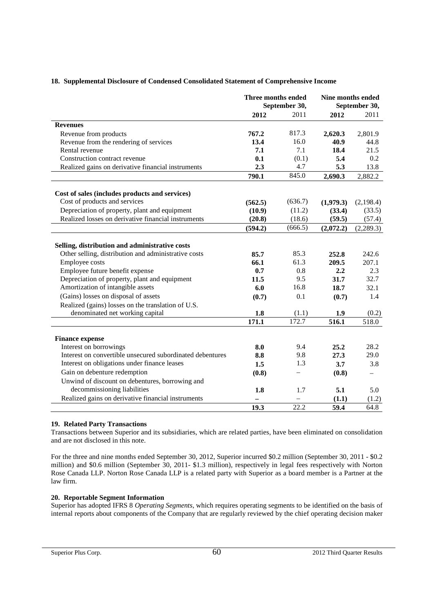|                                                                                            | Three months ended<br>September 30, |                   | Nine months ended | September 30, |  |
|--------------------------------------------------------------------------------------------|-------------------------------------|-------------------|-------------------|---------------|--|
|                                                                                            | 2012                                | 2011              | 2012              | 2011          |  |
| <b>Revenues</b>                                                                            |                                     |                   |                   |               |  |
| Revenue from products                                                                      | 767.2                               | 817.3             | 2,620.3           | 2,801.9       |  |
| Revenue from the rendering of services                                                     | 13.4                                | 16.0              | 40.9              | 44.8          |  |
| Rental revenue                                                                             | 7.1                                 | 7.1               | 18.4              | 21.5          |  |
| Construction contract revenue                                                              | 0.1                                 | (0.1)             | 5.4               | 0.2           |  |
| Realized gains on derivative financial instruments                                         | 2.3                                 | 4.7               | 5.3               | 13.8          |  |
|                                                                                            | 790.1                               | 845.0             | 2,690.3           | 2,882.2       |  |
| Cost of sales (includes products and services)                                             |                                     |                   |                   |               |  |
| Cost of products and services                                                              | (562.5)                             | (636.7)           | (1,979.3)         | (2,198.4)     |  |
| Depreciation of property, plant and equipment                                              | (10.9)                              | (11.2)            | (33.4)            | (33.5)        |  |
| Realized losses on derivative financial instruments                                        | (20.8)                              | (18.6)            | (59.5)            | (57.4)        |  |
|                                                                                            | (594.2)                             | (666.5)           | (2,072.2)         | (2, 289.3)    |  |
| Selling, distribution and administrative costs                                             |                                     |                   |                   |               |  |
| Other selling, distribution and administrative costs                                       | 85.7                                | 85.3              | 252.8             | 242.6         |  |
| Employee costs                                                                             | 66.1                                | 61.3              | 209.5             | 207.1         |  |
| Employee future benefit expense                                                            | 0.7<br>11.5                         | 0.8<br>9.5        | 2.2               | 2.3<br>32.7   |  |
| Depreciation of property, plant and equipment<br>Amortization of intangible assets         | 6.0                                 | 16.8              | 31.7<br>18.7      | 32.1          |  |
|                                                                                            |                                     |                   |                   |               |  |
| (Gains) losses on disposal of assets<br>Realized (gains) losses on the translation of U.S. | (0.7)                               | 0.1               | (0.7)             | 1.4           |  |
| denominated net working capital                                                            | 1.8                                 | (1.1)             | 1.9               | (0.2)         |  |
|                                                                                            | 171.1                               | 172.7             | $\frac{1}{516.1}$ | 518.0         |  |
|                                                                                            |                                     |                   |                   |               |  |
| <b>Finance expense</b>                                                                     |                                     |                   |                   |               |  |
| Interest on borrowings                                                                     | 8.0                                 | 9.4               | 25.2              | 28.2          |  |
| Interest on convertible unsecured subordinated debentures                                  | 8.8                                 | 9.8               | 27.3              | 29.0          |  |
| Interest on obligations under finance leases                                               | 1.5                                 | 1.3               | 3.7               | 3.8           |  |
| Gain on debenture redemption                                                               | (0.8)                               |                   | (0.8)             |               |  |
| Unwind of discount on debentures, borrowing and                                            |                                     |                   |                   |               |  |
| decommissioning liabilities                                                                | 1.8                                 | 1.7               | 5.1               | 5.0           |  |
| Realized gains on derivative financial instruments                                         |                                     |                   | (1.1)             | (1.2)         |  |
|                                                                                            | 19.3                                | $\overline{22.2}$ | 59.4              | 64.8          |  |

## **18. Supplemental Disclosure of Condensed Consolidated Statement of Comprehensive Income**

## **19. Related Party Transactions**

Transactions between Superior and its subsidiaries, which are related parties, have been eliminated on consolidation and are not disclosed in this note.

For the three and nine months ended September 30, 2012, Superior incurred \$0.2 million (September 30, 2011 - \$0.2 million) and \$0.6 million (September 30, 2011- \$1.3 million), respectively in legal fees respectively with Norton Rose Canada LLP. Norton Rose Canada LLP is a related party with Superior as a board member is a Partner at the law firm.

## **20. Reportable Segment Information**

Superior has adopted IFRS 8 *Operating Segments*, which requires operating segments to be identified on the basis of internal reports about components of the Company that are regularly reviewed by the chief operating decision maker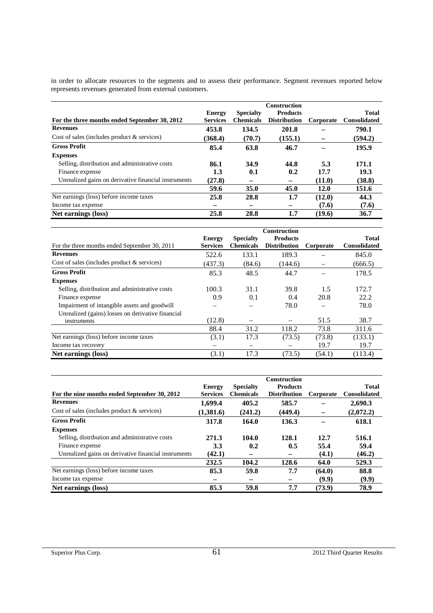in order to allocate resources to the segments and to assess their performance. Segment revenues reported below represents revenues generated from external customers.

| For the three months ended September 30, 2012        | <b>Energy</b><br><b>Services</b> | <b>Specialty</b><br><b>Chemicals</b> | <b>Construction</b><br><b>Products</b><br><b>Distribution</b> | Corporate | Total<br><b>Consolidated</b> |
|------------------------------------------------------|----------------------------------|--------------------------------------|---------------------------------------------------------------|-----------|------------------------------|
| <b>Revenues</b>                                      | 453.8                            | 134.5                                | 201.8                                                         |           | 790.1                        |
| Cost of sales (includes product $\&$ services)       | (368.4)                          | (70.7)                               | (155.1)                                                       |           | (594.2)                      |
| <b>Gross Profit</b>                                  | 85.4                             | 63.8                                 | 46.7                                                          |           | 195.9                        |
| <b>Expenses</b>                                      |                                  |                                      |                                                               |           |                              |
| Selling, distribution and administrative costs       | 86.1                             | 34.9                                 | 44.8                                                          | 5.3       | 171.1                        |
| Finance expense                                      | 1.3                              | 0.1                                  | 0.2                                                           | 17.7      | 19.3                         |
| Unrealized gains on derivative financial instruments | (27.8)                           | $\overline{\phantom{m}}$             | —                                                             | (11.0)    | (38.8)                       |
|                                                      | 59.6                             | 35.0                                 | 45.0                                                          | 12.0      | 151.6                        |
| Net earnings (loss) before income taxes              | 25.8                             | 28.8                                 | 1.7                                                           | (12.0)    | 44.3                         |
| Income tax expense                                   |                                  |                                      |                                                               | (7.6)     | (7.6)                        |
| Net earnings (loss)                                  | 25.8                             | 28.8                                 | 1.7                                                           | (19.6)    | 36.7                         |

|                                                   | <b>Construction</b> |                          |                     |           |                     |
|---------------------------------------------------|---------------------|--------------------------|---------------------|-----------|---------------------|
|                                                   | <b>Energy</b>       | <b>Specialty</b>         | <b>Products</b>     |           | <b>Total</b>        |
| For the three months ended September 30, 2011     | <b>Services</b>     | <b>Chemicals</b>         | <b>Distribution</b> | Corporate | <b>Consolidated</b> |
| <b>Revenues</b>                                   | 522.6               | 133.1                    | 189.3               |           | 845.0               |
| Cost of sales (includes product $\&$ services)    | (437.3)             | (84.6)                   | (144.6)             |           | (666.5)             |
| <b>Gross Profit</b>                               | 85.3                | 48.5                     | 44.7                |           | 178.5               |
| <b>Expenses</b>                                   |                     |                          |                     |           |                     |
| Selling, distribution and administrative costs    | 100.3               | 31.1                     | 39.8                | 1.5       | 172.7               |
| Finance expense                                   | 0.9                 | 0.1                      | 0.4                 | 20.8      | 22.2                |
| Impairment of intangible assets and goodwill      |                     |                          | 78.0                |           | 78.0                |
| Unrealized (gains) losses on derivative financial |                     |                          |                     |           |                     |
| instruments                                       | (12.8)              | $\overline{\phantom{m}}$ |                     | 51.5      | 38.7                |
|                                                   | 88.4                | 31.2                     | 118.2               | 73.8      | 311.6               |
| Net earnings (loss) before income taxes           | (3.1)               | 17.3                     | (73.5)              | (73.8)    | (133.1)             |
| Income tax recovery                               |                     | $\overline{\phantom{m}}$ |                     | 19.7      | 19.7                |
| Net earnings (loss)                               | (3.1)               | 17.3                     | (73.5)              | (54.1)    | (113.4)             |

|                                                      | <b>Energy</b>   | <b>Specialty</b> | <b>Products</b>     |           | <b>Total</b>        |
|------------------------------------------------------|-----------------|------------------|---------------------|-----------|---------------------|
| For the nine months ended September 30, 2012         | <b>Services</b> | <b>Chemicals</b> | <b>Distribution</b> | Corporate | <b>Consolidated</b> |
| <b>Revenues</b>                                      | 1.699.4         | 405.2            | 585.7               |           | 2,690.3             |
| Cost of sales (includes product $\&$ services)       | (1,381.6)       | (241.2)          | (449.4)             |           | (2,072.2)           |
| <b>Gross Profit</b>                                  | 317.8           | 164.0            | 136.3               |           | 618.1               |
| <b>Expenses</b>                                      |                 |                  |                     |           |                     |
| Selling, distribution and administrative costs       | 271.3           | 104.0            | 128.1               | 12.7      | 516.1               |
| Finance expense                                      | 3.3             | 0.2              | 0.5                 | 55.4      | 59.4                |
| Unrealized gains on derivative financial instruments | (42.1)          |                  |                     | (4.1)     | (46.2)              |
|                                                      | 232.5           | 104.2            | 128.6               | 64.0      | 529.3               |
| Net earnings (loss) before income taxes              | 85.3            | 59.8             | 7.7                 | (64.0)    | 88.8                |
| Income tax expense                                   |                 |                  |                     | (9.9)     | (9.9)               |
| Net earnings (loss)                                  | 85.3            | 59.8             | 7.7                 | (73.9)    | 78.9                |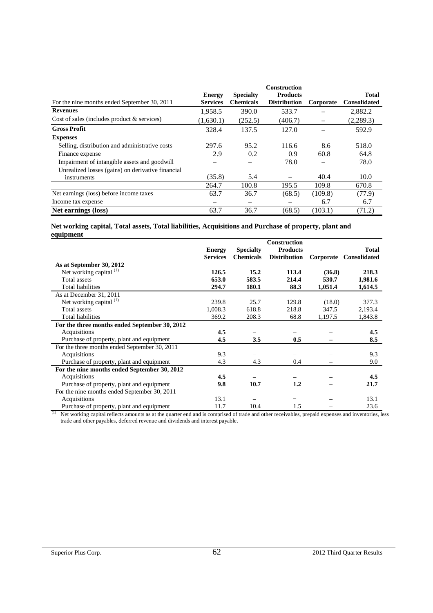|                                                   |                 |                          | <b>Construction</b> |           |                     |
|---------------------------------------------------|-----------------|--------------------------|---------------------|-----------|---------------------|
|                                                   | <b>Energy</b>   | <b>Specialty</b>         | <b>Products</b>     |           | Total               |
| For the nine months ended September 30, 2011      | <b>Services</b> | <b>Chemicals</b>         | <b>Distribution</b> | Corporate | <b>Consolidated</b> |
| <b>Revenues</b>                                   | 1,958.5         | 390.0                    | 533.7               |           | 2,882.2             |
| Cost of sales (includes product $\&$ services)    | (1,630.1)       | (252.5)                  | (406.7)             |           | (2, 289.3)          |
| <b>Gross Profit</b>                               | 328.4           | 137.5                    | 127.0               |           | 592.9               |
| <b>Expenses</b>                                   |                 |                          |                     |           |                     |
| Selling, distribution and administrative costs    | 297.6           | 95.2                     | 116.6               | 8.6       | 518.0               |
| Finance expense                                   | 2.9             | 0.2                      | 0.9                 | 60.8      | 64.8                |
| Impairment of intangible assets and goodwill      |                 |                          | 78.0                |           | 78.0                |
| Unrealized losses (gains) on derivative financial |                 |                          |                     |           |                     |
| instruments                                       | (35.8)          | 5.4                      |                     | 40.4      | 10.0                |
|                                                   | 264.7           | 100.8                    | 195.5               | 109.8     | 670.8               |
| Net earnings (loss) before income taxes           | 63.7            | 36.7                     | (68.5)              | (109.8)   | (77.9)              |
| Income tax expense                                |                 | $\overline{\phantom{0}}$ |                     | 6.7       | 6.7                 |
| Net earnings (loss)                               | 63.7            | 36.7                     | (68.5)              | (103.1)   | (71.2)              |

## **Net working capital, Total assets, Total liabilities, Acquisitions and Purchase of property, plant and equipment**

|                                               | <b>Energy</b>   | <b>Specialty</b> | <b>Products</b>     |           | <b>Total</b>        |
|-----------------------------------------------|-----------------|------------------|---------------------|-----------|---------------------|
|                                               | <b>Services</b> | <b>Chemicals</b> | <b>Distribution</b> | Corporate | <b>Consolidated</b> |
| As at September 30, 2012                      |                 |                  |                     |           |                     |
| Net working capital $(1)$                     | 126.5           | 15.2             | 113.4               | (36.8)    | 218.3               |
| Total assets                                  | 653.0           | 583.5            | 214.4               | 530.7     | 1,981.6             |
| <b>Total liabilities</b>                      | 294.7           | 180.1            | 88.3                | 1,051.4   | 1,614.5             |
| As at December 31, 2011                       |                 |                  |                     |           |                     |
| Net working capital <sup>(1)</sup>            | 239.8           | 25.7             | 129.8               | (18.0)    | 377.3               |
| <b>Total</b> assets                           | 1,008.3         | 618.8            | 218.8               | 347.5     | 2,193.4             |
| <b>Total liabilities</b>                      | 369.2           | 208.3            | 68.8                | 1,197.5   | 1,843.8             |
| For the three months ended September 30, 2012 |                 |                  |                     |           |                     |
| Acquisitions                                  | 4.5             |                  |                     |           | 4.5                 |
| Purchase of property, plant and equipment     | 4.5             | 3.5              | 0.5                 |           | 8.5                 |
| For the three months ended September 30, 2011 |                 |                  |                     |           |                     |
| Acquisitions                                  | 9.3             |                  |                     |           | 9.3                 |
| Purchase of property, plant and equipment     | 4.3             | 4.3              | 0.4                 |           | 9.0                 |
| For the nine months ended September 30, 2012  |                 |                  |                     |           |                     |
| Acquisitions                                  | 4.5             |                  |                     |           | 4.5                 |
| Purchase of property, plant and equipment     | 9.8             | 10.7             | 1.2                 |           | 21.7                |
| For the nine months ended September 30, 2011  |                 |                  |                     |           |                     |
| Acquisitions                                  | 13.1            |                  |                     |           | 13.1                |
| Purchase of property, plant and equipment     | 11.7            | 10.4             | 1.5                 |           | 23.6                |

<sup>(1)</sup> Net working capital reflects amounts as at the quarter end and is comprised of trade and other receivables, prepaid expenses and inventories, less trade and other payables, deferred revenue and dividends and interest payable.